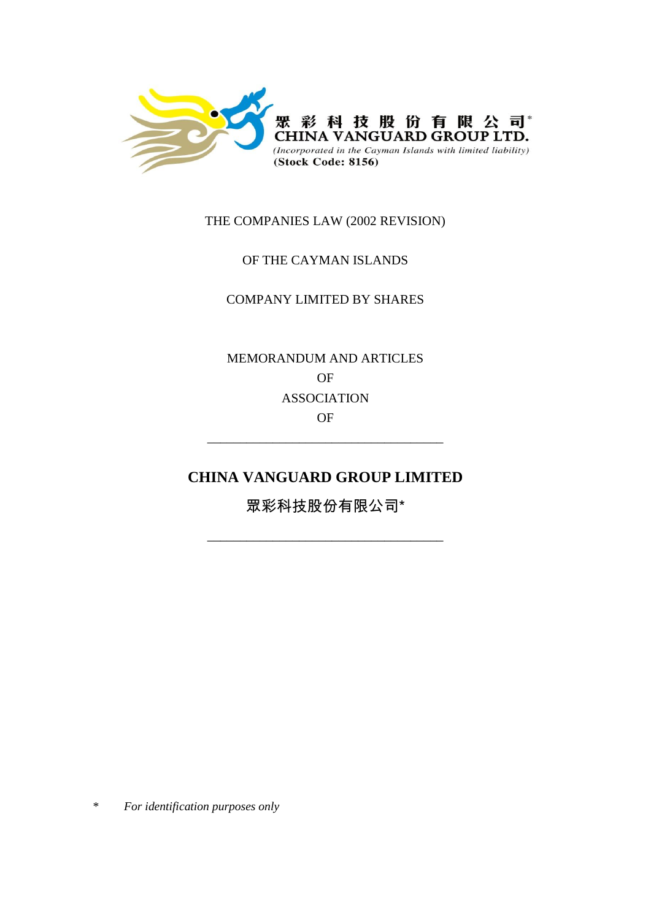

## THE COMPANIES LAW (2002 REVISION)

## OF THE CAYMAN ISLANDS

### COMPANY LIMITED BY SHARES

MEMORANDUM AND ARTICLES OF ASSOCIATION OF

# **CHINA VANGUARD GROUP LIMITED**

\_\_\_\_\_\_\_\_\_\_\_\_\_\_\_\_\_\_\_\_\_\_\_\_\_\_\_\_\_\_\_\_\_\_\_\_

眾彩科技股份有限公司\*

\_\_\_\_\_\_\_\_\_\_\_\_\_\_\_\_\_\_\_\_\_\_\_\_\_\_\_\_\_\_\_\_\_\_\_\_

\* *For identification purposes only*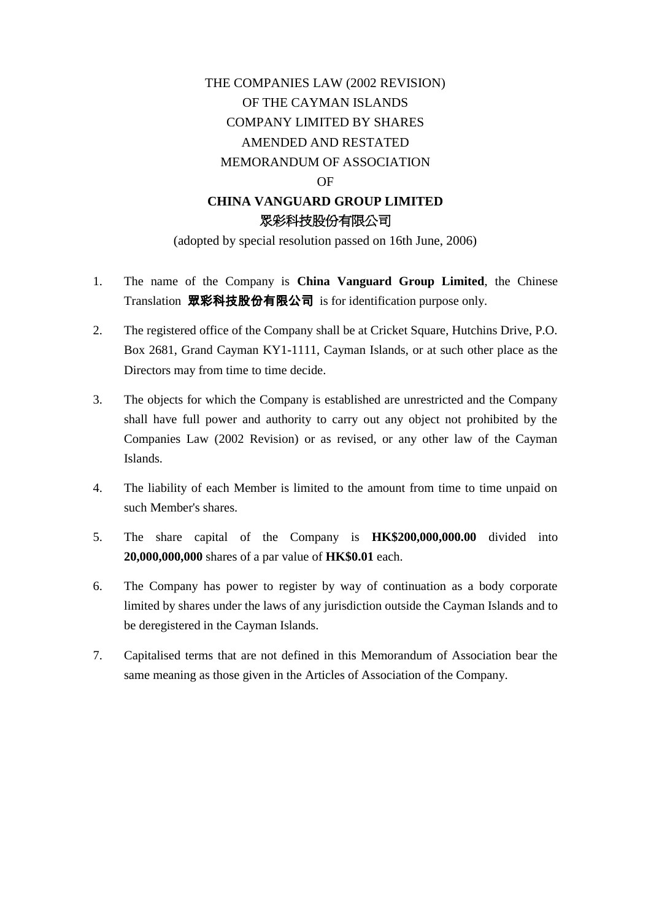# THE COMPANIES LAW (2002 REVISION) OF THE CAYMAN ISLANDS COMPANY LIMITED BY SHARES AMENDED AND RESTATED MEMORANDUM OF ASSOCIATION **OF CHINA VANGUARD GROUP LIMITED** 眾彩科技股份有限公司

(adopted by special resolution passed on 16th June, 2006)

- 1. The name of the Company is **China Vanguard Group Limited**, the Chinese Translation 眾彩科技股份有限公司 is for identification purpose only.
- 2. The registered office of the Company shall be at Cricket Square, Hutchins Drive, P.O. Box 2681, Grand Cayman KY1-1111, Cayman Islands, or at such other place as the Directors may from time to time decide.
- 3. The objects for which the Company is established are unrestricted and the Company shall have full power and authority to carry out any object not prohibited by the Companies Law (2002 Revision) or as revised, or any other law of the Cayman Islands.
- 4. The liability of each Member is limited to the amount from time to time unpaid on such Member's shares.
- 5. The share capital of the Company is **HK\$200,000,000.00** divided into **20,000,000,000** shares of a par value of **HK\$0.01** each.
- 6. The Company has power to register by way of continuation as a body corporate limited by shares under the laws of any jurisdiction outside the Cayman Islands and to be deregistered in the Cayman Islands.
- 7. Capitalised terms that are not defined in this Memorandum of Association bear the same meaning as those given in the Articles of Association of the Company.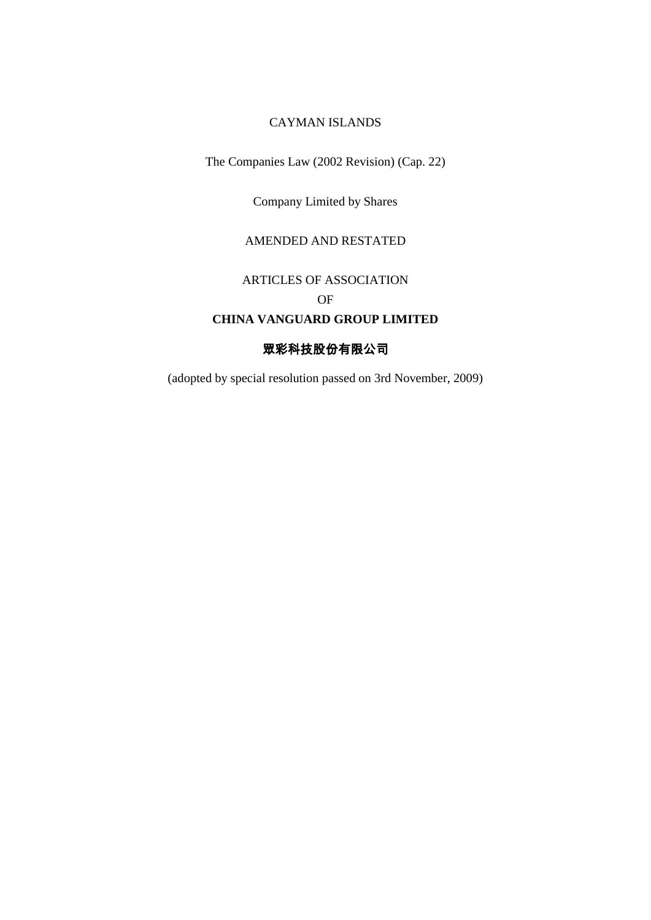### CAYMAN ISLANDS

The Companies Law (2002 Revision) (Cap. 22)

Company Limited by Shares

#### AMENDED AND RESTATED

# ARTICLES OF ASSOCIATION

OF

## **CHINA VANGUARD GROUP LIMITED**

### 眾彩科技股份有限公司

(adopted by special resolution passed on 3rd November, 2009)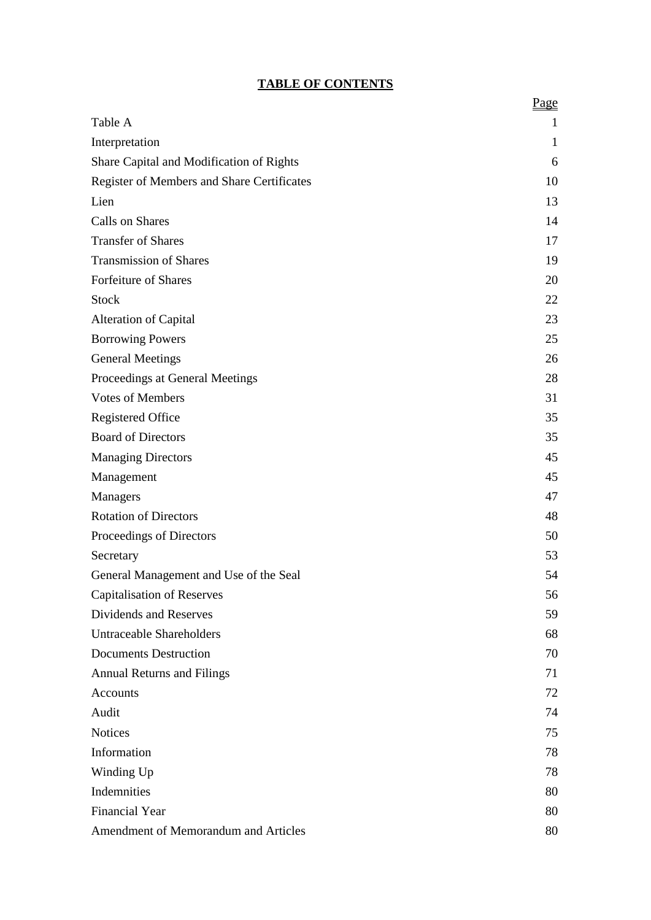# **TABLE OF CONTENTS**

|                                            | Page |
|--------------------------------------------|------|
| Table A                                    | 1    |
| Interpretation                             | 1    |
| Share Capital and Modification of Rights   | 6    |
| Register of Members and Share Certificates | 10   |
| Lien                                       | 13   |
| Calls on Shares                            | 14   |
| <b>Transfer of Shares</b>                  | 17   |
| <b>Transmission of Shares</b>              | 19   |
| Forfeiture of Shares                       | 20   |
| <b>Stock</b>                               | 22   |
| <b>Alteration of Capital</b>               | 23   |
| <b>Borrowing Powers</b>                    | 25   |
| <b>General Meetings</b>                    | 26   |
| Proceedings at General Meetings            | 28   |
| <b>Votes of Members</b>                    | 31   |
| Registered Office                          | 35   |
| <b>Board of Directors</b>                  | 35   |
| <b>Managing Directors</b>                  | 45   |
| Management                                 | 45   |
| Managers                                   | 47   |
| <b>Rotation of Directors</b>               | 48   |
| Proceedings of Directors                   | 50   |
| Secretary                                  | 53   |
| General Management and Use of the Seal     | 54   |
| <b>Capitalisation of Reserves</b>          | 56   |
| Dividends and Reserves                     | 59   |
| <b>Untraceable Shareholders</b>            | 68   |
| <b>Documents Destruction</b>               | 70   |
| <b>Annual Returns and Filings</b>          | 71   |
| Accounts                                   | 72   |
| Audit                                      | 74   |
| <b>Notices</b>                             | 75   |
| Information                                | 78   |
| Winding Up                                 | 78   |
| Indemnities                                | 80   |
| <b>Financial Year</b>                      | 80   |
| Amendment of Memorandum and Articles       | 80   |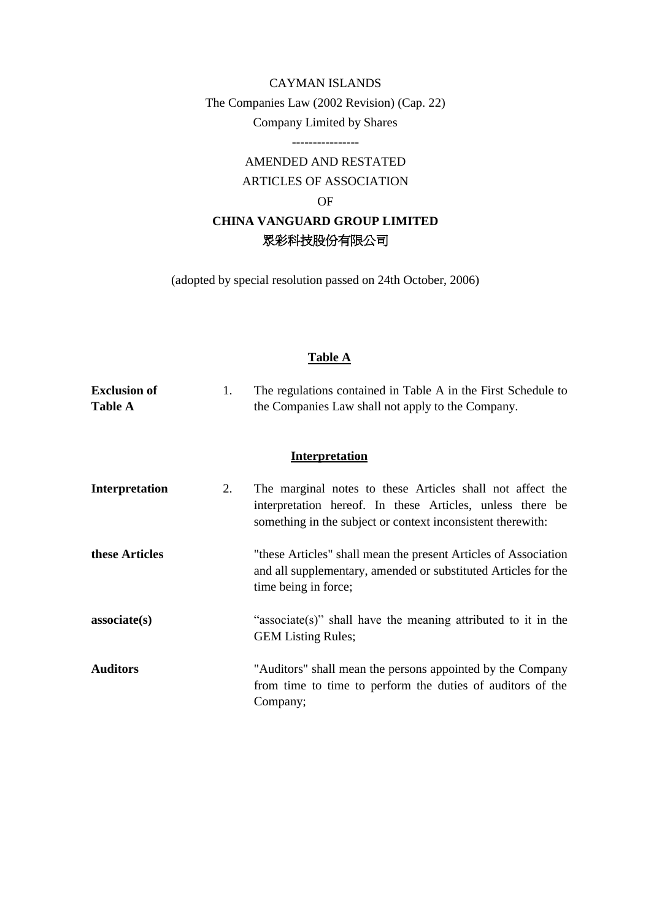# CAYMAN ISLANDS The Companies Law (2002 Revision) (Cap. 22) Company Limited by Shares

----------------

# AMENDED AND RESTATED ARTICLES OF ASSOCIATION OF

# **CHINA VANGUARD GROUP LIMITED** 眾彩科技股份有限公司

(adopted by special resolution passed on 24th October, 2006)

### **Table A**

| <b>Exclusion of</b><br><b>Table A</b> | 1. | The regulations contained in Table A in the First Schedule to<br>the Companies Law shall not apply to the Company.                                                                    |
|---------------------------------------|----|---------------------------------------------------------------------------------------------------------------------------------------------------------------------------------------|
|                                       |    | <b>Interpretation</b>                                                                                                                                                                 |
| <b>Interpretation</b>                 | 2. | The marginal notes to these Articles shall not affect the<br>interpretation hereof. In these Articles, unless there be<br>something in the subject or context inconsistent therewith: |
| these Articles                        |    | "these Articles" shall mean the present Articles of Association<br>and all supplementary, amended or substituted Articles for the<br>time being in force;                             |
| associate(s)                          |    | "associate(s)" shall have the meaning attributed to it in the<br><b>GEM Listing Rules;</b>                                                                                            |
| <b>Auditors</b>                       |    | "Auditors" shall mean the persons appointed by the Company<br>from time to time to perform the duties of auditors of the<br>Company;                                                  |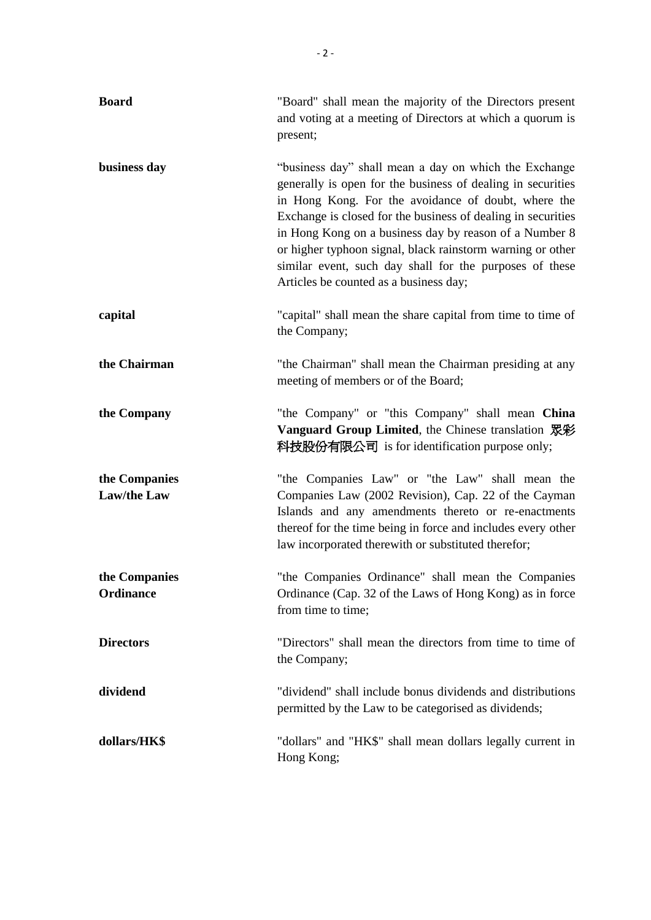| <b>Board</b>                        | "Board" shall mean the majority of the Directors present<br>and voting at a meeting of Directors at which a quorum is<br>present;                                                                                                                                                                                                                                                                                                                                        |
|-------------------------------------|--------------------------------------------------------------------------------------------------------------------------------------------------------------------------------------------------------------------------------------------------------------------------------------------------------------------------------------------------------------------------------------------------------------------------------------------------------------------------|
| business day                        | "business day" shall mean a day on which the Exchange<br>generally is open for the business of dealing in securities<br>in Hong Kong. For the avoidance of doubt, where the<br>Exchange is closed for the business of dealing in securities<br>in Hong Kong on a business day by reason of a Number 8<br>or higher typhoon signal, black rainstorm warning or other<br>similar event, such day shall for the purposes of these<br>Articles be counted as a business day; |
| capital                             | "capital" shall mean the share capital from time to time of<br>the Company;                                                                                                                                                                                                                                                                                                                                                                                              |
| the Chairman                        | "the Chairman" shall mean the Chairman presiding at any<br>meeting of members or of the Board;                                                                                                                                                                                                                                                                                                                                                                           |
| the Company                         | "the Company" or "this Company" shall mean China<br>Vanguard Group Limited, the Chinese translation 眾彩<br>科技股份有限公司 is for identification purpose only;                                                                                                                                                                                                                                                                                                                   |
| the Companies<br><b>Law/the Law</b> | "the Companies Law" or "the Law" shall mean the<br>Companies Law (2002 Revision), Cap. 22 of the Cayman<br>Islands and any amendments thereto or re-enactments<br>thereof for the time being in force and includes every other<br>law incorporated therewith or substituted therefor;                                                                                                                                                                                    |
| the Companies<br><b>Ordinance</b>   | "the Companies Ordinance" shall mean the Companies<br>Ordinance (Cap. 32 of the Laws of Hong Kong) as in force<br>from time to time;                                                                                                                                                                                                                                                                                                                                     |
| <b>Directors</b>                    | "Directors" shall mean the directors from time to time of<br>the Company;                                                                                                                                                                                                                                                                                                                                                                                                |
| dividend                            | "dividend" shall include bonus dividends and distributions<br>permitted by the Law to be categorised as dividends;                                                                                                                                                                                                                                                                                                                                                       |
| dollars/HK\$                        | "dollars" and "HK\$" shall mean dollars legally current in<br>Hong Kong;                                                                                                                                                                                                                                                                                                                                                                                                 |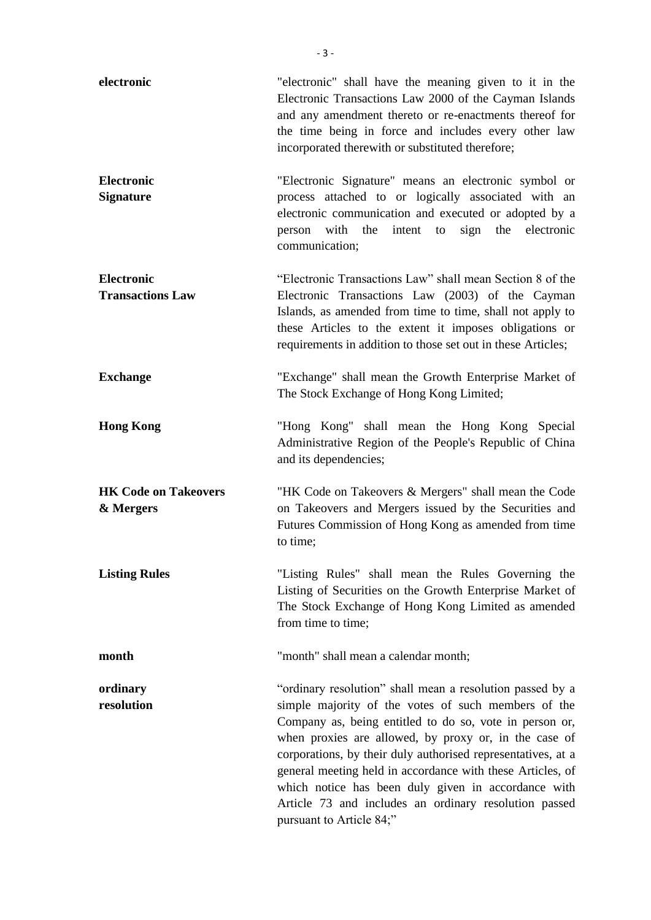| electronic                                   | "electronic" shall have the meaning given to it in the<br>Electronic Transactions Law 2000 of the Cayman Islands<br>and any amendment thereto or re-enactments thereof for<br>the time being in force and includes every other law<br>incorporated therewith or substituted therefore;                                                                                                                                                                                                                         |
|----------------------------------------------|----------------------------------------------------------------------------------------------------------------------------------------------------------------------------------------------------------------------------------------------------------------------------------------------------------------------------------------------------------------------------------------------------------------------------------------------------------------------------------------------------------------|
| <b>Electronic</b><br><b>Signature</b>        | "Electronic Signature" means an electronic symbol or<br>process attached to or logically associated with an<br>electronic communication and executed or adopted by a<br>person with the intent to sign the electronic<br>communication;                                                                                                                                                                                                                                                                        |
| <b>Electronic</b><br><b>Transactions Law</b> | "Electronic Transactions Law" shall mean Section 8 of the<br>Electronic Transactions Law (2003) of the Cayman<br>Islands, as amended from time to time, shall not apply to<br>these Articles to the extent it imposes obligations or<br>requirements in addition to those set out in these Articles;                                                                                                                                                                                                           |
| <b>Exchange</b>                              | "Exchange" shall mean the Growth Enterprise Market of<br>The Stock Exchange of Hong Kong Limited;                                                                                                                                                                                                                                                                                                                                                                                                              |
| <b>Hong Kong</b>                             | "Hong Kong" shall mean the Hong Kong Special<br>Administrative Region of the People's Republic of China<br>and its dependencies;                                                                                                                                                                                                                                                                                                                                                                               |
| <b>HK Code on Takeovers</b><br>& Mergers     | "HK Code on Takeovers & Mergers" shall mean the Code<br>on Takeovers and Mergers issued by the Securities and<br>Futures Commission of Hong Kong as amended from time<br>to time;                                                                                                                                                                                                                                                                                                                              |
| <b>Listing Rules</b>                         | "Listing Rules" shall mean the Rules Governing the<br>Listing of Securities on the Growth Enterprise Market of<br>The Stock Exchange of Hong Kong Limited as amended<br>from time to time;                                                                                                                                                                                                                                                                                                                     |
| month                                        | "month" shall mean a calendar month;                                                                                                                                                                                                                                                                                                                                                                                                                                                                           |
| ordinary<br>resolution                       | "ordinary resolution" shall mean a resolution passed by a<br>simple majority of the votes of such members of the<br>Company as, being entitled to do so, vote in person or,<br>when proxies are allowed, by proxy or, in the case of<br>corporations, by their duly authorised representatives, at a<br>general meeting held in accordance with these Articles, of<br>which notice has been duly given in accordance with<br>Article 73 and includes an ordinary resolution passed<br>pursuant to Article 84;" |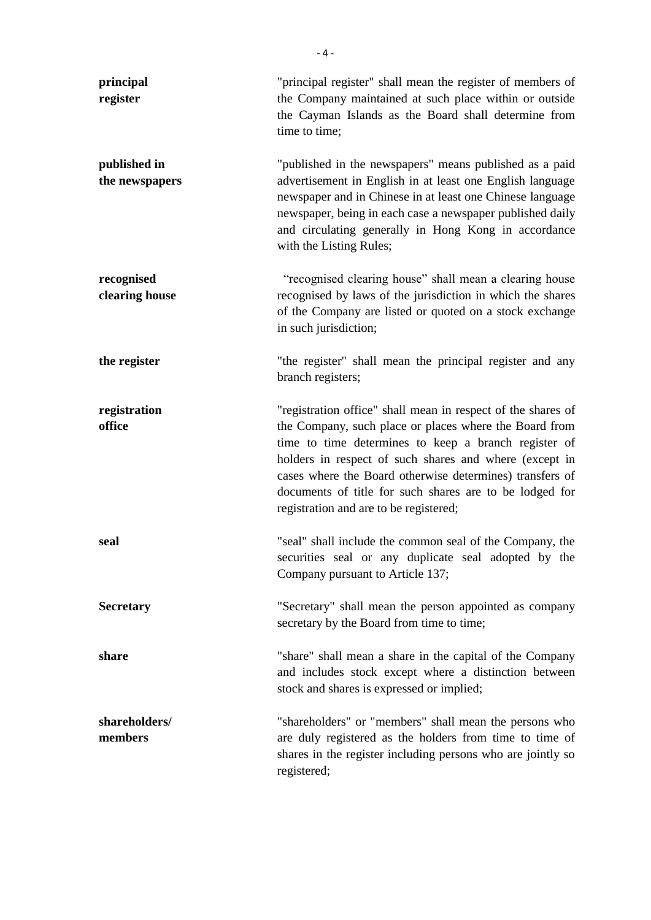| principal<br>register          | "principal register" shall mean the register of members of<br>the Company maintained at such place within or outside<br>the Cayman Islands as the Board shall determine from<br>time to time;                                                                                                                                                                                                             |
|--------------------------------|-----------------------------------------------------------------------------------------------------------------------------------------------------------------------------------------------------------------------------------------------------------------------------------------------------------------------------------------------------------------------------------------------------------|
| published in<br>the newspapers | "published in the newspapers" means published as a paid<br>advertisement in English in at least one English language<br>newspaper and in Chinese in at least one Chinese language<br>newspaper, being in each case a newspaper published daily<br>and circulating generally in Hong Kong in accordance<br>with the Listing Rules;                                                                         |
| recognised<br>clearing house   | "recognised clearing house" shall mean a clearing house<br>recognised by laws of the jurisdiction in which the shares<br>of the Company are listed or quoted on a stock exchange<br>in such jurisdiction;                                                                                                                                                                                                 |
| the register                   | "the register" shall mean the principal register and any<br>branch registers;                                                                                                                                                                                                                                                                                                                             |
| registration<br>office         | "registration office" shall mean in respect of the shares of<br>the Company, such place or places where the Board from<br>time to time determines to keep a branch register of<br>holders in respect of such shares and where (except in<br>cases where the Board otherwise determines) transfers of<br>documents of title for such shares are to be lodged for<br>registration and are to be registered; |
| seal                           | "seal" shall include the common seal of the Company, the<br>securities seal or any duplicate seal adopted by the<br>Company pursuant to Article 137;                                                                                                                                                                                                                                                      |
| <b>Secretary</b>               | "Secretary" shall mean the person appointed as company<br>secretary by the Board from time to time;                                                                                                                                                                                                                                                                                                       |
| share                          | "share" shall mean a share in the capital of the Company<br>and includes stock except where a distinction between<br>stock and shares is expressed or implied;                                                                                                                                                                                                                                            |
| shareholders/<br>members       | "shareholders" or "members" shall mean the persons who<br>are duly registered as the holders from time to time of<br>shares in the register including persons who are jointly so<br>registered;                                                                                                                                                                                                           |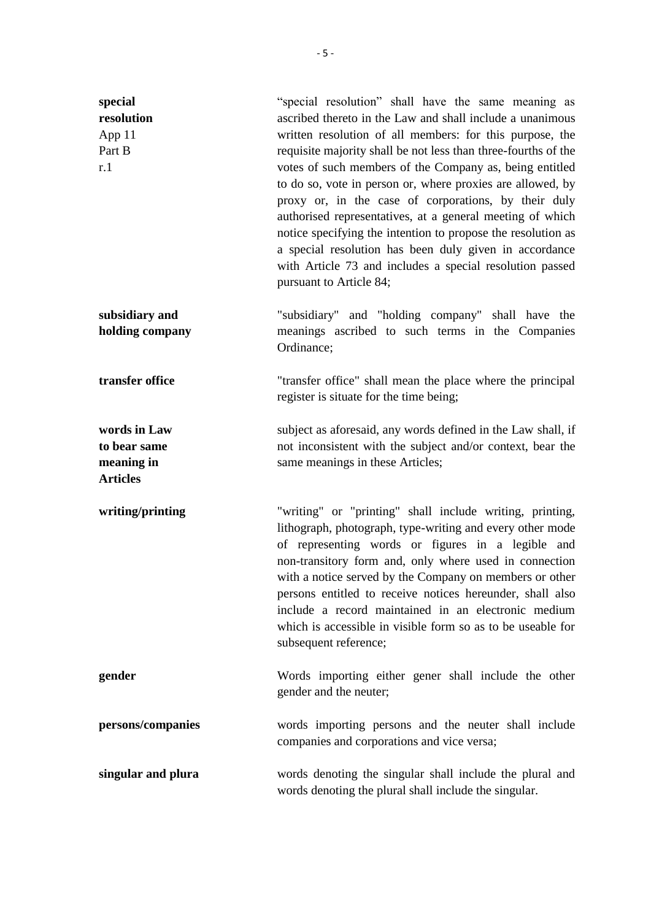| special<br>resolution<br>App 11<br>Part B<br>r.1              | "special resolution" shall have the same meaning as<br>ascribed thereto in the Law and shall include a unanimous<br>written resolution of all members: for this purpose, the<br>requisite majority shall be not less than three-fourths of the<br>votes of such members of the Company as, being entitled<br>to do so, vote in person or, where proxies are allowed, by<br>proxy or, in the case of corporations, by their duly<br>authorised representatives, at a general meeting of which<br>notice specifying the intention to propose the resolution as<br>a special resolution has been duly given in accordance<br>with Article 73 and includes a special resolution passed<br>pursuant to Article 84; |
|---------------------------------------------------------------|---------------------------------------------------------------------------------------------------------------------------------------------------------------------------------------------------------------------------------------------------------------------------------------------------------------------------------------------------------------------------------------------------------------------------------------------------------------------------------------------------------------------------------------------------------------------------------------------------------------------------------------------------------------------------------------------------------------|
| subsidiary and<br>holding company                             | "subsidiary" and "holding company" shall have the<br>meanings ascribed to such terms in the Companies<br>Ordinance;                                                                                                                                                                                                                                                                                                                                                                                                                                                                                                                                                                                           |
| transfer office                                               | "transfer office" shall mean the place where the principal<br>register is situate for the time being;                                                                                                                                                                                                                                                                                                                                                                                                                                                                                                                                                                                                         |
| words in Law<br>to bear same<br>meaning in<br><b>Articles</b> | subject as aforesaid, any words defined in the Law shall, if<br>not inconsistent with the subject and/or context, bear the<br>same meanings in these Articles;                                                                                                                                                                                                                                                                                                                                                                                                                                                                                                                                                |
| writing/printing                                              | "writing" or "printing" shall include writing, printing,<br>lithograph, photograph, type-writing and every other mode<br>of representing words or figures in a legible and<br>non-transitory form and, only where used in connection<br>with a notice served by the Company on members or other<br>persons entitled to receive notices hereunder, shall also<br>include a record maintained in an electronic medium<br>which is accessible in visible form so as to be useable for<br>subsequent reference;                                                                                                                                                                                                   |
| gender                                                        | Words importing either gener shall include the other<br>gender and the neuter;                                                                                                                                                                                                                                                                                                                                                                                                                                                                                                                                                                                                                                |
| persons/companies                                             | words importing persons and the neuter shall include<br>companies and corporations and vice versa;                                                                                                                                                                                                                                                                                                                                                                                                                                                                                                                                                                                                            |
| singular and plura                                            | words denoting the singular shall include the plural and<br>words denoting the plural shall include the singular.                                                                                                                                                                                                                                                                                                                                                                                                                                                                                                                                                                                             |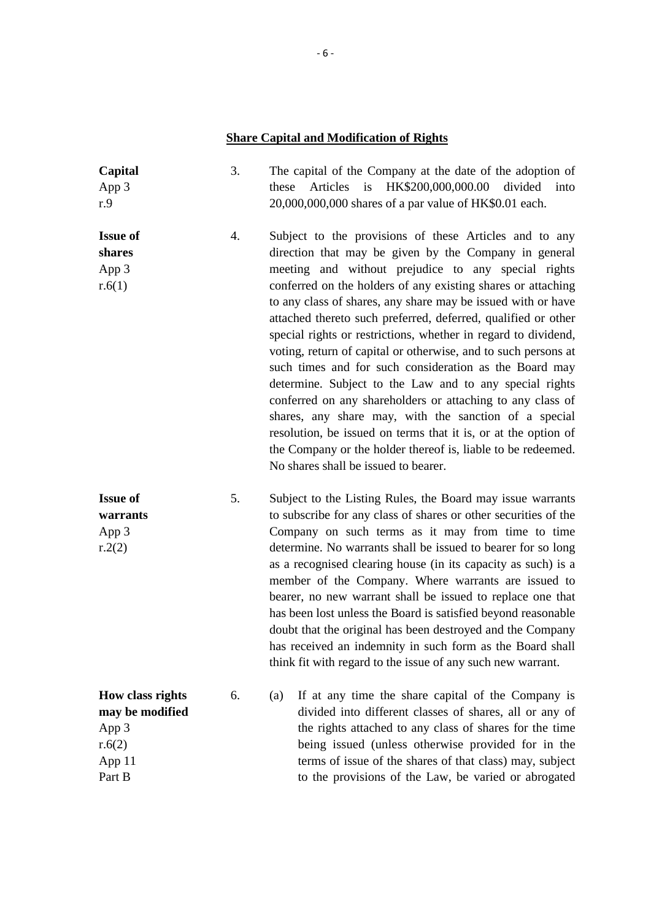# **Share Capital and Modification of Rights**

| Capital<br>App 3<br>r.9                                                    | 3. | The capital of the Company at the date of the adoption of<br>Articles<br>is<br>HK\$200,000,000.00<br>divided<br>these<br>into<br>20,000,000,000 shares of a par value of HK\$0.01 each.                                                                                                                                                                                                                                                                                                                                                                                                                                                                                                                                                                                                                                                                                                                                           |
|----------------------------------------------------------------------------|----|-----------------------------------------------------------------------------------------------------------------------------------------------------------------------------------------------------------------------------------------------------------------------------------------------------------------------------------------------------------------------------------------------------------------------------------------------------------------------------------------------------------------------------------------------------------------------------------------------------------------------------------------------------------------------------------------------------------------------------------------------------------------------------------------------------------------------------------------------------------------------------------------------------------------------------------|
| <b>Issue of</b><br>shares<br>App 3<br>r.6(1)                               | 4. | Subject to the provisions of these Articles and to any<br>direction that may be given by the Company in general<br>meeting and without prejudice to any special rights<br>conferred on the holders of any existing shares or attaching<br>to any class of shares, any share may be issued with or have<br>attached thereto such preferred, deferred, qualified or other<br>special rights or restrictions, whether in regard to dividend,<br>voting, return of capital or otherwise, and to such persons at<br>such times and for such consideration as the Board may<br>determine. Subject to the Law and to any special rights<br>conferred on any shareholders or attaching to any class of<br>shares, any share may, with the sanction of a special<br>resolution, be issued on terms that it is, or at the option of<br>the Company or the holder thereof is, liable to be redeemed.<br>No shares shall be issued to bearer. |
| <b>Issue of</b><br>warrants<br>App 3<br>r.2(2)                             | 5. | Subject to the Listing Rules, the Board may issue warrants<br>to subscribe for any class of shares or other securities of the<br>Company on such terms as it may from time to time<br>determine. No warrants shall be issued to bearer for so long<br>as a recognised clearing house (in its capacity as such) is a<br>member of the Company. Where warrants are issued to<br>bearer, no new warrant shall be issued to replace one that<br>has been lost unless the Board is satisfied beyond reasonable<br>doubt that the original has been destroyed and the Company<br>has received an indemnity in such form as the Board shall<br>think fit with regard to the issue of any such new warrant.                                                                                                                                                                                                                               |
| How class rights<br>may be modified<br>App 3<br>r.6(2)<br>App 11<br>Part B | 6. | If at any time the share capital of the Company is<br>(a)<br>divided into different classes of shares, all or any of<br>the rights attached to any class of shares for the time<br>being issued (unless otherwise provided for in the<br>terms of issue of the shares of that class) may, subject<br>to the provisions of the Law, be varied or abrogated                                                                                                                                                                                                                                                                                                                                                                                                                                                                                                                                                                         |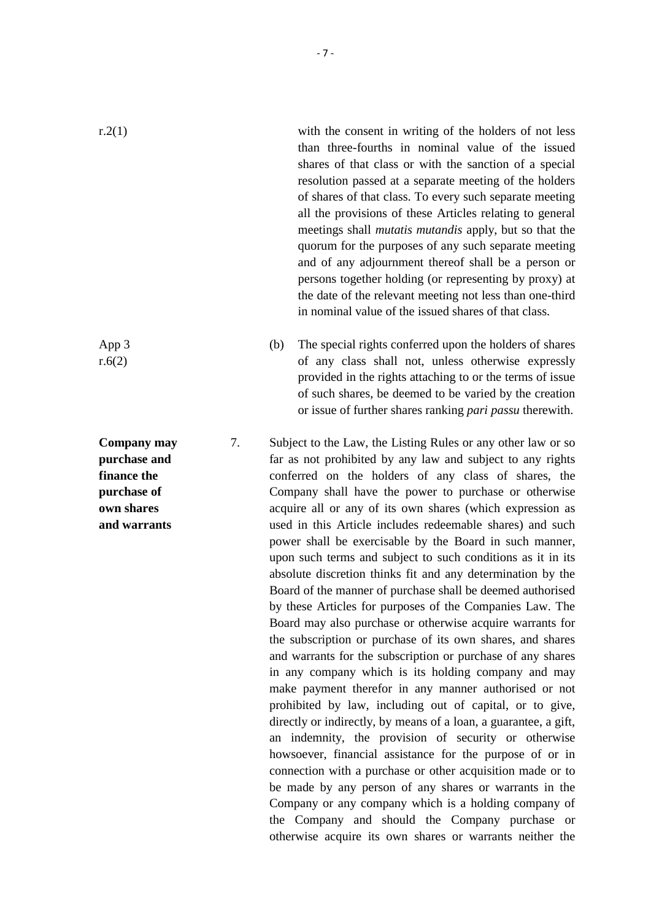r.2(1) with the consent in writing of the holders of not less than three-fourths in nominal value of the issued shares of that class or with the sanction of a special resolution passed at a separate meeting of the holders of shares of that class. To every such separate meeting all the provisions of these Articles relating to general meetings shall *mutatis mutandis* apply, but so that the quorum for the purposes of any such separate meeting and of any adjournment thereof shall be a person or persons together holding (or representing by proxy) at the date of the relevant meeting not less than one-third in nominal value of the issued shares of that class.

> (b) The special rights conferred upon the holders of shares of any class shall not, unless otherwise expressly provided in the rights attaching to or the terms of issue of such shares, be deemed to be varied by the creation or issue of further shares ranking *pari passu* therewith.

7. Subject to the Law, the Listing Rules or any other law or so far as not prohibited by any law and subject to any rights conferred on the holders of any class of shares, the Company shall have the power to purchase or otherwise acquire all or any of its own shares (which expression as used in this Article includes redeemable shares) and such power shall be exercisable by the Board in such manner, upon such terms and subject to such conditions as it in its absolute discretion thinks fit and any determination by the Board of the manner of purchase shall be deemed authorised by these Articles for purposes of the Companies Law. The Board may also purchase or otherwise acquire warrants for the subscription or purchase of its own shares, and shares and warrants for the subscription or purchase of any shares in any company which is its holding company and may make payment therefor in any manner authorised or not prohibited by law, including out of capital, or to give, directly or indirectly, by means of a loan, a guarantee, a gift, an indemnity, the provision of security or otherwise howsoever, financial assistance for the purpose of or in connection with a purchase or other acquisition made or to be made by any person of any shares or warrants in the Company or any company which is a holding company of the Company and should the Company purchase or otherwise acquire its own shares or warrants neither the

App 3 r.6(2)

**Company may purchase and finance the purchase of own shares and warrants**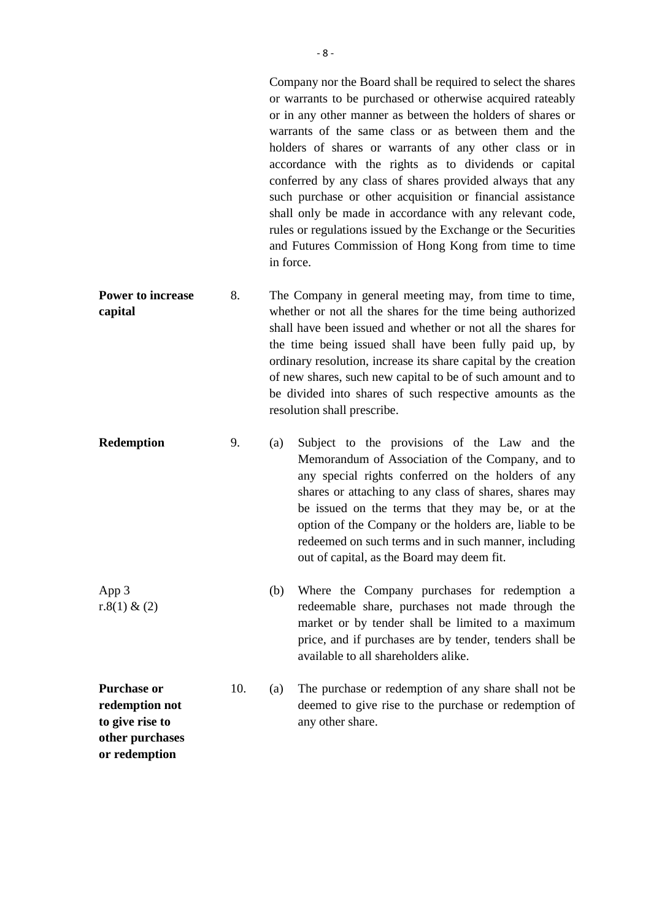Company nor the Board shall be required to select the shares or warrants to be purchased or otherwise acquired rateably or in any other manner as between the holders of shares or warrants of the same class or as between them and the holders of shares or warrants of any other class or in accordance with the rights as to dividends or capital conferred by any class of shares provided always that any such purchase or other acquisition or financial assistance shall only be made in accordance with any relevant code, rules or regulations issued by the Exchange or the Securities and Futures Commission of Hong Kong from time to time in force.

- **Power to increase capital** 8. The Company in general meeting may, from time to time, whether or not all the shares for the time being authorized shall have been issued and whether or not all the shares for the time being issued shall have been fully paid up, by ordinary resolution, increase its share capital by the creation of new shares, such new capital to be of such amount and to be divided into shares of such respective amounts as the resolution shall prescribe.
- **Redemption** 9. (a) Subject to the provisions of the Law and the Memorandum of Association of the Company, and to any special rights conferred on the holders of any shares or attaching to any class of shares, shares may be issued on the terms that they may be, or at the option of the Company or the holders are, liable to be redeemed on such terms and in such manner, including out of capital, as the Board may deem fit.
- App 3 r. $8(1)$  &  $(2)$ (b) Where the Company purchases for redemption a redeemable share, purchases not made through the market or by tender shall be limited to a maximum price, and if purchases are by tender, tenders shall be available to all shareholders alike.

**Purchase or redemption not to give rise to other purchases or redemption**

10. (a) The purchase or redemption of any share shall not be deemed to give rise to the purchase or redemption of any other share.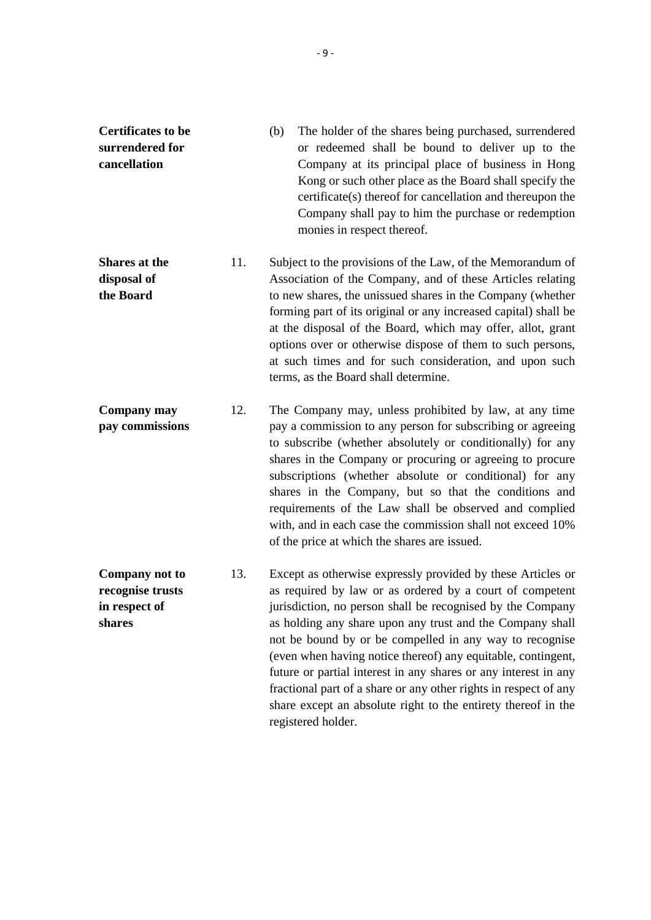| <b>Certificates to be</b> | (h) | The holder of the shares being purchased, surrendered     |
|---------------------------|-----|-----------------------------------------------------------|
| surrendered for           |     | or redeemed shall be bound to deliver up to the           |
| cancellation              |     | Company at its principal place of business in Hong        |
|                           |     | Kong or such other place as the Board shall specify the   |
|                           |     | certificate(s) thereof for cancellation and thereupon the |
|                           |     | Company shall pay to him the purchase or redemption       |
|                           |     | monies in respect thereof.                                |

- **Shares at the disposal of the Board** 11. Subject to the provisions of the Law, of the Memorandum of Association of the Company, and of these Articles relating to new shares, the unissued shares in the Company (whether forming part of its original or any increased capital) shall be at the disposal of the Board, which may offer, allot, grant options over or otherwise dispose of them to such persons, at such times and for such consideration, and upon such terms, as the Board shall determine.
- **Company may pay commissions** 12. The Company may, unless prohibited by law, at any time pay a commission to any person for subscribing or agreeing to subscribe (whether absolutely or conditionally) for any shares in the Company or procuring or agreeing to procure subscriptions (whether absolute or conditional) for any shares in the Company, but so that the conditions and requirements of the Law shall be observed and complied with, and in each case the commission shall not exceed 10% of the price at which the shares are issued.
- **Company not to recognise trusts in respect of shares** 13. Except as otherwise expressly provided by these Articles or as required by law or as ordered by a court of competent jurisdiction, no person shall be recognised by the Company as holding any share upon any trust and the Company shall not be bound by or be compelled in any way to recognise (even when having notice thereof) any equitable, contingent, future or partial interest in any shares or any interest in any fractional part of a share or any other rights in respect of any share except an absolute right to the entirety thereof in the registered holder.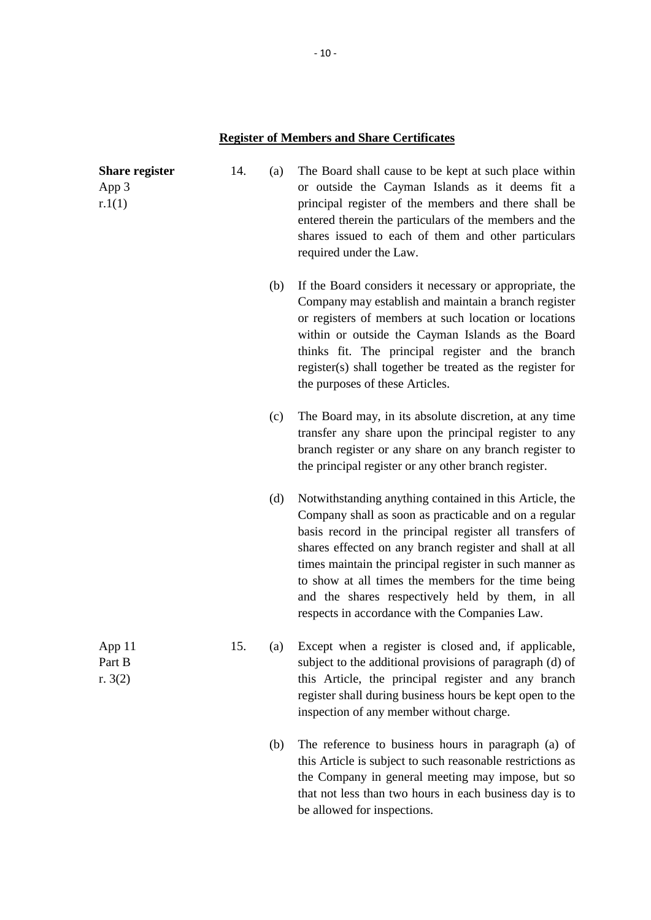# **Register of Members and Share Certificates**

| <b>Share register</b><br>App 3<br>r.1(1) | 14. | (a) | The Board shall cause to be kept at such place within<br>or outside the Cayman Islands as it deems fit a<br>principal register of the members and there shall be<br>entered therein the particulars of the members and the<br>shares issued to each of them and other particulars<br>required under the Law.                                                                                                                                                   |
|------------------------------------------|-----|-----|----------------------------------------------------------------------------------------------------------------------------------------------------------------------------------------------------------------------------------------------------------------------------------------------------------------------------------------------------------------------------------------------------------------------------------------------------------------|
|                                          |     | (b) | If the Board considers it necessary or appropriate, the<br>Company may establish and maintain a branch register<br>or registers of members at such location or locations<br>within or outside the Cayman Islands as the Board<br>thinks fit. The principal register and the branch<br>register(s) shall together be treated as the register for<br>the purposes of these Articles.                                                                             |
|                                          |     | (c) | The Board may, in its absolute discretion, at any time<br>transfer any share upon the principal register to any<br>branch register or any share on any branch register to<br>the principal register or any other branch register.                                                                                                                                                                                                                              |
|                                          |     | (d) | Notwithstanding anything contained in this Article, the<br>Company shall as soon as practicable and on a regular<br>basis record in the principal register all transfers of<br>shares effected on any branch register and shall at all<br>times maintain the principal register in such manner as<br>to show at all times the members for the time being<br>and the shares respectively held by them, in all<br>respects in accordance with the Companies Law. |
| App11<br>Part B<br>r. $3(2)$             | 15. | (a) | Except when a register is closed and, if applicable,<br>subject to the additional provisions of paragraph (d) of<br>this Article, the principal register and any branch<br>register shall during business hours be kept open to the<br>inspection of any member without charge.                                                                                                                                                                                |
|                                          |     | (b) | The reference to business hours in paragraph (a) of<br>this Article is subject to such reasonable restrictions as<br>the Company in general meeting may impose, but so<br>that not less than two hours in each business day is to<br>be allowed for inspections.                                                                                                                                                                                               |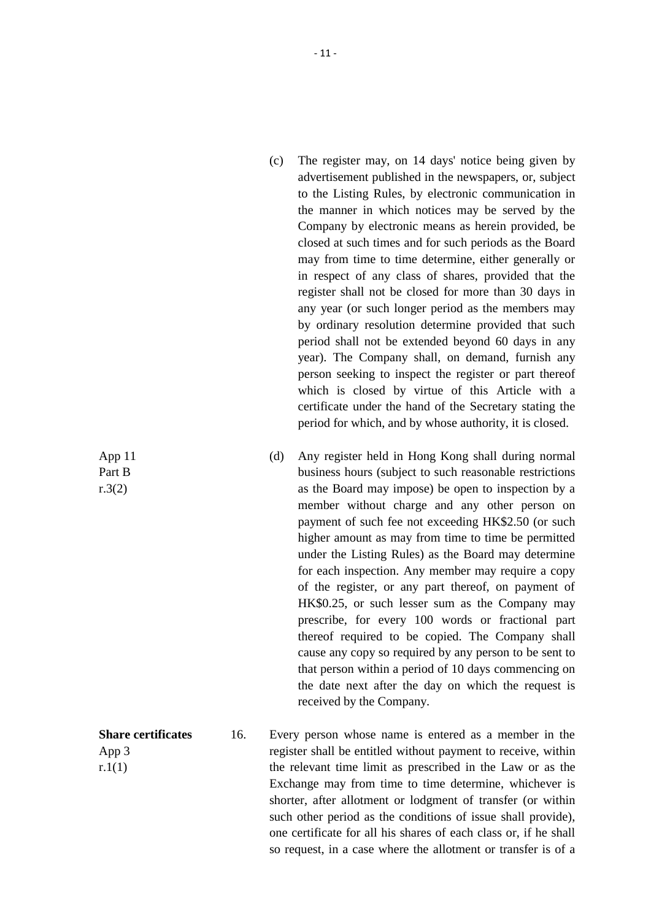- (c) The register may, on 14 days' notice being given by advertisement published in the newspapers, or, subject to the Listing Rules, by electronic communication in the manner in which notices may be served by the Company by electronic means as herein provided, be closed at such times and for such periods as the Board may from time to time determine, either generally or in respect of any class of shares, provided that the register shall not be closed for more than 30 days in any year (or such longer period as the members may by ordinary resolution determine provided that such period shall not be extended beyond 60 days in any year). The Company shall, on demand, furnish any person seeking to inspect the register or part thereof which is closed by virtue of this Article with a certificate under the hand of the Secretary stating the period for which, and by whose authority, it is closed.
- (d) Any register held in Hong Kong shall during normal business hours (subject to such reasonable restrictions as the Board may impose) be open to inspection by a member without charge and any other person on payment of such fee not exceeding HK\$2.50 (or such higher amount as may from time to time be permitted under the Listing Rules) as the Board may determine for each inspection. Any member may require a copy of the register, or any part thereof, on payment of HK\$0.25, or such lesser sum as the Company may prescribe, for every 100 words or fractional part thereof required to be copied. The Company shall cause any copy so required by any person to be sent to that person within a period of 10 days commencing on the date next after the day on which the request is received by the Company.

**Share certificates** App 3 16. Every person whose name is entered as a member in the register shall be entitled without payment to receive, within the relevant time limit as prescribed in the Law or as the Exchange may from time to time determine, whichever is shorter, after allotment or lodgment of transfer (or within such other period as the conditions of issue shall provide), one certificate for all his shares of each class or, if he shall so request, in a case where the allotment or transfer is of a

App 11 Part B

r.3(2)

 $r.1(1)$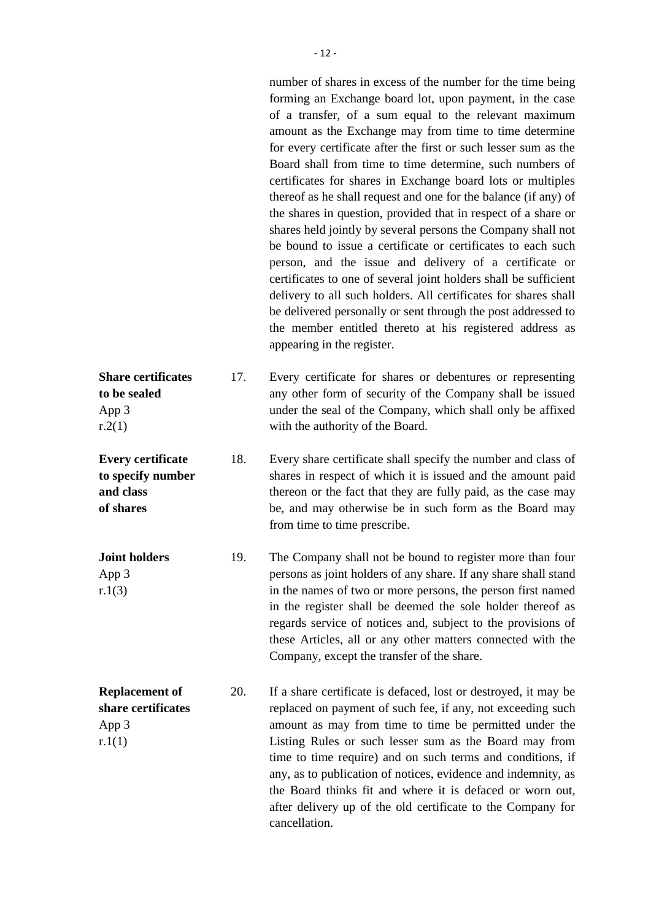number of shares in excess of the number for the time being forming an Exchange board lot, upon payment, in the case of a transfer, of a sum equal to the relevant maximum amount as the Exchange may from time to time determine for every certificate after the first or such lesser sum as the Board shall from time to time determine, such numbers of certificates for shares in Exchange board lots or multiples thereof as he shall request and one for the balance (if any) of the shares in question, provided that in respect of a share or shares held jointly by several persons the Company shall not be bound to issue a certificate or certificates to each such person, and the issue and delivery of a certificate or certificates to one of several joint holders shall be sufficient delivery to all such holders. All certificates for shares shall be delivered personally or sent through the post addressed to the member entitled thereto at his registered address as appearing in the register.

**Share certificates to be sealed** App 3  $r.2(1)$ 17. Every certificate for shares or debentures or representing any other form of security of the Company shall be issued under the seal of the Company, which shall only be affixed with the authority of the Board.

> 18. Every share certificate shall specify the number and class of shares in respect of which it is issued and the amount paid thereon or the fact that they are fully paid, as the case may be, and may otherwise be in such form as the Board may from time to time prescribe.

19. The Company shall not be bound to register more than four persons as joint holders of any share. If any share shall stand in the names of two or more persons, the person first named in the register shall be deemed the sole holder thereof as regards service of notices and, subject to the provisions of these Articles, all or any other matters connected with the Company, except the transfer of the share.

**Replacement of share certificates** 20. If a share certificate is defaced, lost or destroyed, it may be replaced on payment of such fee, if any, not exceeding such App 3  $r.1(1)$ amount as may from time to time be permitted under the Listing Rules or such lesser sum as the Board may from time to time require) and on such terms and conditions, if any, as to publication of notices, evidence and indemnity, as the Board thinks fit and where it is defaced or worn out, after delivery up of the old certificate to the Company for cancellation.

**Every certificate to specify number and class of shares**

**Joint holders** App 3 r.1(3)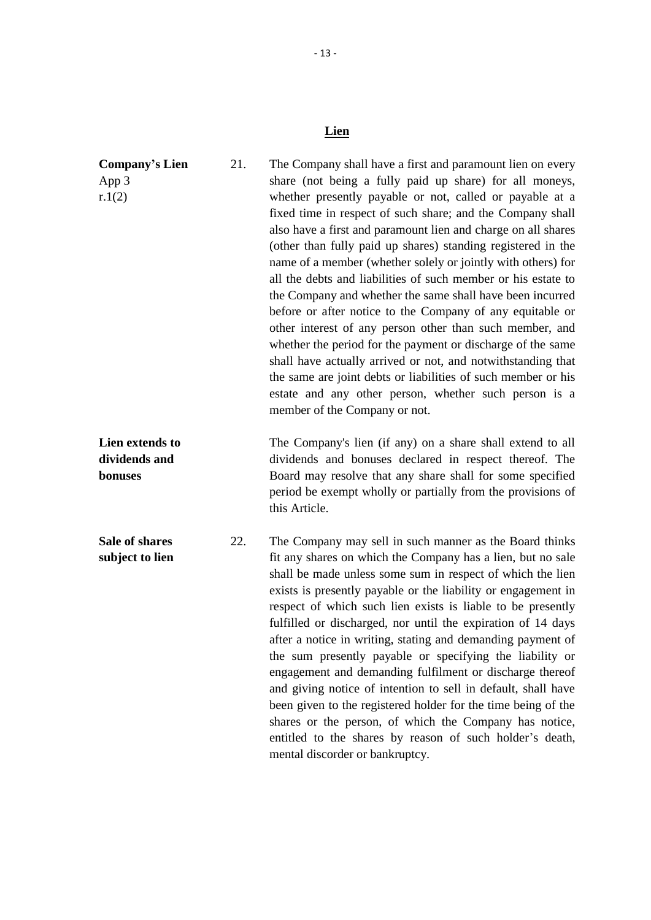# **Lien**

| <b>Company's Lien</b>                       | 21. | The Company shall have a first and paramount lien on every                                                                                                                                                                                                                                                                                                                                                                                                                                                                                                                                                                                                                                                                                                                                                                                                                                                                          |
|---------------------------------------------|-----|-------------------------------------------------------------------------------------------------------------------------------------------------------------------------------------------------------------------------------------------------------------------------------------------------------------------------------------------------------------------------------------------------------------------------------------------------------------------------------------------------------------------------------------------------------------------------------------------------------------------------------------------------------------------------------------------------------------------------------------------------------------------------------------------------------------------------------------------------------------------------------------------------------------------------------------|
| App 3<br>r.1(2)                             |     | share (not being a fully paid up share) for all moneys,<br>whether presently payable or not, called or payable at a<br>fixed time in respect of such share; and the Company shall<br>also have a first and paramount lien and charge on all shares<br>(other than fully paid up shares) standing registered in the<br>name of a member (whether solely or jointly with others) for<br>all the debts and liabilities of such member or his estate to<br>the Company and whether the same shall have been incurred<br>before or after notice to the Company of any equitable or<br>other interest of any person other than such member, and<br>whether the period for the payment or discharge of the same<br>shall have actually arrived or not, and notwithstanding that<br>the same are joint debts or liabilities of such member or his<br>estate and any other person, whether such person is a<br>member of the Company or not. |
| Lien extends to<br>dividends and<br>bonuses |     | The Company's lien (if any) on a share shall extend to all<br>dividends and bonuses declared in respect thereof. The<br>Board may resolve that any share shall for some specified<br>period be exempt wholly or partially from the provisions of<br>this Article.                                                                                                                                                                                                                                                                                                                                                                                                                                                                                                                                                                                                                                                                   |
| Sale of shares<br>subject to lien           | 22. | The Company may sell in such manner as the Board thinks<br>fit any shares on which the Company has a lien, but no sale<br>shall be made unless some sum in respect of which the lien<br>exists is presently payable or the liability or engagement in<br>respect of which such lien exists is liable to be presently<br>fulfilled or discharged, nor until the expiration of 14 days<br>after a notice in writing, stating and demanding payment of<br>the sum presently payable or specifying the liability or<br>engagement and demanding fulfilment or discharge thereof<br>and giving notice of intention to sell in default, shall have<br>been given to the registered holder for the time being of the<br>shares or the person, of which the Company has notice,<br>entitled to the shares by reason of such holder's death,<br>mental discorder or bankruptcy.                                                              |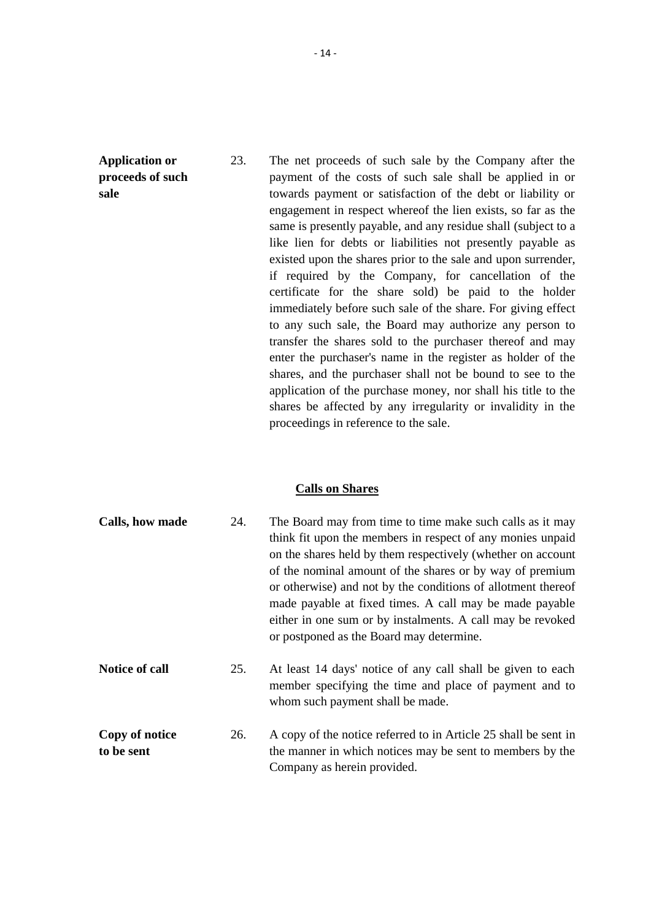**Application or proceeds of such sale**

23. The net proceeds of such sale by the Company after the payment of the costs of such sale shall be applied in or towards payment or satisfaction of the debt or liability or engagement in respect whereof the lien exists, so far as the same is presently payable, and any residue shall (subject to a like lien for debts or liabilities not presently payable as existed upon the shares prior to the sale and upon surrender, if required by the Company, for cancellation of the certificate for the share sold) be paid to the holder immediately before such sale of the share. For giving effect to any such sale, the Board may authorize any person to transfer the shares sold to the purchaser thereof and may enter the purchaser's name in the register as holder of the shares, and the purchaser shall not be bound to see to the application of the purchase money, nor shall his title to the shares be affected by any irregularity or invalidity in the proceedings in reference to the sale.

### **Calls on Shares**

| Calls, how made              | 24. | The Board may from time to time make such calls as it may<br>think fit upon the members in respect of any monies unpaid<br>on the shares held by them respectively (whether on account<br>of the nominal amount of the shares or by way of premium<br>or otherwise) and not by the conditions of allotment thereof<br>made payable at fixed times. A call may be made payable<br>either in one sum or by instalments. A call may be revoked<br>or postponed as the Board may determine. |
|------------------------------|-----|-----------------------------------------------------------------------------------------------------------------------------------------------------------------------------------------------------------------------------------------------------------------------------------------------------------------------------------------------------------------------------------------------------------------------------------------------------------------------------------------|
| <b>Notice of call</b>        | 25. | At least 14 days' notice of any call shall be given to each<br>member specifying the time and place of payment and to<br>whom such payment shall be made.                                                                                                                                                                                                                                                                                                                               |
| Copy of notice<br>to be sent | 26. | A copy of the notice referred to in Article 25 shall be sent in<br>the manner in which notices may be sent to members by the<br>Company as herein provided.                                                                                                                                                                                                                                                                                                                             |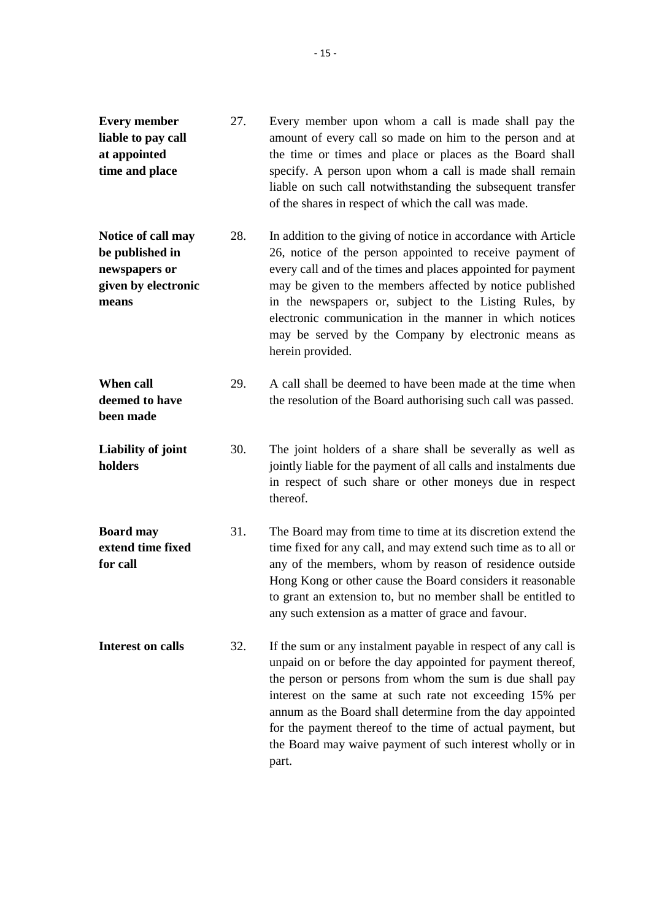| <b>Every member</b><br>liable to pay call<br>at appointed<br>time and place            | 27. | Every member upon whom a call is made shall pay the<br>amount of every call so made on him to the person and at<br>the time or times and place or places as the Board shall<br>specify. A person upon whom a call is made shall remain<br>liable on such call notwithstanding the subsequent transfer<br>of the shares in respect of which the call was made.                                                                                          |
|----------------------------------------------------------------------------------------|-----|--------------------------------------------------------------------------------------------------------------------------------------------------------------------------------------------------------------------------------------------------------------------------------------------------------------------------------------------------------------------------------------------------------------------------------------------------------|
| Notice of call may<br>be published in<br>newspapers or<br>given by electronic<br>means | 28. | In addition to the giving of notice in accordance with Article<br>26, notice of the person appointed to receive payment of<br>every call and of the times and places appointed for payment<br>may be given to the members affected by notice published<br>in the newspapers or, subject to the Listing Rules, by<br>electronic communication in the manner in which notices<br>may be served by the Company by electronic means as<br>herein provided. |
| When call<br>deemed to have<br>been made                                               | 29. | A call shall be deemed to have been made at the time when<br>the resolution of the Board authorising such call was passed.                                                                                                                                                                                                                                                                                                                             |
| Liability of joint<br>holders                                                          | 30. | The joint holders of a share shall be severally as well as<br>jointly liable for the payment of all calls and instalments due<br>in respect of such share or other moneys due in respect<br>thereof.                                                                                                                                                                                                                                                   |
| <b>Board may</b><br>extend time fixed<br>for call                                      | 31. | The Board may from time to time at its discretion extend the<br>time fixed for any call, and may extend such time as to all or<br>any of the members, whom by reason of residence outside<br>Hong Kong or other cause the Board considers it reasonable<br>to grant an extension to, but no member shall be entitled to<br>any such extension as a matter of grace and favour.                                                                         |
| Interest on calls                                                                      | 32. | If the sum or any instalment payable in respect of any call is<br>unpaid on or before the day appointed for payment thereof,<br>the person or persons from whom the sum is due shall pay<br>interest on the same at such rate not exceeding 15% per<br>annum as the Board shall determine from the day appointed<br>for the payment thereof to the time of actual payment, but<br>the Board may waive payment of such interest wholly or in<br>part.   |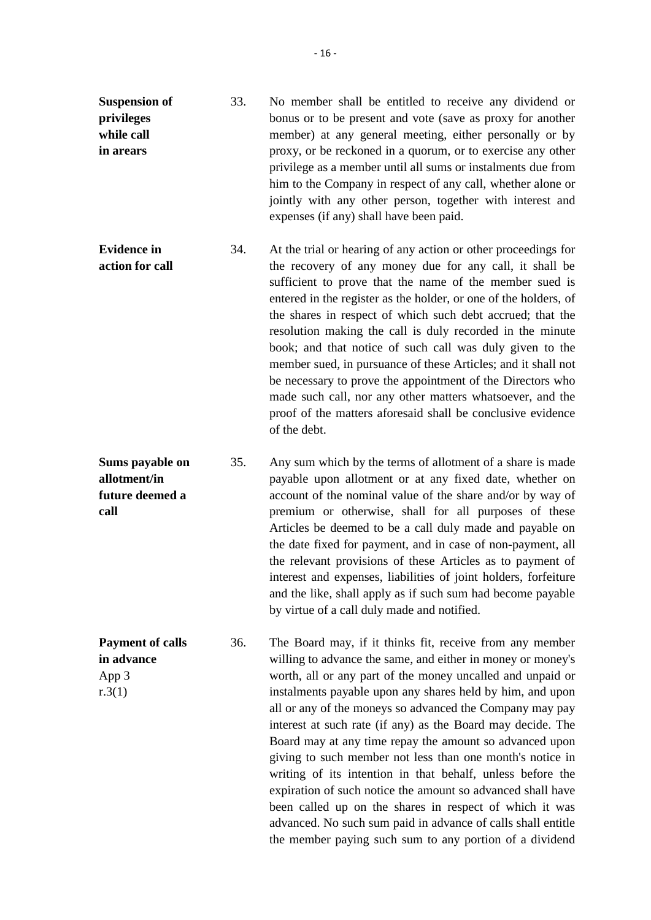- **Suspension of privileges while call in arears** 33. No member shall be entitled to receive any dividend or bonus or to be present and vote (save as proxy for another member) at any general meeting, either personally or by proxy, or be reckoned in a quorum, or to exercise any other privilege as a member until all sums or instalments due from him to the Company in respect of any call, whether alone or jointly with any other person, together with interest and expenses (if any) shall have been paid.
- **Evidence in action for call** 34. At the trial or hearing of any action or other proceedings for the recovery of any money due for any call, it shall be sufficient to prove that the name of the member sued is entered in the register as the holder, or one of the holders, of the shares in respect of which such debt accrued; that the resolution making the call is duly recorded in the minute book; and that notice of such call was duly given to the member sued, in pursuance of these Articles; and it shall not be necessary to prove the appointment of the Directors who made such call, nor any other matters whatsoever, and the proof of the matters aforesaid shall be conclusive evidence of the debt.
- **Sums payable on allotment/in future deemed a call** 35. Any sum which by the terms of allotment of a share is made payable upon allotment or at any fixed date, whether on account of the nominal value of the share and/or by way of premium or otherwise, shall for all purposes of these Articles be deemed to be a call duly made and payable on the date fixed for payment, and in case of non-payment, all the relevant provisions of these Articles as to payment of interest and expenses, liabilities of joint holders, forfeiture and the like, shall apply as if such sum had become payable by virtue of a call duly made and notified.
- **Payment of calls in advance** App 3 r.3(1) 36. The Board may, if it thinks fit, receive from any member willing to advance the same, and either in money or money's worth, all or any part of the money uncalled and unpaid or instalments payable upon any shares held by him, and upon all or any of the moneys so advanced the Company may pay interest at such rate (if any) as the Board may decide. The Board may at any time repay the amount so advanced upon giving to such member not less than one month's notice in writing of its intention in that behalf, unless before the expiration of such notice the amount so advanced shall have been called up on the shares in respect of which it was advanced. No such sum paid in advance of calls shall entitle the member paying such sum to any portion of a dividend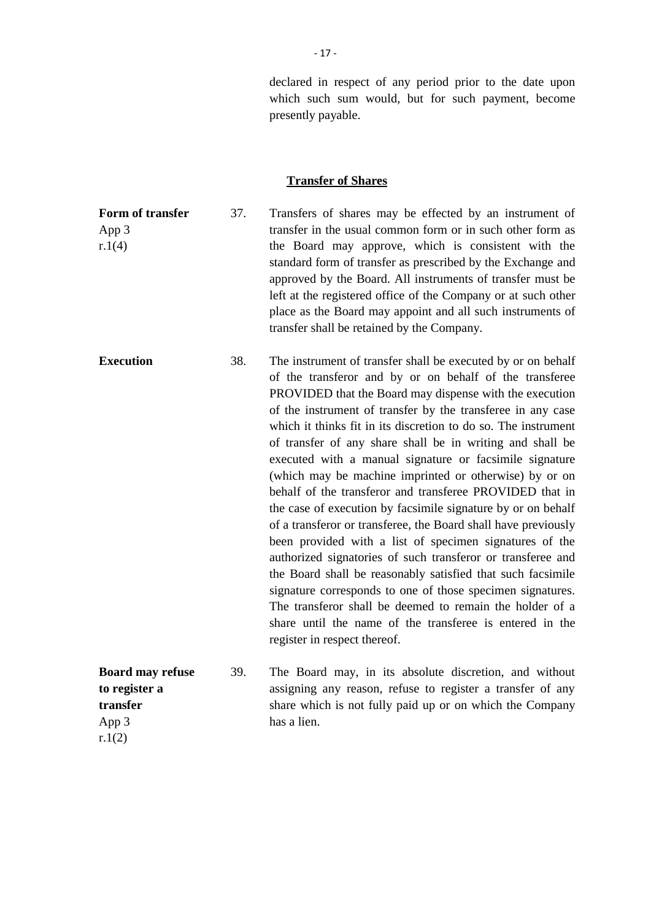declared in respect of any period prior to the date upon which such sum would, but for such payment, become presently payable.

#### **Transfer of Shares**

**Form of transfer** App 3 r.1(4) 37. Transfers of shares may be effected by an instrument of transfer in the usual common form or in such other form as the Board may approve, which is consistent with the standard form of transfer as prescribed by the Exchange and approved by the Board. All instruments of transfer must be left at the registered office of the Company or at such other place as the Board may appoint and all such instruments of transfer shall be retained by the Company. **Execution** 38. The instrument of transfer shall be executed by or on behalf of the transferor and by or on behalf of the transferee PROVIDED that the Board may dispense with the execution of the instrument of transfer by the transferee in any case which it thinks fit in its discretion to do so. The instrument of transfer of any share shall be in writing and shall be executed with a manual signature or facsimile signature (which may be machine imprinted or otherwise) by or on behalf of the transferor and transferee PROVIDED that in the case of execution by facsimile signature by or on behalf of a transferor or transferee, the Board shall have previously been provided with a list of specimen signatures of the authorized signatories of such transferor or transferee and the Board shall be reasonably satisfied that such facsimile signature corresponds to one of those specimen signatures. The transferor shall be deemed to remain the holder of a share until the name of the transferee is entered in the register in respect thereof. **Board may refuse to register a transfer** 39. The Board may, in its absolute discretion, and without assigning any reason, refuse to register a transfer of any share which is not fully paid up or on which the Company

has a lien.

App 3 r.1(2)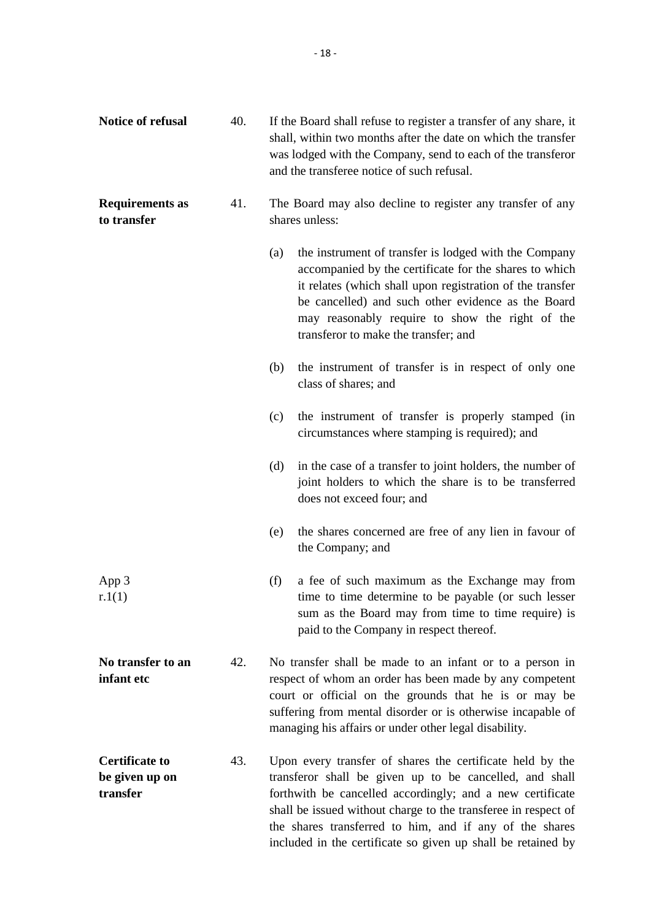| Notice of refusal                                   | 40. | If the Board shall refuse to register a transfer of any share, it<br>shall, within two months after the date on which the transfer<br>was lodged with the Company, send to each of the transferor<br>and the transferee notice of such refusal.                                                                                                                                |
|-----------------------------------------------------|-----|--------------------------------------------------------------------------------------------------------------------------------------------------------------------------------------------------------------------------------------------------------------------------------------------------------------------------------------------------------------------------------|
| <b>Requirements as</b><br>to transfer               | 41. | The Board may also decline to register any transfer of any<br>shares unless:                                                                                                                                                                                                                                                                                                   |
|                                                     |     | the instrument of transfer is lodged with the Company<br>(a)<br>accompanied by the certificate for the shares to which<br>it relates (which shall upon registration of the transfer<br>be cancelled) and such other evidence as the Board<br>may reasonably require to show the right of the<br>transferor to make the transfer; and                                           |
|                                                     |     | the instrument of transfer is in respect of only one<br>(b)<br>class of shares; and                                                                                                                                                                                                                                                                                            |
|                                                     |     | the instrument of transfer is properly stamped (in<br>(c)<br>circumstances where stamping is required); and                                                                                                                                                                                                                                                                    |
|                                                     |     | in the case of a transfer to joint holders, the number of<br>(d)<br>joint holders to which the share is to be transferred<br>does not exceed four; and                                                                                                                                                                                                                         |
|                                                     |     | the shares concerned are free of any lien in favour of<br>(e)<br>the Company; and                                                                                                                                                                                                                                                                                              |
| App 3<br>r.1(1)                                     |     | (f)<br>a fee of such maximum as the Exchange may from<br>time to time determine to be payable (or such lesser<br>sum as the Board may from time to time require) is<br>paid to the Company in respect thereof.                                                                                                                                                                 |
| No transfer to an<br>infant etc                     | 42. | No transfer shall be made to an infant or to a person in<br>respect of whom an order has been made by any competent<br>court or official on the grounds that he is or may be<br>suffering from mental disorder or is otherwise incapable of<br>managing his affairs or under other legal disability.                                                                           |
| <b>Certificate to</b><br>be given up on<br>transfer | 43. | Upon every transfer of shares the certificate held by the<br>transferor shall be given up to be cancelled, and shall<br>forthwith be cancelled accordingly; and a new certificate<br>shall be issued without charge to the transferee in respect of<br>the shares transferred to him, and if any of the shares<br>included in the certificate so given up shall be retained by |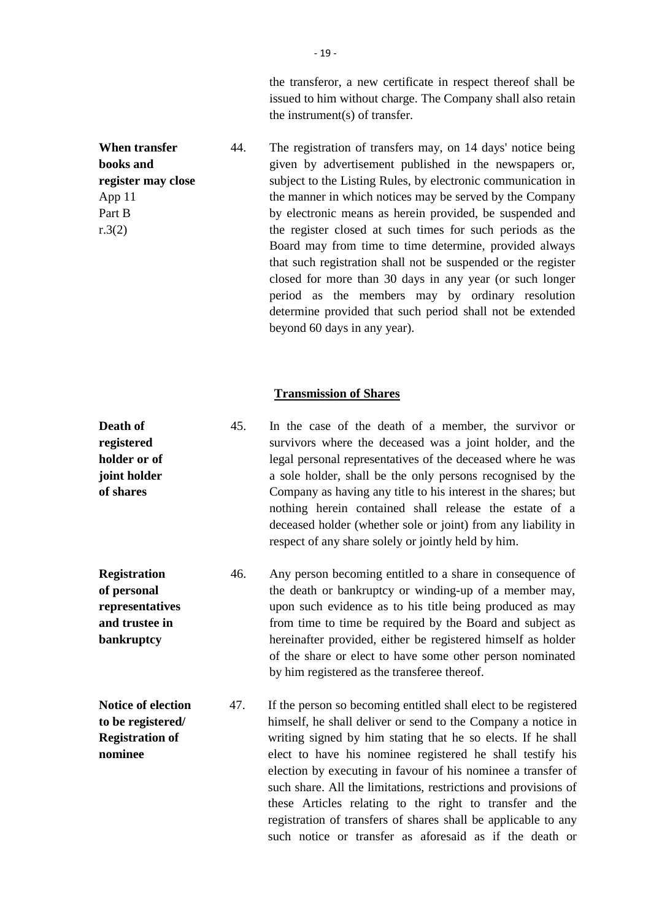the transferor, a new certificate in respect thereof shall be issued to him without charge. The Company shall also retain the instrument(s) of transfer.

**When transfer books and register may close** 44. The registration of transfers may, on 14 days' notice being given by advertisement published in the newspapers or, subject to the Listing Rules, by electronic communication in the manner in which notices may be served by the Company by electronic means as herein provided, be suspended and the register closed at such times for such periods as the Board may from time to time determine, provided always that such registration shall not be suspended or the register closed for more than 30 days in any year (or such longer period as the members may by ordinary resolution determine provided that such period shall not be extended beyond 60 days in any year).

#### **Transmission of Shares**

| Death of     | 45. | In the case of the death of a member, the survivor or                                                                                                                                                                                            |
|--------------|-----|--------------------------------------------------------------------------------------------------------------------------------------------------------------------------------------------------------------------------------------------------|
| registered   |     | survivors where the deceased was a joint holder, and the                                                                                                                                                                                         |
| holder or of |     | legal personal representatives of the deceased where he was                                                                                                                                                                                      |
| joint holder |     | a sole holder, shall be the only persons recognised by the                                                                                                                                                                                       |
| of shares    |     | Company as having any title to his interest in the shares; but<br>nothing herein contained shall release the estate of a<br>deceased holder (whether sole or joint) from any liability in<br>respect of any share solely or jointly held by him. |
|              |     |                                                                                                                                                                                                                                                  |

- **Registration of personal representatives and trustee in bankruptcy** 46. Any person becoming entitled to a share in consequence of the death or bankruptcy or winding-up of a member may, upon such evidence as to his title being produced as may from time to time be required by the Board and subject as hereinafter provided, either be registered himself as holder of the share or elect to have some other person nominated by him registered as the transferee thereof.
- **Notice of election to be registered/ Registration of nominee** 47. If the person so becoming entitled shall elect to be registered himself, he shall deliver or send to the Company a notice in writing signed by him stating that he so elects. If he shall elect to have his nominee registered he shall testify his election by executing in favour of his nominee a transfer of such share. All the limitations, restrictions and provisions of these Articles relating to the right to transfer and the registration of transfers of shares shall be applicable to any such notice or transfer as aforesaid as if the death or

App 11 Part B r.3(2)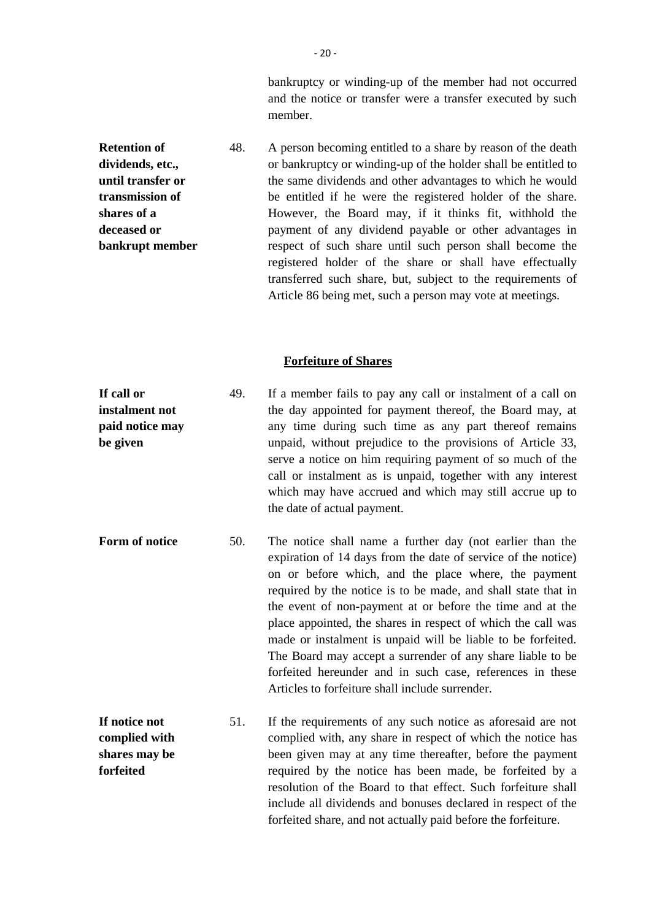bankruptcy or winding-up of the member had not occurred and the notice or transfer were a transfer executed by such member.

**Retention of dividends, etc., until transfer or transmission of shares of a deceased or bankrupt member** 48. A person becoming entitled to a share by reason of the death or bankruptcy or winding-up of the holder shall be entitled to the same dividends and other advantages to which he would be entitled if he were the registered holder of the share. However, the Board may, if it thinks fit, withhold the payment of any dividend payable or other advantages in respect of such share until such person shall become the registered holder of the share or shall have effectually transferred such share, but, subject to the requirements of Article 86 being met, such a person may vote at meetings.

#### **Forfeiture of Shares**

**If call or instalment not paid notice may be given** 49. If a member fails to pay any call or instalment of a call on the day appointed for payment thereof, the Board may, at any time during such time as any part thereof remains unpaid, without prejudice to the provisions of Article 33, serve a notice on him requiring payment of so much of the call or instalment as is unpaid, together with any interest which may have accrued and which may still accrue up to the date of actual payment.

- **Form of notice** 50. The notice shall name a further day (not earlier than the expiration of 14 days from the date of service of the notice) on or before which, and the place where, the payment required by the notice is to be made, and shall state that in the event of non-payment at or before the time and at the place appointed, the shares in respect of which the call was made or instalment is unpaid will be liable to be forfeited. The Board may accept a surrender of any share liable to be forfeited hereunder and in such case, references in these Articles to forfeiture shall include surrender.
- **If notice not complied with shares may be forfeited** 51. If the requirements of any such notice as aforesaid are not complied with, any share in respect of which the notice has been given may at any time thereafter, before the payment required by the notice has been made, be forfeited by a resolution of the Board to that effect. Such forfeiture shall include all dividends and bonuses declared in respect of the forfeited share, and not actually paid before the forfeiture.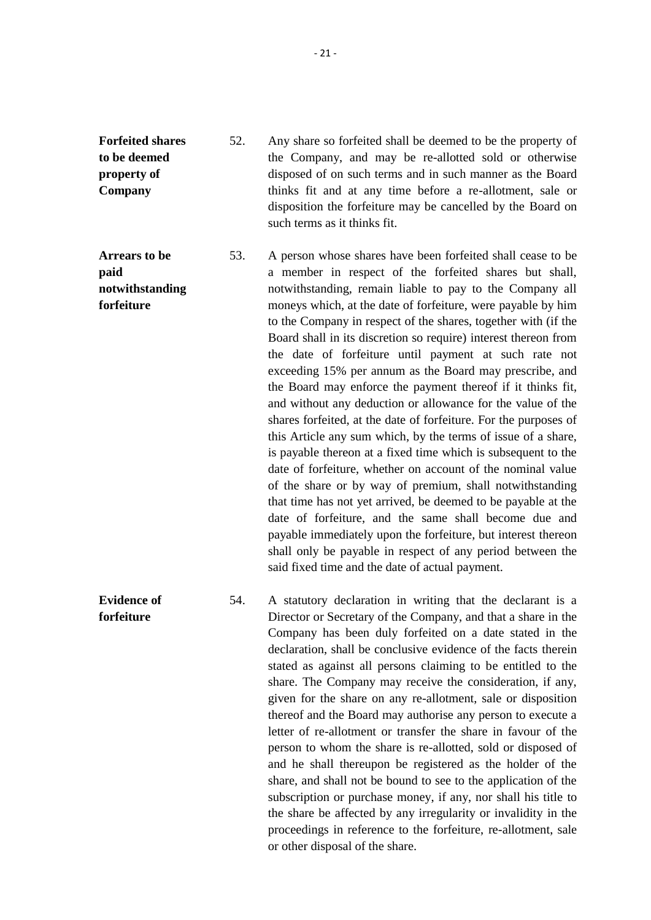**Forfeited shares to be deemed property of Company** 52. Any share so forfeited shall be deemed to be the property of the Company, and may be re-allotted sold or otherwise disposed of on such terms and in such manner as the Board thinks fit and at any time before a re-allotment, sale or disposition the forfeiture may be cancelled by the Board on such terms as it thinks fit.

**Arrears to be paid notwithstanding forfeiture** 53. A person whose shares have been forfeited shall cease to be a member in respect of the forfeited shares but shall, notwithstanding, remain liable to pay to the Company all moneys which, at the date of forfeiture, were payable by him to the Company in respect of the shares, together with (if the Board shall in its discretion so require) interest thereon from the date of forfeiture until payment at such rate not exceeding 15% per annum as the Board may prescribe, and the Board may enforce the payment thereof if it thinks fit, and without any deduction or allowance for the value of the shares forfeited, at the date of forfeiture. For the purposes of this Article any sum which, by the terms of issue of a share, is payable thereon at a fixed time which is subsequent to the date of forfeiture, whether on account of the nominal value of the share or by way of premium, shall notwithstanding that time has not yet arrived, be deemed to be payable at the date of forfeiture, and the same shall become due and payable immediately upon the forfeiture, but interest thereon shall only be payable in respect of any period between the said fixed time and the date of actual payment.

**Evidence of forfeiture**

54. A statutory declaration in writing that the declarant is a Director or Secretary of the Company, and that a share in the Company has been duly forfeited on a date stated in the declaration, shall be conclusive evidence of the facts therein stated as against all persons claiming to be entitled to the share. The Company may receive the consideration, if any, given for the share on any re-allotment, sale or disposition thereof and the Board may authorise any person to execute a letter of re-allotment or transfer the share in favour of the person to whom the share is re-allotted, sold or disposed of and he shall thereupon be registered as the holder of the share, and shall not be bound to see to the application of the subscription or purchase money, if any, nor shall his title to the share be affected by any irregularity or invalidity in the proceedings in reference to the forfeiture, re-allotment, sale or other disposal of the share.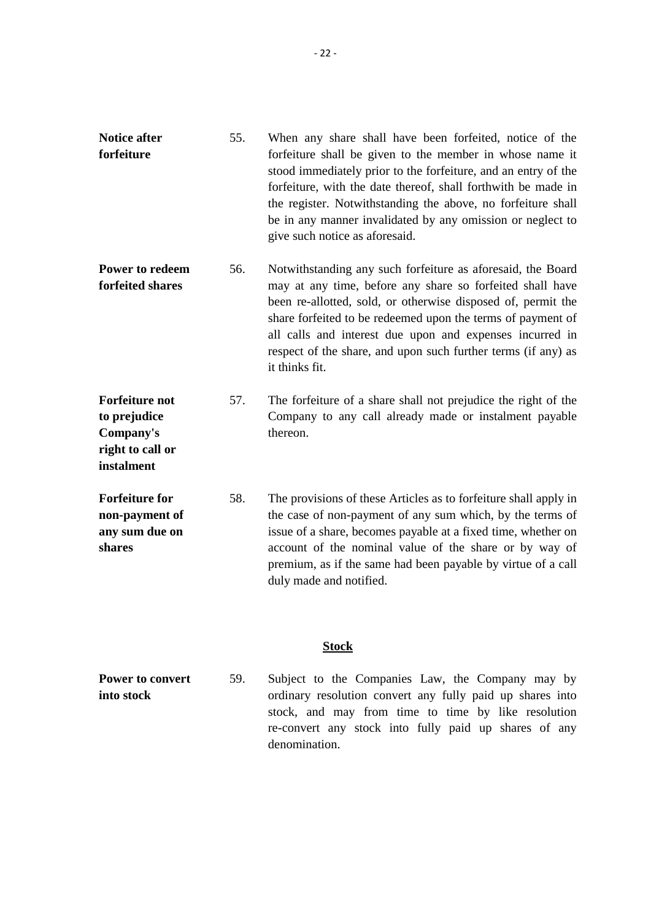| <b>Notice after</b> | 55. | When any share shall have been forfeited, notice of the        |
|---------------------|-----|----------------------------------------------------------------|
| forfeiture          |     | forfeiture shall be given to the member in whose name it       |
|                     |     | stood immediately prior to the forfeiture, and an entry of the |
|                     |     | forfeiture, with the date thereof, shall forthwith be made in  |
|                     |     | the register. Notwithstanding the above, no forfeiture shall   |
|                     |     | be in any manner invalidated by any omission or neglect to     |
|                     |     | give such notice as aforesaid.                                 |
|                     |     |                                                                |

- **Power to redeem forfeited shares** 56. Notwithstanding any such forfeiture as aforesaid, the Board may at any time, before any share so forfeited shall have been re-allotted, sold, or otherwise disposed of, permit the share forfeited to be redeemed upon the terms of payment of all calls and interest due upon and expenses incurred in respect of the share, and upon such further terms (if any) as it thinks fit.
- **Forfeiture not to prejudice Company's** 57. The forfeiture of a share shall not prejudice the right of the Company to any call already made or instalment payable thereon.

**right to call or instalment**

**Forfeiture for non-payment of any sum due on shares** 58. The provisions of these Articles as to forfeiture shall apply in the case of non-payment of any sum which, by the terms of issue of a share, becomes payable at a fixed time, whether on account of the nominal value of the share or by way of premium, as if the same had been payable by virtue of a call duly made and notified.

#### **Stock**

**Power to convert into stock** 59. Subject to the Companies Law, the Company may by ordinary resolution convert any fully paid up shares into stock, and may from time to time by like resolution re-convert any stock into fully paid up shares of any denomination.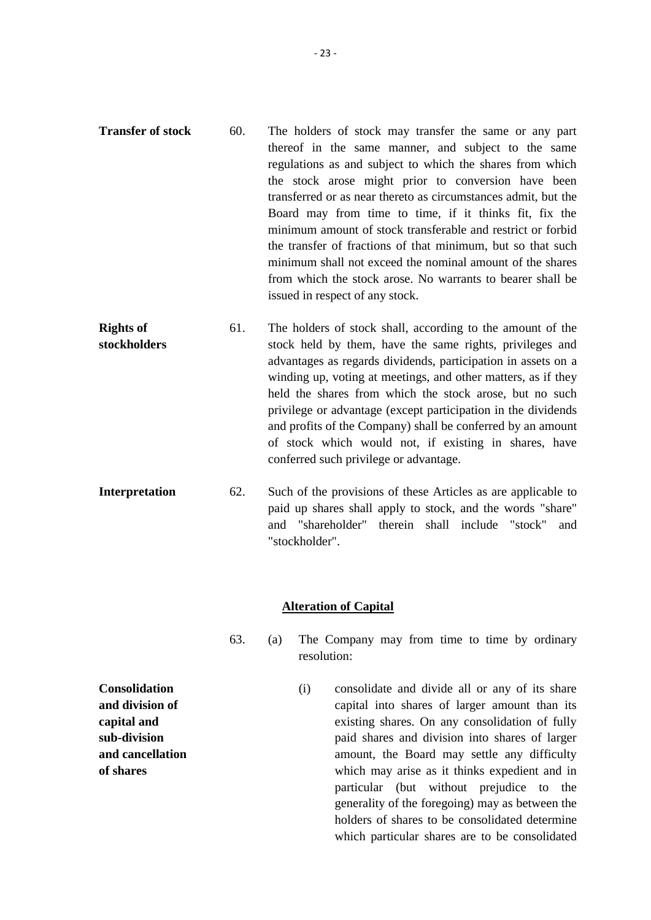- **Transfer of stock** 60. The holders of stock may transfer the same or any part thereof in the same manner, and subject to the same regulations as and subject to which the shares from which the stock arose might prior to conversion have been transferred or as near thereto as circumstances admit, but the Board may from time to time, if it thinks fit, fix the minimum amount of stock transferable and restrict or forbid the transfer of fractions of that minimum, but so that such minimum shall not exceed the nominal amount of the shares from which the stock arose. No warrants to bearer shall be issued in respect of any stock.
- **Rights of stockholders** 61. The holders of stock shall, according to the amount of the stock held by them, have the same rights, privileges and advantages as regards dividends, participation in assets on a winding up, voting at meetings, and other matters, as if they held the shares from which the stock arose, but no such privilege or advantage (except participation in the dividends and profits of the Company) shall be conferred by an amount of stock which would not, if existing in shares, have conferred such privilege or advantage.
- **Interpretation** 62. Such of the provisions of these Articles as are applicable to paid up shares shall apply to stock, and the words "share" and "shareholder" therein shall include "stock" and "stockholder".

#### **Alteration of Capital**

- 63. (a) The Company may from time to time by ordinary resolution:
	- (i) consolidate and divide all or any of its share capital into shares of larger amount than its existing shares. On any consolidation of fully paid shares and division into shares of larger amount, the Board may settle any difficulty which may arise as it thinks expedient and in particular (but without prejudice to the generality of the foregoing) may as between the holders of shares to be consolidated determine which particular shares are to be consolidated

**Consolidation and division of capital and sub-division and cancellation of shares**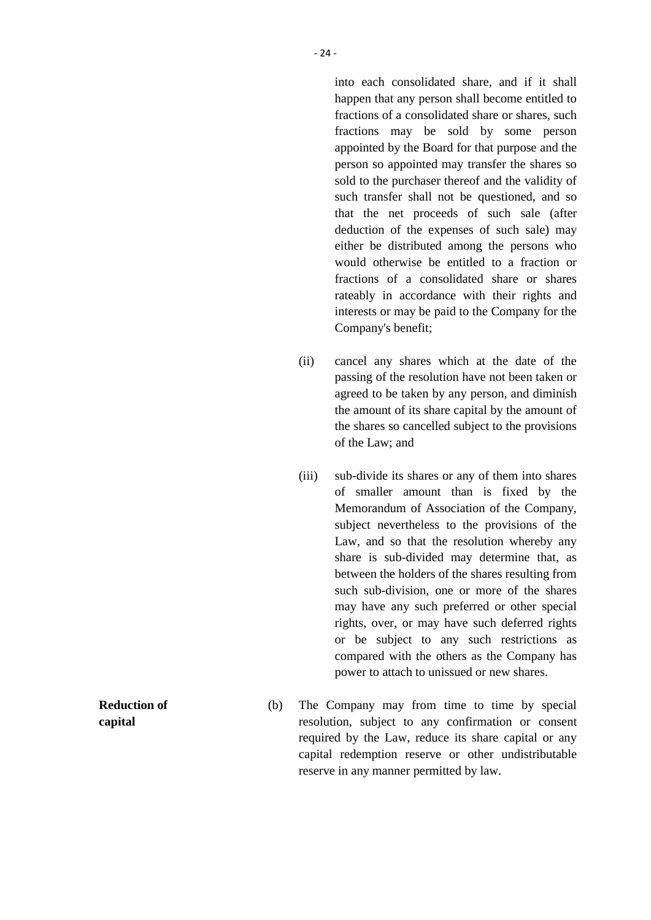into each consolidated share, and if it shall happen that any person shall become entitled to fractions of a consolidated share or shares, such fractions may be sold by some person appointed by the Board for that purpose and the person so appointed may transfer the shares so sold to the purchaser thereof and the validity of such transfer shall not be questioned, and so that the net proceeds of such sale (after deduction of the expenses of such sale) may either be distributed among the persons who would otherwise be entitled to a fraction or fractions of a consolidated share or shares rateably in accordance with their rights and interests or may be paid to the Company for the Company's benefit;

- (ii) cancel any shares which at the date of the passing of the resolution have not been taken or agreed to be taken by any person, and diminish the amount of its share capital by the amount of the shares so cancelled subject to the provisions of the Law; and
- (iii) sub-divide its shares or any of them into shares of smaller amount than is fixed by the Memorandum of Association of the Company, subject nevertheless to the provisions of the Law, and so that the resolution whereby any share is sub-divided may determine that, as between the holders of the shares resulting from such sub-division, one or more of the shares may have any such preferred or other special rights, over, or may have such deferred rights or be subject to any such restrictions as compared with the others as the Company has power to attach to unissued or new shares.
- (b) The Company may from time to time by special resolution, subject to any confirmation or consent required by the Law, reduce its share capital or any capital redemption reserve or other undistributable reserve in any manner permitted by law.

**Reduction of capital**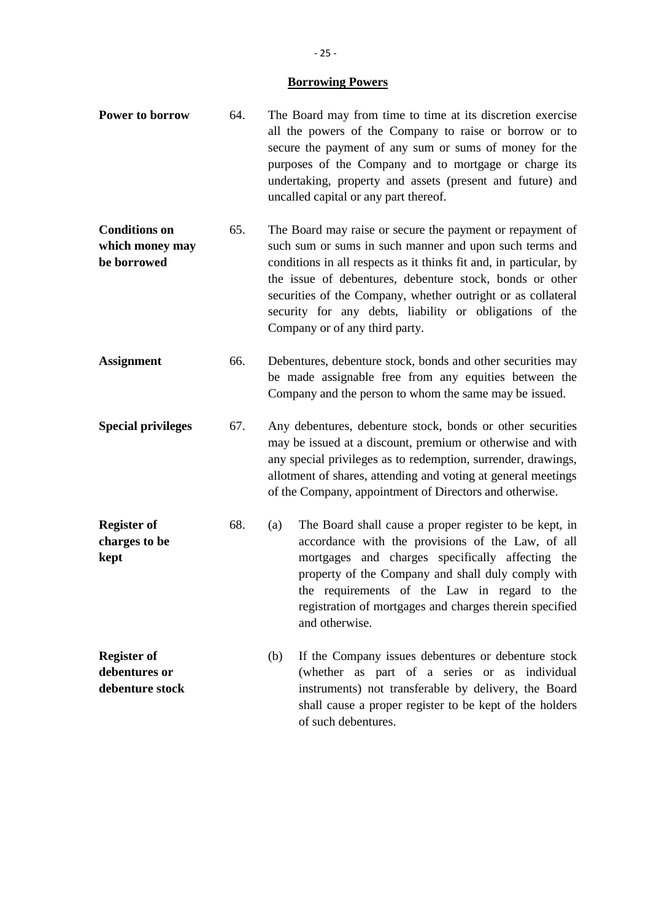#### **Borrowing Powers**

- **Power to borrow** 64. The Board may from time to time at its discretion exercise all the powers of the Company to raise or borrow or to secure the payment of any sum or sums of money for the purposes of the Company and to mortgage or charge its undertaking, property and assets (present and future) and uncalled capital or any part thereof.
- **Conditions on which money may be borrowed** 65. The Board may raise or secure the payment or repayment of such sum or sums in such manner and upon such terms and conditions in all respects as it thinks fit and, in particular, by the issue of debentures, debenture stock, bonds or other securities of the Company, whether outright or as collateral security for any debts, liability or obligations of the Company or of any third party.
- **Assignment** 66. Debentures, debenture stock, bonds and other securities may be made assignable free from any equities between the Company and the person to whom the same may be issued.
- **Special privileges** 67. Any debentures, debenture stock, bonds or other securities may be issued at a discount, premium or otherwise and with any special privileges as to redemption, surrender, drawings, allotment of shares, attending and voting at general meetings of the Company, appointment of Directors and otherwise.
- **Register of charges to be kept** 68. (a) The Board shall cause a proper register to be kept, in accordance with the provisions of the Law, of all mortgages and charges specifically affecting the property of the Company and shall duly comply with the requirements of the Law in regard to the registration of mortgages and charges therein specified and otherwise.
- **Register of debentures or debenture stock** (b) If the Company issues debentures or debenture stock (whether as part of a series or as individual instruments) not transferable by delivery, the Board shall cause a proper register to be kept of the holders of such debentures.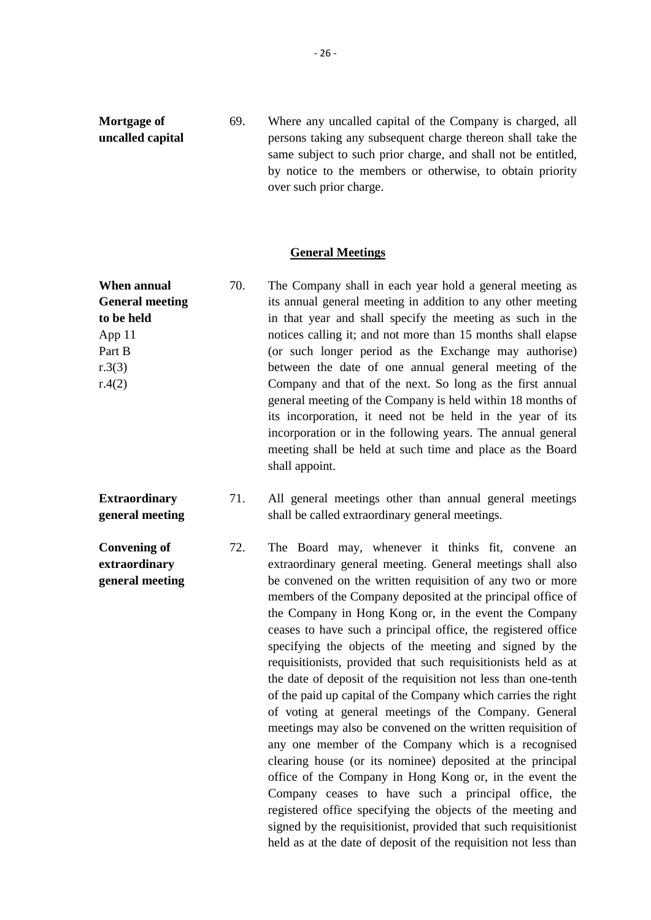**Mortgage of uncalled capital** 69. Where any uncalled capital of the Company is charged, all persons taking any subsequent charge thereon shall take the same subject to such prior charge, and shall not be entitled, by notice to the members or otherwise, to obtain priority over such prior charge.

#### **General Meetings**

**When annual General meeting to be held** App 11 Part B r.3(3) r.4(2) 70. The Company shall in each year hold a general meeting as its annual general meeting in addition to any other meeting in that year and shall specify the meeting as such in the notices calling it; and not more than 15 months shall elapse (or such longer period as the Exchange may authorise) between the date of one annual general meeting of the Company and that of the next. So long as the first annual general meeting of the Company is held within 18 months of its incorporation, it need not be held in the year of its incorporation or in the following years. The annual general meeting shall be held at such time and place as the Board shall appoint.

**Convening of extraordinary**

- **Extraordinary general meeting** 71. All general meetings other than annual general meetings shall be called extraordinary general meetings.
- **general meeting** 72. The Board may, whenever it thinks fit, convene an extraordinary general meeting. General meetings shall also be convened on the written requisition of any two or more members of the Company deposited at the principal office of the Company in Hong Kong or, in the event the Company ceases to have such a principal office, the registered office specifying the objects of the meeting and signed by the requisitionists, provided that such requisitionists held as at the date of deposit of the requisition not less than one-tenth of the paid up capital of the Company which carries the right of voting at general meetings of the Company. General meetings may also be convened on the written requisition of any one member of the Company which is a recognised clearing house (or its nominee) deposited at the principal office of the Company in Hong Kong or, in the event the Company ceases to have such a principal office, the registered office specifying the objects of the meeting and signed by the requisitionist, provided that such requisitionist held as at the date of deposit of the requisition not less than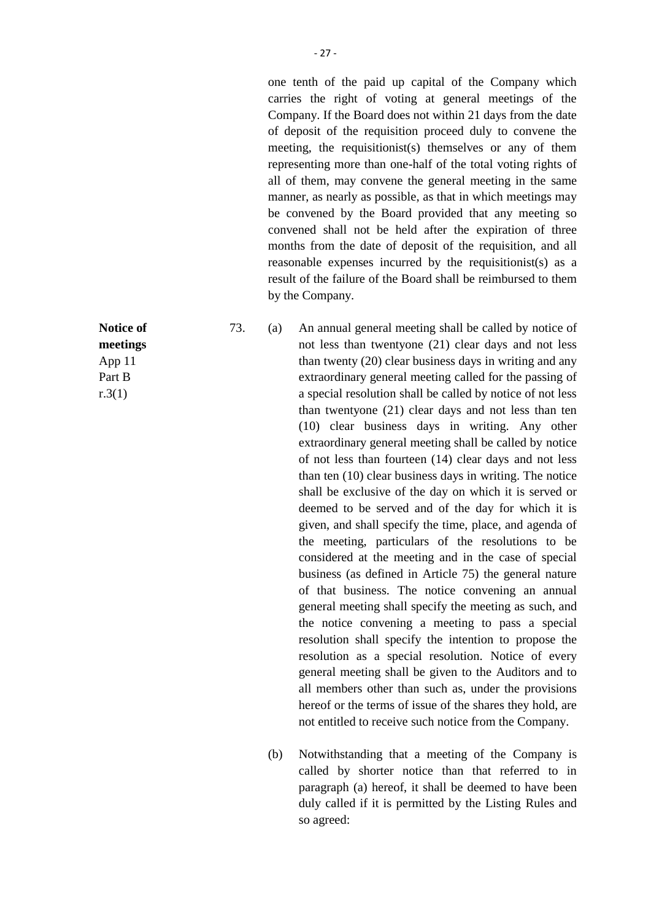one tenth of the paid up capital of the Company which carries the right of voting at general meetings of the Company. If the Board does not within 21 days from the date of deposit of the requisition proceed duly to convene the meeting, the requisitionist(s) themselves or any of them representing more than one-half of the total voting rights of all of them, may convene the general meeting in the same manner, as nearly as possible, as that in which meetings may be convened by the Board provided that any meeting so convened shall not be held after the expiration of three months from the date of deposit of the requisition, and all reasonable expenses incurred by the requisitionist(s) as a result of the failure of the Board shall be reimbursed to them by the Company.

73. (a) An annual general meeting shall be called by notice of not less than twentyone (21) clear days and not less than twenty (20) clear business days in writing and any extraordinary general meeting called for the passing of a special resolution shall be called by notice of not less than twentyone (21) clear days and not less than ten (10) clear business days in writing. Any other extraordinary general meeting shall be called by notice of not less than fourteen (14) clear days and not less than ten (10) clear business days in writing. The notice shall be exclusive of the day on which it is served or deemed to be served and of the day for which it is given, and shall specify the time, place, and agenda of the meeting, particulars of the resolutions to be considered at the meeting and in the case of special business (as defined in Article 75) the general nature of that business. The notice convening an annual general meeting shall specify the meeting as such, and the notice convening a meeting to pass a special resolution shall specify the intention to propose the resolution as a special resolution. Notice of every general meeting shall be given to the Auditors and to all members other than such as, under the provisions hereof or the terms of issue of the shares they hold, are not entitled to receive such notice from the Company.

> (b) Notwithstanding that a meeting of the Company is called by shorter notice than that referred to in paragraph (a) hereof, it shall be deemed to have been duly called if it is permitted by the Listing Rules and so agreed:

**Notice of meetings** App 11 Part B  $r.3(1)$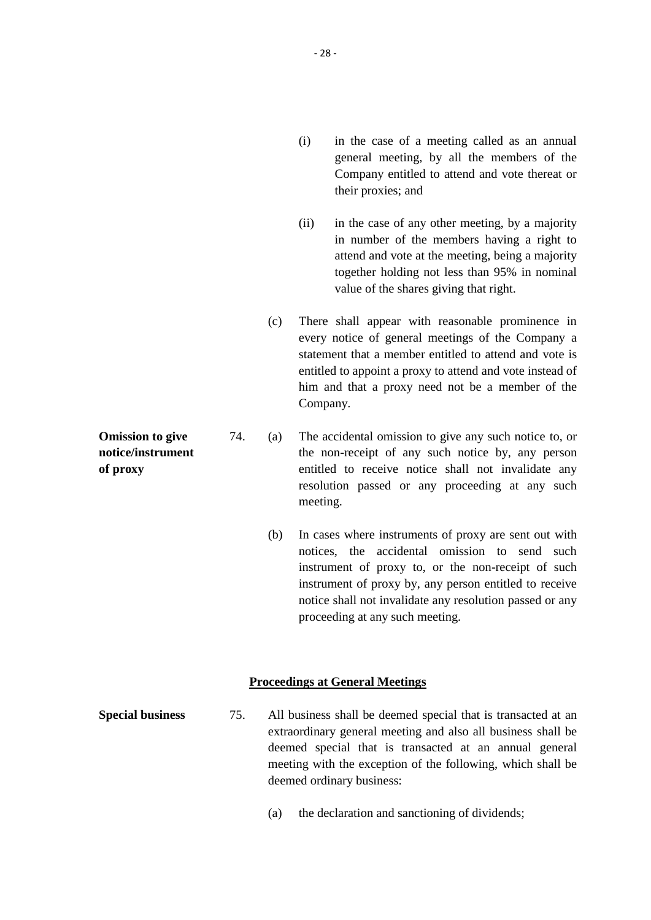- (i) in the case of a meeting called as an annual general meeting, by all the members of the Company entitled to attend and vote thereat or their proxies; and
- (ii) in the case of any other meeting, by a majority in number of the members having a right to attend and vote at the meeting, being a majority together holding not less than 95% in nominal value of the shares giving that right.
- (c) There shall appear with reasonable prominence in every notice of general meetings of the Company a statement that a member entitled to attend and vote is entitled to appoint a proxy to attend and vote instead of him and that a proxy need not be a member of the Company.
- **Omission to give notice/instrument of proxy** 74. (a) The accidental omission to give any such notice to, or the non-receipt of any such notice by, any person entitled to receive notice shall not invalidate any resolution passed or any proceeding at any such meeting.
	- (b) In cases where instruments of proxy are sent out with notices, the accidental omission to send such instrument of proxy to, or the non-receipt of such instrument of proxy by, any person entitled to receive notice shall not invalidate any resolution passed or any proceeding at any such meeting.

#### **Proceedings at General Meetings**

- **Special business** 75. All business shall be deemed special that is transacted at an extraordinary general meeting and also all business shall be deemed special that is transacted at an annual general meeting with the exception of the following, which shall be deemed ordinary business:
	- (a) the declaration and sanctioning of dividends;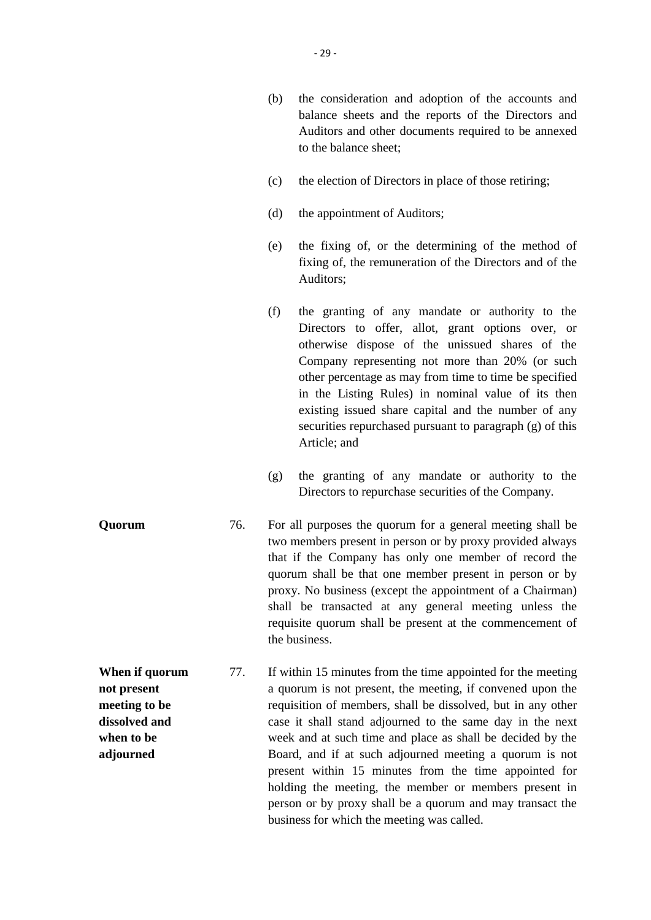- (b) the consideration and adoption of the accounts and balance sheets and the reports of the Directors and Auditors and other documents required to be annexed to the balance sheet;
- (c) the election of Directors in place of those retiring;
- (d) the appointment of Auditors;
- (e) the fixing of, or the determining of the method of fixing of, the remuneration of the Directors and of the Auditors;
- (f) the granting of any mandate or authority to the Directors to offer, allot, grant options over, or otherwise dispose of the unissued shares of the Company representing not more than 20% (or such other percentage as may from time to time be specified in the Listing Rules) in nominal value of its then existing issued share capital and the number of any securities repurchased pursuant to paragraph (g) of this Article; and
- (g) the granting of any mandate or authority to the Directors to repurchase securities of the Company.
- **Quorum** 76. For all purposes the quorum for a general meeting shall be two members present in person or by proxy provided always that if the Company has only one member of record the quorum shall be that one member present in person or by proxy. No business (except the appointment of a Chairman) shall be transacted at any general meeting unless the requisite quorum shall be present at the commencement of the business.
- **When if quorum not present meeting to be dissolved and when to be adjourned** 77. If within 15 minutes from the time appointed for the meeting a quorum is not present, the meeting, if convened upon the requisition of members, shall be dissolved, but in any other case it shall stand adjourned to the same day in the next week and at such time and place as shall be decided by the Board, and if at such adjourned meeting a quorum is not present within 15 minutes from the time appointed for holding the meeting, the member or members present in person or by proxy shall be a quorum and may transact the business for which the meeting was called.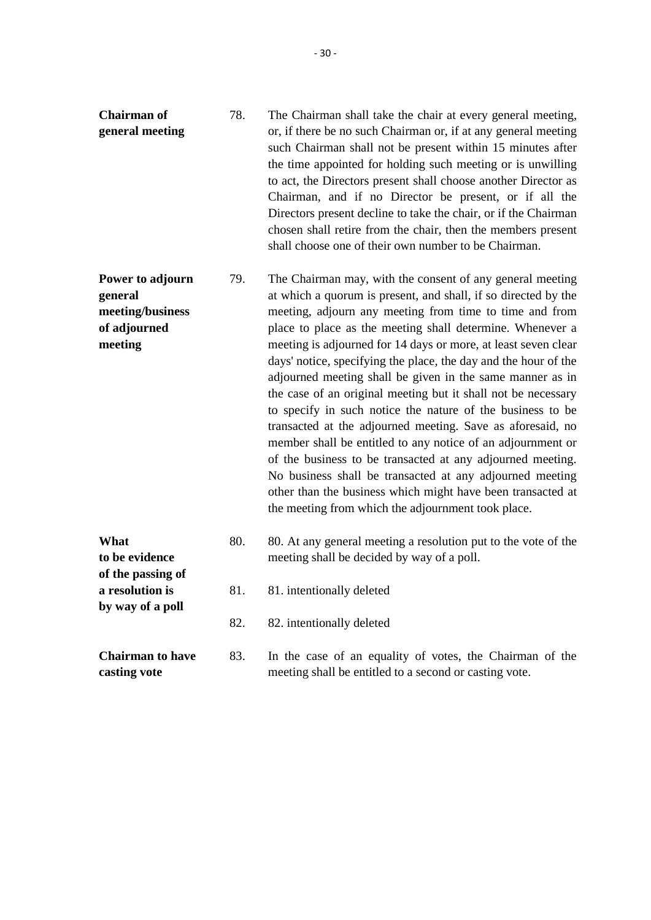78. The Chairman shall take the chair at every general meeting, or, if there be no such Chairman or, if at any general meeting such Chairman shall not be present within 15 minutes after the time appointed for holding such meeting or is unwilling to act, the Directors present shall choose another Director as

> Chairman, and if no Director be present, or if all the Directors present decline to take the chair, or if the Chairman chosen shall retire from the chair, then the members present

shall choose one of their own number to be Chairman.

- **Power to adjourn general meeting/business of adjourned meeting** 79. The Chairman may, with the consent of any general meeting at which a quorum is present, and shall, if so directed by the meeting, adjourn any meeting from time to time and from place to place as the meeting shall determine. Whenever a meeting is adjourned for 14 days or more, at least seven clear days' notice, specifying the place, the day and the hour of the adjourned meeting shall be given in the same manner as in the case of an original meeting but it shall not be necessary to specify in such notice the nature of the business to be transacted at the adjourned meeting. Save as aforesaid, no member shall be entitled to any notice of an adjournment or of the business to be transacted at any adjourned meeting. No business shall be transacted at any adjourned meeting other than the business which might have been transacted at the meeting from which the adjournment took place.
- **What to be evidence of the passing of a resolution is by way of a poll** 80. 80. At any general meeting a resolution put to the vote of the meeting shall be decided by way of a poll. 81. 81. intentionally deleted 82. 82. intentionally deleted **Chairman to have casting vote** 83. In the case of an equality of votes, the Chairman of the meeting shall be entitled to a second or casting vote.

**Chairman of general meeting**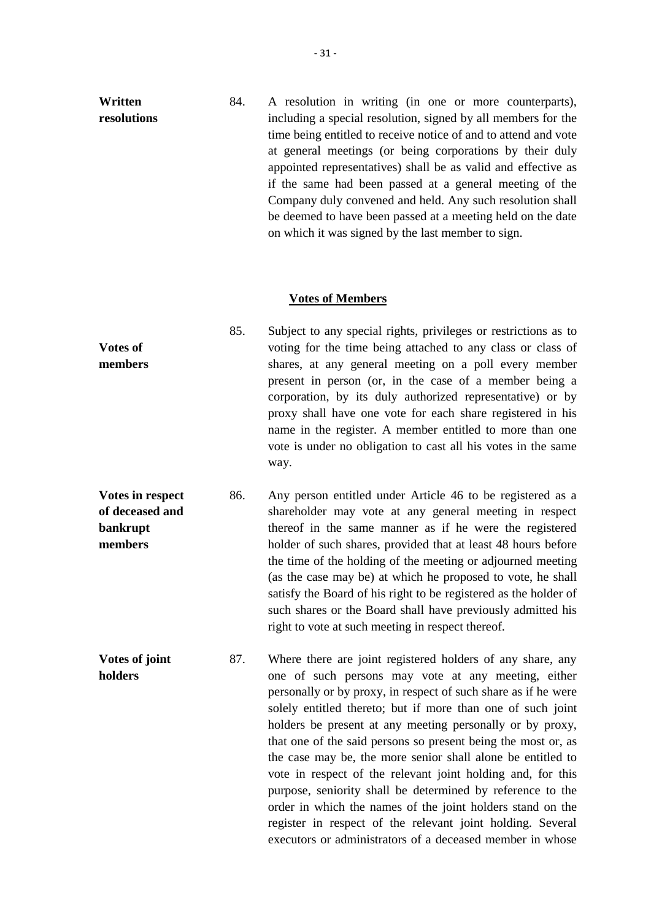| Written     | 84. | A resolution in writing (in one or more counterparts),          |
|-------------|-----|-----------------------------------------------------------------|
| resolutions |     | including a special resolution, signed by all members for the   |
|             |     | time being entitled to receive notice of and to attend and vote |
|             |     | at general meetings (or being corporations by their duly        |
|             |     | appointed representatives) shall be as valid and effective as   |
|             |     | if the same had been passed at a general meeting of the         |
|             |     | Company duly convened and held. Any such resolution shall       |
|             |     | be deemed to have been passed at a meeting held on the date     |
|             |     | on which it was signed by the last member to sign.              |

#### **Votes of Members**

|                 | 85. | Subject to any special rights, privileges or restrictions as to |
|-----------------|-----|-----------------------------------------------------------------|
| <b>Votes of</b> |     | voting for the time being attached to any class or class of     |
| members         |     | shares, at any general meeting on a poll every member           |
|                 |     | present in person (or, in the case of a member being a          |
|                 |     | corporation, by its duly authorized representative) or by       |
|                 |     | proxy shall have one vote for each share registered in his      |
|                 |     | name in the register. A member entitled to more than one        |
|                 |     | vote is under no obligation to cast all his votes in the same   |
|                 |     | way.                                                            |
|                 |     |                                                                 |

**Votes in respect of deceased and bankrupt members** 86. Any person entitled under Article 46 to be registered as a shareholder may vote at any general meeting in respect thereof in the same manner as if he were the registered holder of such shares, provided that at least 48 hours before the time of the holding of the meeting or adjourned meeting (as the case may be) at which he proposed to vote, he shall satisfy the Board of his right to be registered as the holder of such shares or the Board shall have previously admitted his right to vote at such meeting in respect thereof.

**Votes of joint holders** 87. Where there are joint registered holders of any share, any one of such persons may vote at any meeting, either personally or by proxy, in respect of such share as if he were solely entitled thereto; but if more than one of such joint holders be present at any meeting personally or by proxy, that one of the said persons so present being the most or, as the case may be, the more senior shall alone be entitled to vote in respect of the relevant joint holding and, for this purpose, seniority shall be determined by reference to the order in which the names of the joint holders stand on the register in respect of the relevant joint holding. Several executors or administrators of a deceased member in whose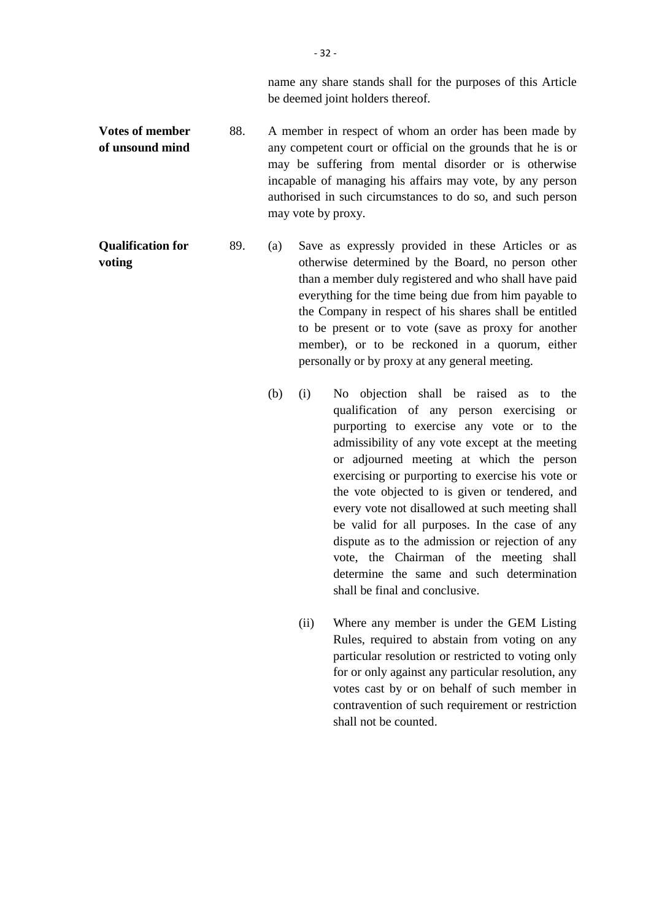name any share stands shall for the purposes of this Article be deemed joint holders thereof.

**Votes of member of unsound mind** 88. A member in respect of whom an order has been made by any competent court or official on the grounds that he is or may be suffering from mental disorder or is otherwise incapable of managing his affairs may vote, by any person authorised in such circumstances to do so, and such person may vote by proxy.

**Qualification for voting** 89. (a) Save as expressly provided in these Articles or as otherwise determined by the Board, no person other than a member duly registered and who shall have paid everything for the time being due from him payable to the Company in respect of his shares shall be entitled to be present or to vote (save as proxy for another member), or to be reckoned in a quorum, either personally or by proxy at any general meeting.

- (b) (i) No objection shall be raised as to the qualification of any person exercising or purporting to exercise any vote or to the admissibility of any vote except at the meeting or adjourned meeting at which the person exercising or purporting to exercise his vote or the vote objected to is given or tendered, and every vote not disallowed at such meeting shall be valid for all purposes. In the case of any dispute as to the admission or rejection of any vote, the Chairman of the meeting shall determine the same and such determination shall be final and conclusive.
	- (ii) Where any member is under the GEM Listing Rules, required to abstain from voting on any particular resolution or restricted to voting only for or only against any particular resolution, any votes cast by or on behalf of such member in contravention of such requirement or restriction shall not be counted.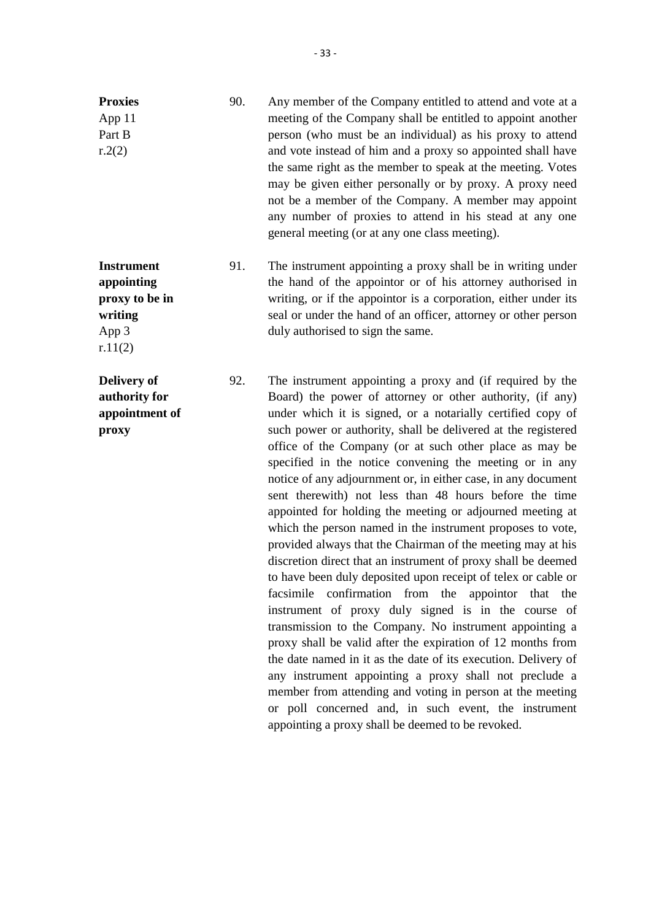| 90. | Any member of the Company entitled to attend and vote at a<br>meeting of the Company shall be entitled to appoint another<br>person (who must be an individual) as his proxy to attend<br>and vote instead of him and a proxy so appointed shall have<br>the same right as the member to speak at the meeting. Votes<br>may be given either personally or by proxy. A proxy need<br>not be a member of the Company. A member may appoint<br>any number of proxies to attend in his stead at any one<br>general meeting (or at any one class meeting). |
|-----|-------------------------------------------------------------------------------------------------------------------------------------------------------------------------------------------------------------------------------------------------------------------------------------------------------------------------------------------------------------------------------------------------------------------------------------------------------------------------------------------------------------------------------------------------------|
| 91. | The instrument appointing a proxy shall be in writing under<br>the hand of the appoint or of his attorney authorised in<br>writing, or if the appoint is a corporation, either under its                                                                                                                                                                                                                                                                                                                                                              |
|     |                                                                                                                                                                                                                                                                                                                                                                                                                                                                                                                                                       |

duly authorised to sign the same.

92. The instrument appointing a proxy and (if required by the Board) the power of attorney or other authority, (if any) under which it is signed, or a notarially certified copy of such power or authority, shall be delivered at the registered office of the Company (or at such other place as may be specified in the notice convening the meeting or in any notice of any adjournment or, in either case, in any document sent therewith) not less than 48 hours before the time appointed for holding the meeting or adjourned meeting at which the person named in the instrument proposes to vote, provided always that the Chairman of the meeting may at his discretion direct that an instrument of proxy shall be deemed to have been duly deposited upon receipt of telex or cable or facsimile confirmation from the appointor that the instrument of proxy duly signed is in the course of transmission to the Company. No instrument appointing a proxy shall be valid after the expiration of 12 months from the date named in it as the date of its execution. Delivery of any instrument appointing a proxy shall not preclude a member from attending and voting in person at the meeting or poll concerned and, in such event, the instrument appointing a proxy shall be deemed to be revoked.

seal or under the hand of an officer, attorney or other person

**writing** App 3 r.11(2)

**Delivery of authority for appointment of proxy**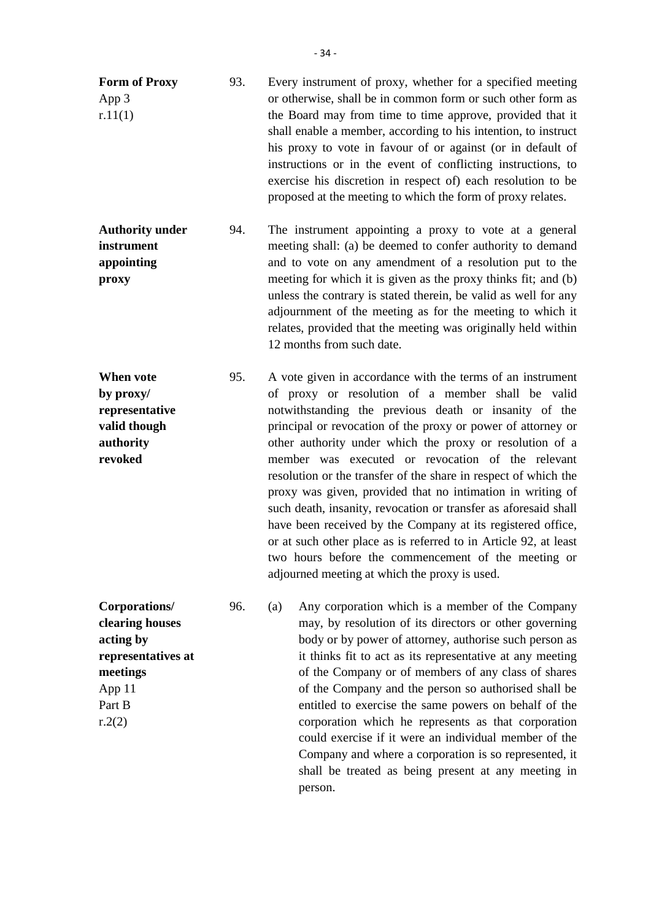- **Form of Proxy** App 3 r.11(1) 93. Every instrument of proxy, whether for a specified meeting or otherwise, shall be in common form or such other form as the Board may from time to time approve, provided that it shall enable a member, according to his intention, to instruct his proxy to vote in favour of or against (or in default of instructions or in the event of conflicting instructions, to exercise his discretion in respect of) each resolution to be proposed at the meeting to which the form of proxy relates.
- **Authority under instrument appointing proxy** 94. The instrument appointing a proxy to vote at a general meeting shall: (a) be deemed to confer authority to demand and to vote on any amendment of a resolution put to the meeting for which it is given as the proxy thinks fit; and (b) unless the contrary is stated therein, be valid as well for any adjournment of the meeting as for the meeting to which it relates, provided that the meeting was originally held within 12 months from such date.
- **When vote by proxy/ representative valid though authority revoked** 95. A vote given in accordance with the terms of an instrument of proxy or resolution of a member shall be valid notwithstanding the previous death or insanity of the principal or revocation of the proxy or power of attorney or other authority under which the proxy or resolution of a member was executed or revocation of the relevant resolution or the transfer of the share in respect of which the proxy was given, provided that no intimation in writing of such death, insanity, revocation or transfer as aforesaid shall have been received by the Company at its registered office, or at such other place as is referred to in Article 92, at least two hours before the commencement of the meeting or adjourned meeting at which the proxy is used.
- **Corporations/ clearing houses acting by representatives at meetings** App 11 Part B  $r.2(2)$ 96. (a) Any corporation which is a member of the Company may, by resolution of its directors or other governing body or by power of attorney, authorise such person as it thinks fit to act as its representative at any meeting of the Company or of members of any class of shares of the Company and the person so authorised shall be entitled to exercise the same powers on behalf of the corporation which he represents as that corporation could exercise if it were an individual member of the Company and where a corporation is so represented, it shall be treated as being present at any meeting in person.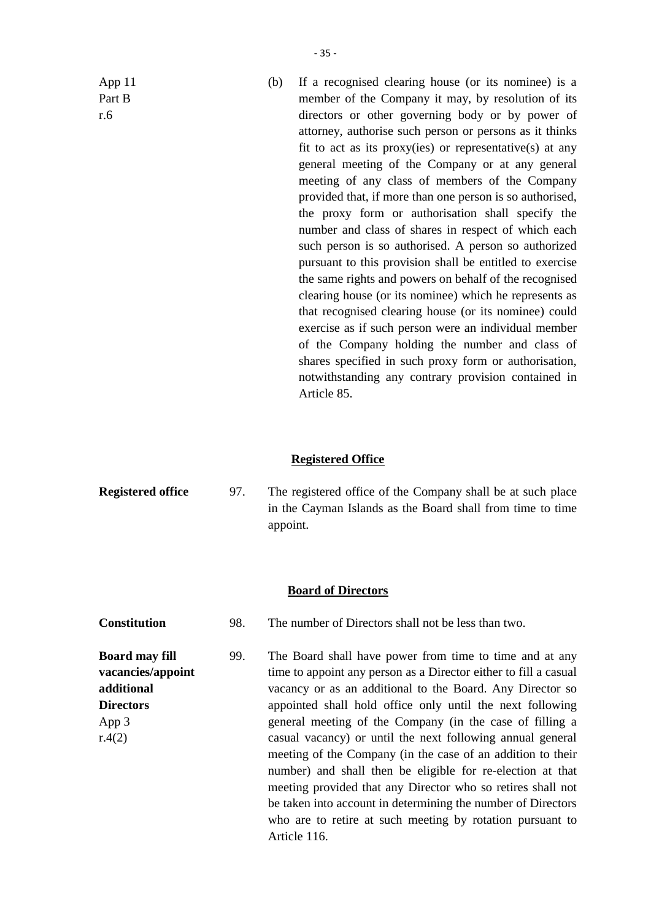App 11 Part B r.6

(b) If a recognised clearing house (or its nominee) is a member of the Company it may, by resolution of its directors or other governing body or by power of attorney, authorise such person or persons as it thinks fit to act as its proxy(ies) or representative(s) at any general meeting of the Company or at any general meeting of any class of members of the Company provided that, if more than one person is so authorised, the proxy form or authorisation shall specify the number and class of shares in respect of which each such person is so authorised. A person so authorized pursuant to this provision shall be entitled to exercise the same rights and powers on behalf of the recognised clearing house (or its nominee) which he represents as that recognised clearing house (or its nominee) could exercise as if such person were an individual member of the Company holding the number and class of shares specified in such proxy form or authorisation, notwithstanding any contrary provision contained in Article 85.

## **Registered Office**

**Registered office** 97. The registered office of the Company shall be at such place in the Cayman Islands as the Board shall from time to time appoint.

## **Board of Directors**

- **Constitution** 98. The number of Directors shall not be less than two.
- **Board may fill vacancies/appoint additional Directors** App 3 r.4(2) 99. The Board shall have power from time to time and at any time to appoint any person as a Director either to fill a casual vacancy or as an additional to the Board. Any Director so appointed shall hold office only until the next following general meeting of the Company (in the case of filling a casual vacancy) or until the next following annual general meeting of the Company (in the case of an addition to their number) and shall then be eligible for re-election at that meeting provided that any Director who so retires shall not be taken into account in determining the number of Directors who are to retire at such meeting by rotation pursuant to Article 116.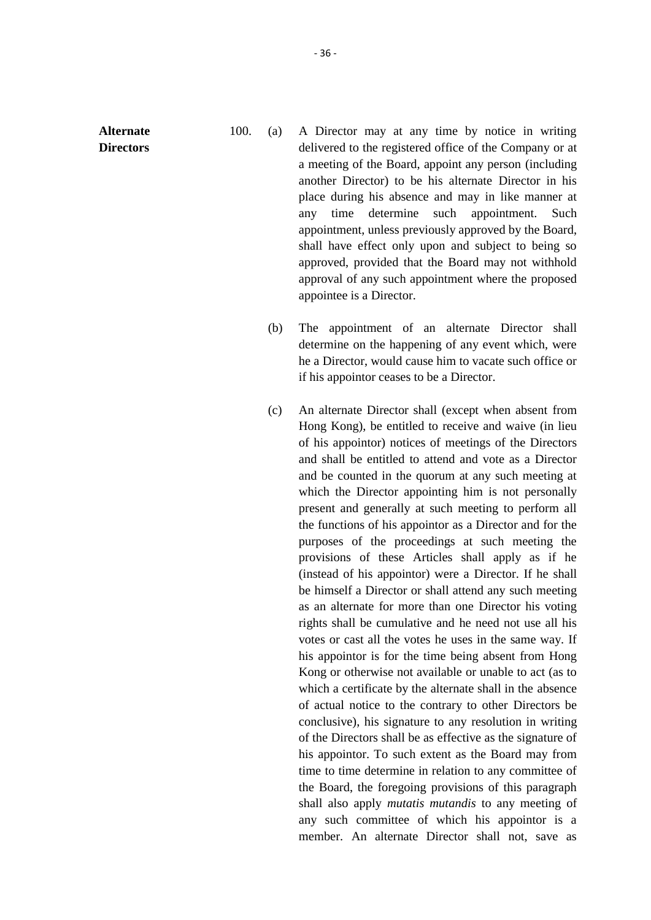**Alternate Directors**

- 100. (a) A Director may at any time by notice in writing delivered to the registered office of the Company or at a meeting of the Board, appoint any person (including another Director) to be his alternate Director in his place during his absence and may in like manner at any time determine such appointment. Such appointment, unless previously approved by the Board, shall have effect only upon and subject to being so approved, provided that the Board may not withhold approval of any such appointment where the proposed appointee is a Director.
	- (b) The appointment of an alternate Director shall determine on the happening of any event which, were he a Director, would cause him to vacate such office or if his appointor ceases to be a Director.
	- (c) An alternate Director shall (except when absent from Hong Kong), be entitled to receive and waive (in lieu of his appointor) notices of meetings of the Directors and shall be entitled to attend and vote as a Director and be counted in the quorum at any such meeting at which the Director appointing him is not personally present and generally at such meeting to perform all the functions of his appointor as a Director and for the purposes of the proceedings at such meeting the provisions of these Articles shall apply as if he (instead of his appointor) were a Director. If he shall be himself a Director or shall attend any such meeting as an alternate for more than one Director his voting rights shall be cumulative and he need not use all his votes or cast all the votes he uses in the same way. If his appointor is for the time being absent from Hong Kong or otherwise not available or unable to act (as to which a certificate by the alternate shall in the absence of actual notice to the contrary to other Directors be conclusive), his signature to any resolution in writing of the Directors shall be as effective as the signature of his appointor. To such extent as the Board may from time to time determine in relation to any committee of the Board, the foregoing provisions of this paragraph shall also apply *mutatis mutandis* to any meeting of any such committee of which his appointor is a member. An alternate Director shall not, save as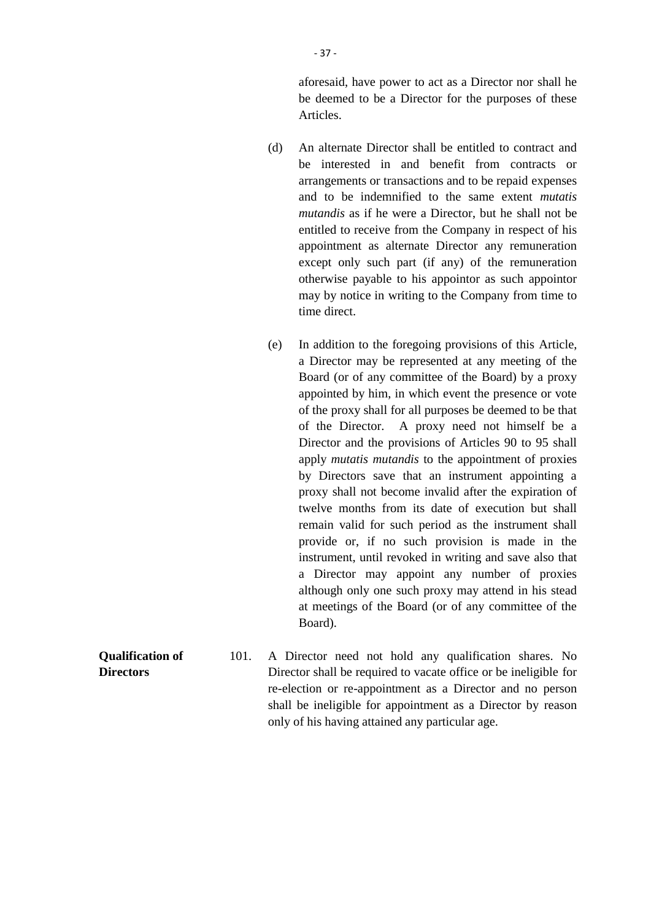aforesaid, have power to act as a Director nor shall he be deemed to be a Director for the purposes of these Articles.

- (d) An alternate Director shall be entitled to contract and be interested in and benefit from contracts or arrangements or transactions and to be repaid expenses and to be indemnified to the same extent *mutatis mutandis* as if he were a Director, but he shall not be entitled to receive from the Company in respect of his appointment as alternate Director any remuneration except only such part (if any) of the remuneration otherwise payable to his appointor as such appointor may by notice in writing to the Company from time to time direct.
- (e) In addition to the foregoing provisions of this Article, a Director may be represented at any meeting of the Board (or of any committee of the Board) by a proxy appointed by him, in which event the presence or vote of the proxy shall for all purposes be deemed to be that of the Director. A proxy need not himself be a Director and the provisions of Articles 90 to 95 shall apply *mutatis mutandis* to the appointment of proxies by Directors save that an instrument appointing a proxy shall not become invalid after the expiration of twelve months from its date of execution but shall remain valid for such period as the instrument shall provide or, if no such provision is made in the instrument, until revoked in writing and save also that a Director may appoint any number of proxies although only one such proxy may attend in his stead at meetings of the Board (or of any committee of the Board).
- **Qualification of Directors** 101. A Director need not hold any qualification shares. No Director shall be required to vacate office or be ineligible for re-election or re-appointment as a Director and no person shall be ineligible for appointment as a Director by reason only of his having attained any particular age.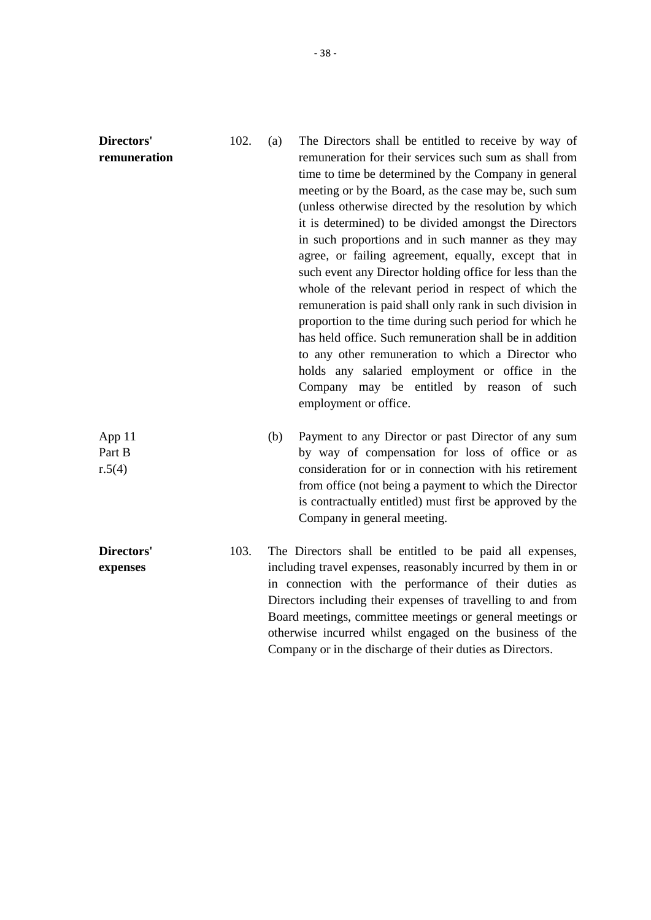| Directors'<br>remuneration | 102. | The Directors shall be entitled to receive by way of<br>(a)<br>remuneration for their services such sum as shall from<br>time to time be determined by the Company in general<br>meeting or by the Board, as the case may be, such sum<br>(unless otherwise directed by the resolution by which<br>it is determined) to be divided amongst the Directors<br>in such proportions and in such manner as they may<br>agree, or failing agreement, equally, except that in<br>such event any Director holding office for less than the<br>whole of the relevant period in respect of which the<br>remuneration is paid shall only rank in such division in<br>proportion to the time during such period for which he<br>has held office. Such remuneration shall be in addition<br>to any other remuneration to which a Director who<br>holds any salaried employment or office in the<br>Company may be entitled by reason of such<br>employment or office. |
|----------------------------|------|----------------------------------------------------------------------------------------------------------------------------------------------------------------------------------------------------------------------------------------------------------------------------------------------------------------------------------------------------------------------------------------------------------------------------------------------------------------------------------------------------------------------------------------------------------------------------------------------------------------------------------------------------------------------------------------------------------------------------------------------------------------------------------------------------------------------------------------------------------------------------------------------------------------------------------------------------------|
| App 11<br>Part B<br>r.5(4) |      | (b)<br>Payment to any Director or past Director of any sum<br>by way of compensation for loss of office or as<br>consideration for or in connection with his retirement<br>from office (not being a payment to which the Director<br>is contractually entitled) must first be approved by the<br>Company in general meeting.                                                                                                                                                                                                                                                                                                                                                                                                                                                                                                                                                                                                                             |
| Directors'<br>expenses     | 103. | The Directors shall be entitled to be paid all expenses,<br>including travel expenses, reasonably incurred by them in or<br>in connection with the performance of their duties as<br>Directors including their expenses of travelling to and from<br>Board meetings, committee meetings or general meetings or<br>otherwise incurred whilst engaged on the business of the<br>Company or in the discharge of their duties as Directors.                                                                                                                                                                                                                                                                                                                                                                                                                                                                                                                  |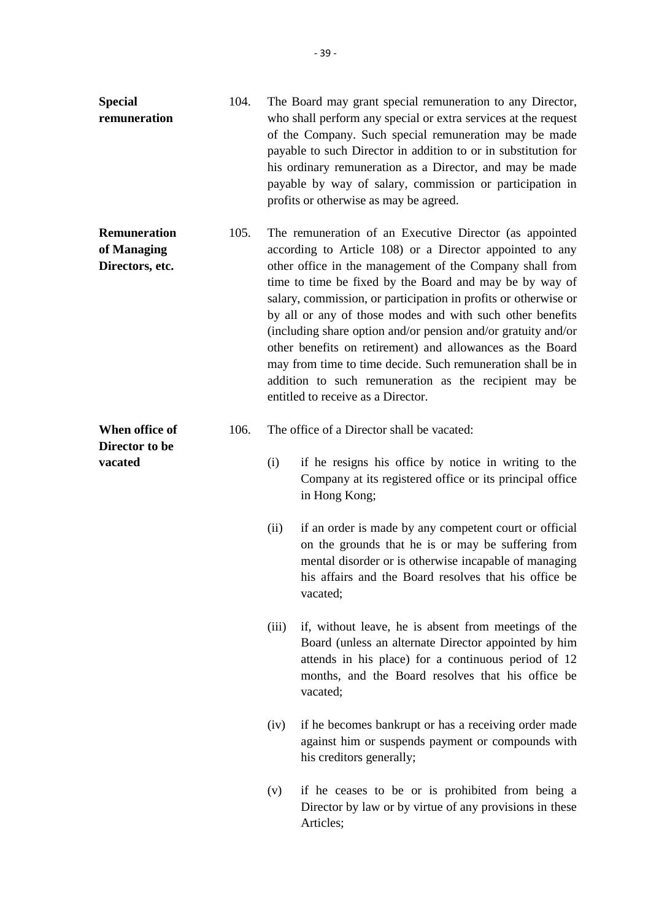| <b>Special</b><br>remuneration                        | 104. | The Board may grant special remuneration to any Director,<br>who shall perform any special or extra services at the request<br>of the Company. Such special remuneration may be made<br>payable to such Director in addition to or in substitution for<br>his ordinary remuneration as a Director, and may be made<br>payable by way of salary, commission or participation in<br>profits or otherwise as may be agreed. |                                                                                                                                                                                                                                                                                                                                                                                                                                                                                                                                                                                                                                                                        |  |
|-------------------------------------------------------|------|--------------------------------------------------------------------------------------------------------------------------------------------------------------------------------------------------------------------------------------------------------------------------------------------------------------------------------------------------------------------------------------------------------------------------|------------------------------------------------------------------------------------------------------------------------------------------------------------------------------------------------------------------------------------------------------------------------------------------------------------------------------------------------------------------------------------------------------------------------------------------------------------------------------------------------------------------------------------------------------------------------------------------------------------------------------------------------------------------------|--|
| <b>Remuneration</b><br>of Managing<br>Directors, etc. | 105. |                                                                                                                                                                                                                                                                                                                                                                                                                          | The remuneration of an Executive Director (as appointed<br>according to Article 108) or a Director appointed to any<br>other office in the management of the Company shall from<br>time to time be fixed by the Board and may be by way of<br>salary, commission, or participation in profits or otherwise or<br>by all or any of those modes and with such other benefits<br>(including share option and/or pension and/or gratuity and/or<br>other benefits on retirement) and allowances as the Board<br>may from time to time decide. Such remuneration shall be in<br>addition to such remuneration as the recipient may be<br>entitled to receive as a Director. |  |
| When office of                                        | 106. | The office of a Director shall be vacated:                                                                                                                                                                                                                                                                                                                                                                               |                                                                                                                                                                                                                                                                                                                                                                                                                                                                                                                                                                                                                                                                        |  |
| Director to be<br>vacated                             |      | (i)                                                                                                                                                                                                                                                                                                                                                                                                                      | if he resigns his office by notice in writing to the<br>Company at its registered office or its principal office<br>in Hong Kong;                                                                                                                                                                                                                                                                                                                                                                                                                                                                                                                                      |  |
|                                                       |      | (ii)                                                                                                                                                                                                                                                                                                                                                                                                                     | if an order is made by any competent court or official<br>on the grounds that he is or may be suffering from<br>mental disorder or is otherwise incapable of managing<br>his affairs and the Board resolves that his office be<br>vacated;                                                                                                                                                                                                                                                                                                                                                                                                                             |  |
|                                                       |      | (iii)                                                                                                                                                                                                                                                                                                                                                                                                                    | if, without leave, he is absent from meetings of the<br>Board (unless an alternate Director appointed by him<br>attends in his place) for a continuous period of 12<br>months, and the Board resolves that his office be<br>vacated;                                                                                                                                                                                                                                                                                                                                                                                                                                   |  |
|                                                       |      | (iv)                                                                                                                                                                                                                                                                                                                                                                                                                     | if he becomes bankrupt or has a receiving order made<br>against him or suspends payment or compounds with<br>his creditors generally;                                                                                                                                                                                                                                                                                                                                                                                                                                                                                                                                  |  |
|                                                       |      | (v)                                                                                                                                                                                                                                                                                                                                                                                                                      | if he ceases to be or is prohibited from being a<br>Director by law or by virtue of any provisions in these<br>Articles;                                                                                                                                                                                                                                                                                                                                                                                                                                                                                                                                               |  |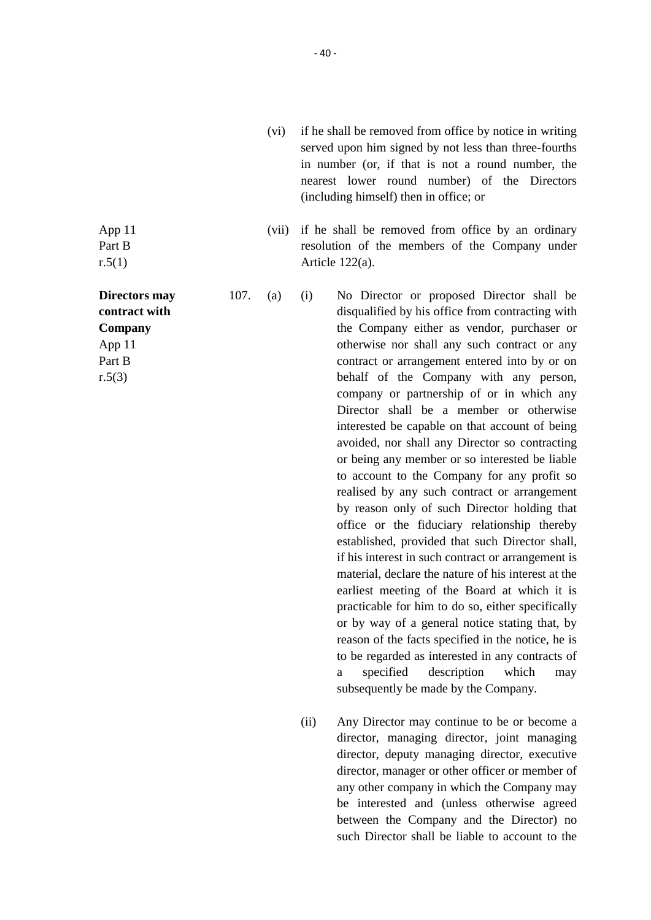- (vi) if he shall be removed from office by notice in writing served upon him signed by not less than three-fourths in number (or, if that is not a round number, the nearest lower round number) of the Directors (including himself) then in office; or
- (vii) if he shall be removed from office by an ordinary resolution of the members of the Company under Article 122(a).

107. (a) (i) No Director or proposed Director shall be disqualified by his office from contracting with the Company either as vendor, purchaser or otherwise nor shall any such contract or any contract or arrangement entered into by or on behalf of the Company with any person, company or partnership of or in which any Director shall be a member or otherwise interested be capable on that account of being avoided, nor shall any Director so contracting or being any member or so interested be liable to account to the Company for any profit so realised by any such contract or arrangement by reason only of such Director holding that office or the fiduciary relationship thereby established, provided that such Director shall, if his interest in such contract or arrangement is material, declare the nature of his interest at the earliest meeting of the Board at which it is practicable for him to do so, either specifically or by way of a general notice stating that, by reason of the facts specified in the notice, he is to be regarded as interested in any contracts of a specified description which may subsequently be made by the Company.

> (ii) Any Director may continue to be or become a director, managing director, joint managing director, deputy managing director, executive director, manager or other officer or member of any other company in which the Company may be interested and (unless otherwise agreed between the Company and the Director) no such Director shall be liable to account to the

App 11 Part B  $r.5(1)$ 

**Directors may contract with Company** App 11 Part B

r.5(3)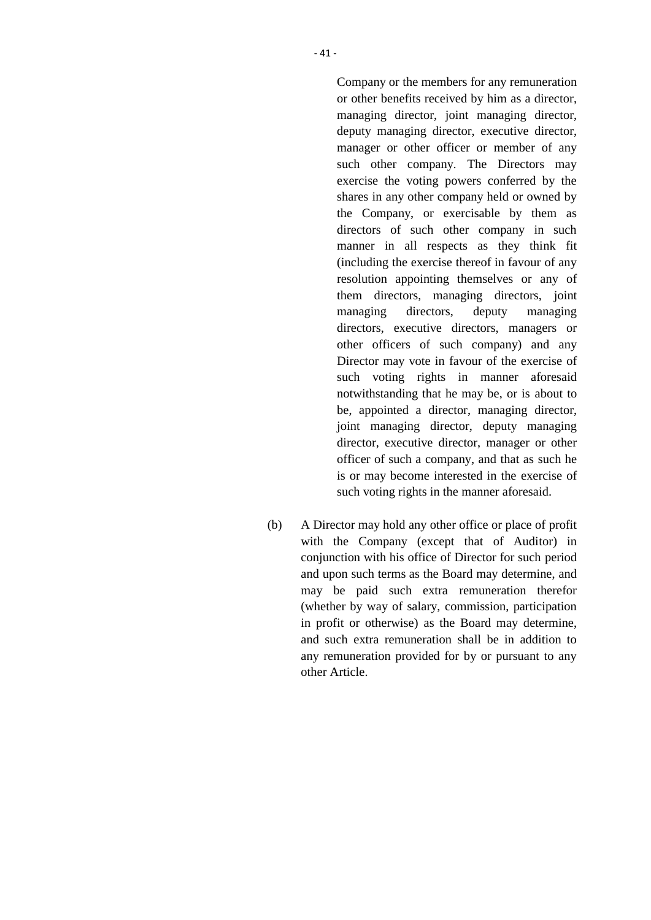Company or the members for any remuneration or other benefits received by him as a director, managing director, joint managing director, deputy managing director, executive director, manager or other officer or member of any such other company. The Directors may exercise the voting powers conferred by the shares in any other company held or owned by the Company, or exercisable by them as directors of such other company in such manner in all respects as they think fit (including the exercise thereof in favour of any resolution appointing themselves or any of them directors, managing directors, joint managing directors, deputy managing directors, executive directors, managers or other officers of such company) and any Director may vote in favour of the exercise of such voting rights in manner aforesaid notwithstanding that he may be, or is about to be, appointed a director, managing director, joint managing director, deputy managing director, executive director, manager or other officer of such a company, and that as such he is or may become interested in the exercise of such voting rights in the manner aforesaid.

(b) A Director may hold any other office or place of profit with the Company (except that of Auditor) in conjunction with his office of Director for such period and upon such terms as the Board may determine, and may be paid such extra remuneration therefor (whether by way of salary, commission, participation in profit or otherwise) as the Board may determine, and such extra remuneration shall be in addition to any remuneration provided for by or pursuant to any other Article.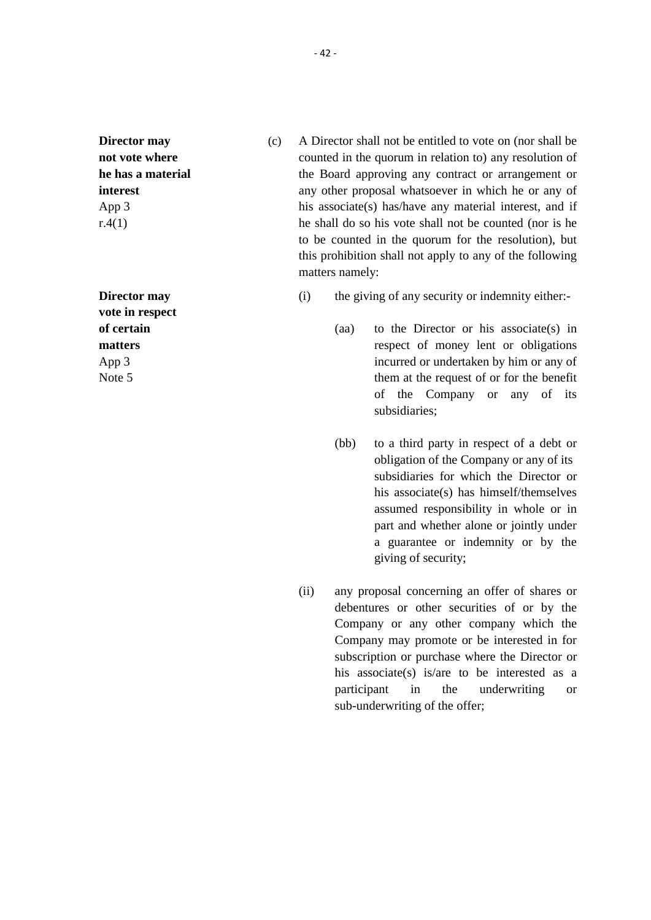**Director may not vote where he has a material interest** App 3 r.4(1)

**Director may vote in respect of certain matters** App 3 Note 5

- (c) A Director shall not be entitled to vote on (nor shall be counted in the quorum in relation to) any resolution of the Board approving any contract or arrangement or any other proposal whatsoever in which he or any of his associate(s) has/have any material interest, and if he shall do so his vote shall not be counted (nor is he to be counted in the quorum for the resolution), but this prohibition shall not apply to any of the following matters namely:
	- (i) the giving of any security or indemnity either:-
		- (aa) to the Director or his associate(s) in respect of money lent or obligations incurred or undertaken by him or any of them at the request of or for the benefit of the Company or any of its subsidiaries;
		- (bb) to a third party in respect of a debt or obligation of the Company or any of its subsidiaries for which the Director or his associate(s) has himself/themselves assumed responsibility in whole or in part and whether alone or jointly under a guarantee or indemnity or by the giving of security;
	- (ii) any proposal concerning an offer of shares or debentures or other securities of or by the Company or any other company which the Company may promote or be interested in for subscription or purchase where the Director or his associate(s) is/are to be interested as a participant in the underwriting or sub-underwriting of the offer;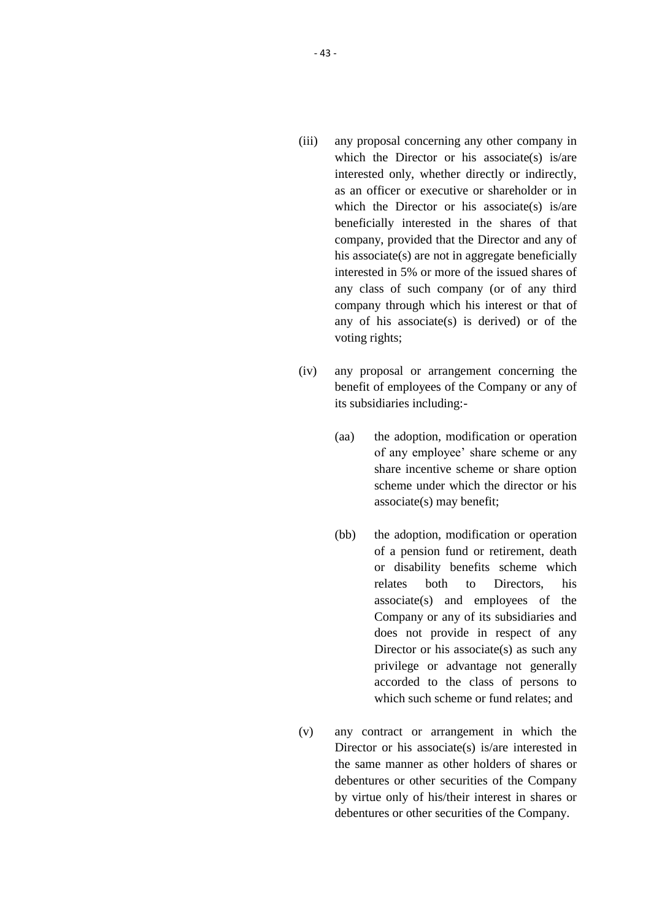- (iii) any proposal concerning any other company in which the Director or his associate(s) is/are interested only, whether directly or indirectly, as an officer or executive or shareholder or in which the Director or his associate(s) is/are beneficially interested in the shares of that company, provided that the Director and any of his associate(s) are not in aggregate beneficially interested in 5% or more of the issued shares of any class of such company (or of any third company through which his interest or that of any of his associate(s) is derived) or of the voting rights;
- (iv) any proposal or arrangement concerning the benefit of employees of the Company or any of its subsidiaries including:-
	- (aa) the adoption, modification or operation of any employee' share scheme or any share incentive scheme or share option scheme under which the director or his associate(s) may benefit;
	- (bb) the adoption, modification or operation of a pension fund or retirement, death or disability benefits scheme which relates both to Directors, his associate(s) and employees of the Company or any of its subsidiaries and does not provide in respect of any Director or his associate(s) as such any privilege or advantage not generally accorded to the class of persons to which such scheme or fund relates; and
- (v) any contract or arrangement in which the Director or his associate(s) is/are interested in the same manner as other holders of shares or debentures or other securities of the Company by virtue only of his/their interest in shares or debentures or other securities of the Company.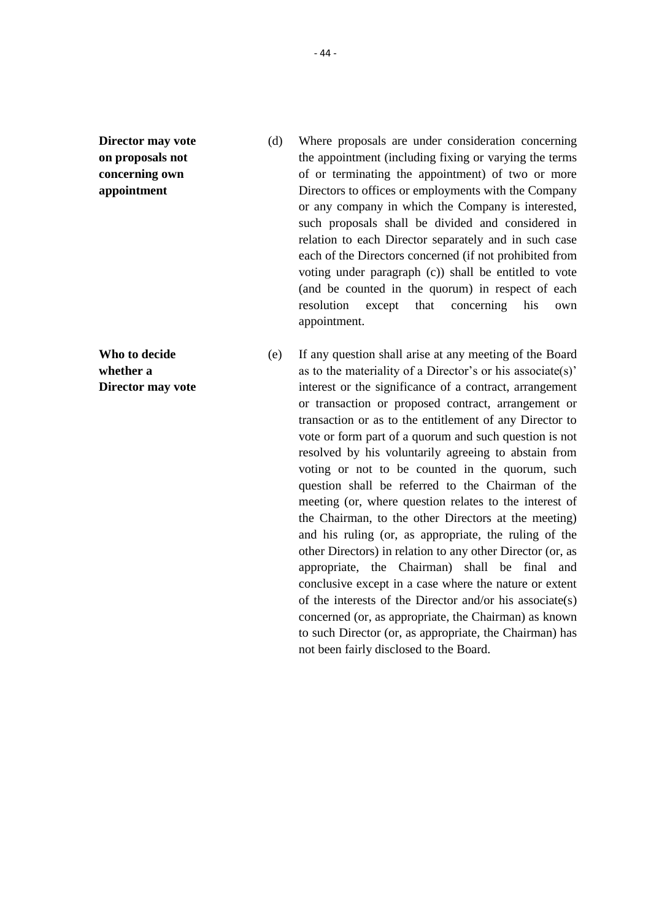**Director may vote on proposals not concerning own appointment**

**Who to decide whether a Director may vote**

- (d) Where proposals are under consideration concerning the appointment (including fixing or varying the terms of or terminating the appointment) of two or more Directors to offices or employments with the Company or any company in which the Company is interested, such proposals shall be divided and considered in relation to each Director separately and in such case each of the Directors concerned (if not prohibited from voting under paragraph (c)) shall be entitled to vote (and be counted in the quorum) in respect of each resolution except that concerning his own appointment.
- (e) If any question shall arise at any meeting of the Board as to the materiality of a Director's or his associate(s)' interest or the significance of a contract, arrangement or transaction or proposed contract, arrangement or transaction or as to the entitlement of any Director to vote or form part of a quorum and such question is not resolved by his voluntarily agreeing to abstain from voting or not to be counted in the quorum, such question shall be referred to the Chairman of the meeting (or, where question relates to the interest of the Chairman, to the other Directors at the meeting) and his ruling (or, as appropriate, the ruling of the other Directors) in relation to any other Director (or, as appropriate, the Chairman) shall be final and conclusive except in a case where the nature or extent of the interests of the Director and/or his associate(s) concerned (or, as appropriate, the Chairman) as known to such Director (or, as appropriate, the Chairman) has not been fairly disclosed to the Board.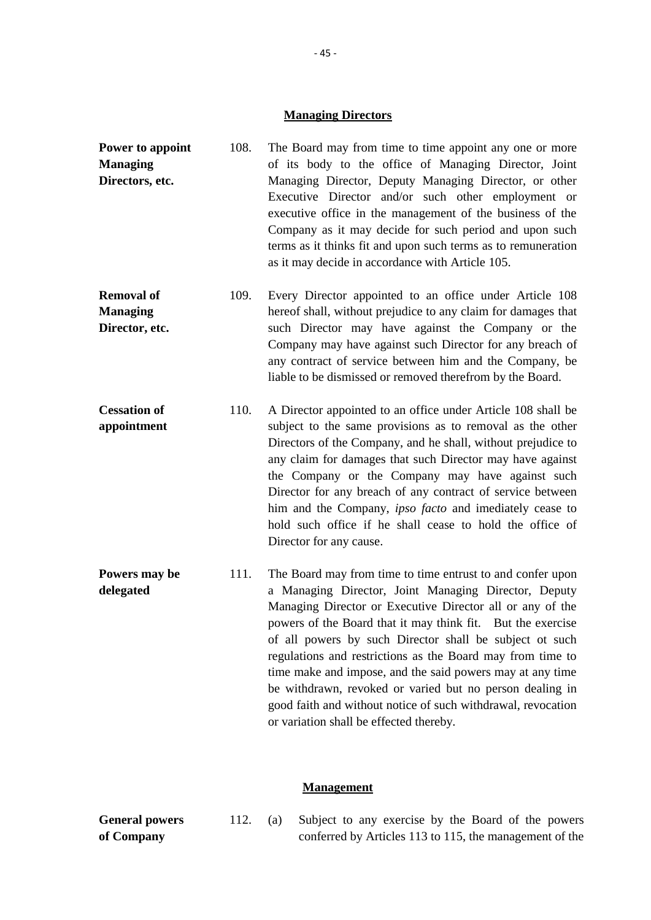#### **Managing Directors**

- **Power to appoint Managing Directors, etc.** 108. The Board may from time to time appoint any one or more of its body to the office of Managing Director, Joint Managing Director, Deputy Managing Director, or other Executive Director and/or such other employment or executive office in the management of the business of the Company as it may decide for such period and upon such terms as it thinks fit and upon such terms as to remuneration as it may decide in accordance with Article 105. **Removal of Managing Director, etc.** 109. Every Director appointed to an office under Article 108 hereof shall, without prejudice to any claim for damages that such Director may have against the Company or the Company may have against such Director for any breach of any contract of service between him and the Company, be liable to be dismissed or removed therefrom by the Board.
- **Cessation of appointment** 110. A Director appointed to an office under Article 108 shall be subject to the same provisions as to removal as the other Directors of the Company, and he shall, without prejudice to any claim for damages that such Director may have against the Company or the Company may have against such Director for any breach of any contract of service between him and the Company, *ipso facto* and imediately cease to hold such office if he shall cease to hold the office of Director for any cause.
- **Powers may be delegated** 111. The Board may from time to time entrust to and confer upon a Managing Director, Joint Managing Director, Deputy Managing Director or Executive Director all or any of the powers of the Board that it may think fit. But the exercise of all powers by such Director shall be subject ot such regulations and restrictions as the Board may from time to time make and impose, and the said powers may at any time be withdrawn, revoked or varied but no person dealing in good faith and without notice of such withdrawal, revocation or variation shall be effected thereby.

#### **Management**

**General powers of Company** 112. (a) Subject to any exercise by the Board of the powers conferred by Articles 113 to 115, the management of the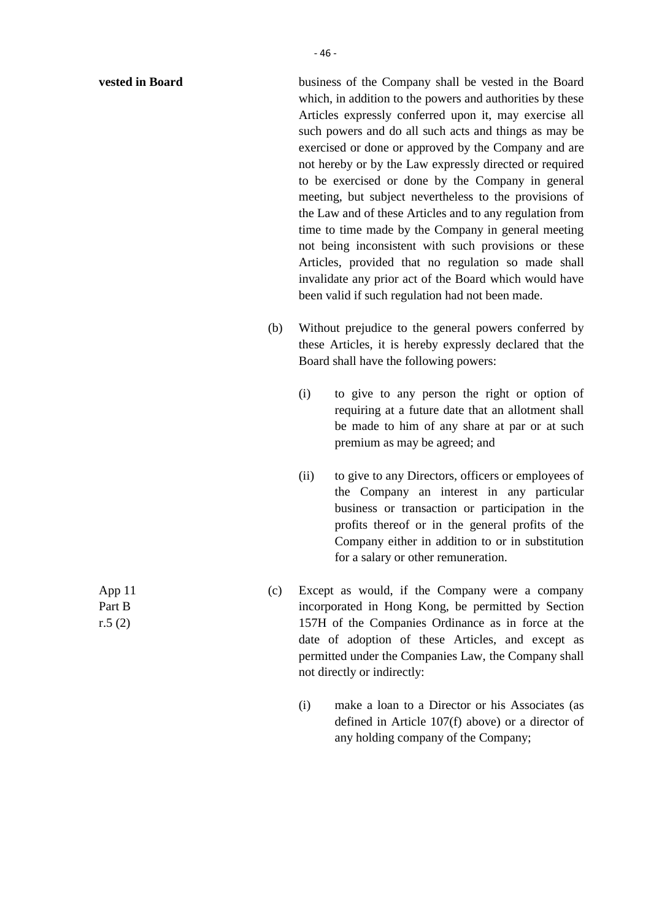| vested in Board            |     | business of the Company shall be vested in the Board<br>which, in addition to the powers and authorities by these<br>Articles expressly conferred upon it, may exercise all<br>such powers and do all such acts and things as may be<br>exercised or done or approved by the Company and are<br>not hereby or by the Law expressly directed or required<br>to be exercised or done by the Company in general<br>meeting, but subject nevertheless to the provisions of<br>the Law and of these Articles and to any regulation from<br>time to time made by the Company in general meeting<br>not being inconsistent with such provisions or these<br>Articles, provided that no regulation so made shall<br>invalidate any prior act of the Board which would have<br>been valid if such regulation had not been made. |  |
|----------------------------|-----|------------------------------------------------------------------------------------------------------------------------------------------------------------------------------------------------------------------------------------------------------------------------------------------------------------------------------------------------------------------------------------------------------------------------------------------------------------------------------------------------------------------------------------------------------------------------------------------------------------------------------------------------------------------------------------------------------------------------------------------------------------------------------------------------------------------------|--|
|                            | (b) | Without prejudice to the general powers conferred by<br>these Articles, it is hereby expressly declared that the<br>Board shall have the following powers:                                                                                                                                                                                                                                                                                                                                                                                                                                                                                                                                                                                                                                                             |  |
|                            |     | (i)<br>to give to any person the right or option of<br>requiring at a future date that an allotment shall<br>be made to him of any share at par or at such<br>premium as may be agreed; and                                                                                                                                                                                                                                                                                                                                                                                                                                                                                                                                                                                                                            |  |
|                            |     | to give to any Directors, officers or employees of<br>(ii)<br>the Company an interest in any particular<br>business or transaction or participation in the<br>profits thereof or in the general profits of the<br>Company either in addition to or in substitution<br>for a salary or other remuneration.                                                                                                                                                                                                                                                                                                                                                                                                                                                                                                              |  |
| App 11<br>Part B<br>r.5(2) | (c) | Except as would, if the Company were a company<br>incorporated in Hong Kong, be permitted by Section<br>157H of the Companies Ordinance as in force at the                                                                                                                                                                                                                                                                                                                                                                                                                                                                                                                                                                                                                                                             |  |

not directly or indirectly:

(i) make a loan to a Director or his Associates (as defined in Article 107(f) above) or a director of any holding company of the Company;

date of adoption of these Articles, and except as permitted under the Companies Law, the Company shall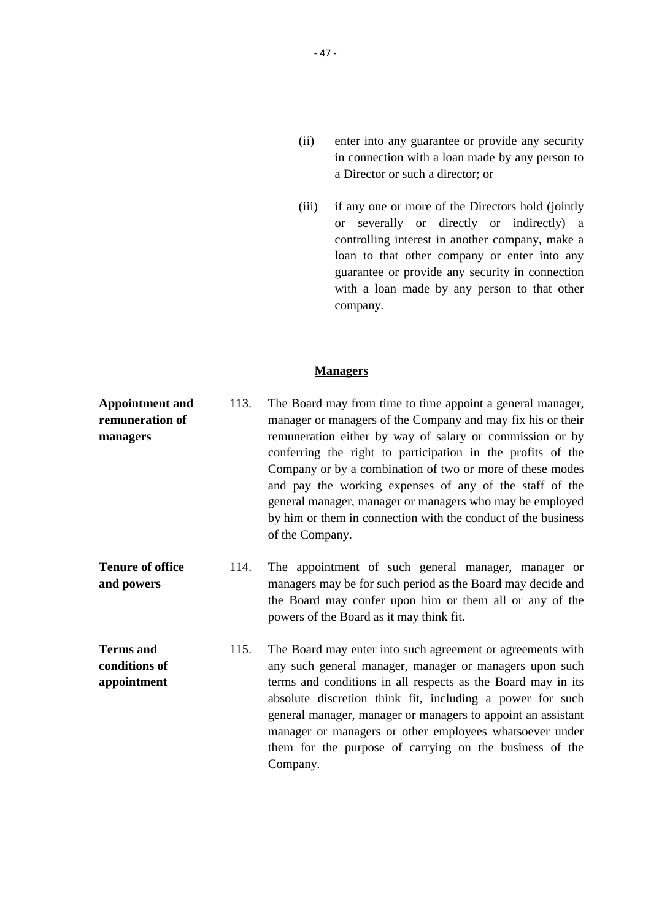- (ii) enter into any guarantee or provide any security in connection with a loan made by any person to a Director or such a director; or
- (iii) if any one or more of the Directors hold (jointly or severally or directly or indirectly) a controlling interest in another company, make a loan to that other company or enter into any guarantee or provide any security in connection with a loan made by any person to that other company.

## **Managers**

- **Appointment and remuneration of managers** 113. The Board may from time to time appoint a general manager, manager or managers of the Company and may fix his or their remuneration either by way of salary or commission or by conferring the right to participation in the profits of the Company or by a combination of two or more of these modes and pay the working expenses of any of the staff of the general manager, manager or managers who may be employed by him or them in connection with the conduct of the business of the Company.
- **Tenure of office and powers** 114. The appointment of such general manager, manager or managers may be for such period as the Board may decide and the Board may confer upon him or them all or any of the powers of the Board as it may think fit.
- **Terms and conditions of appointment** 115. The Board may enter into such agreement or agreements with any such general manager, manager or managers upon such terms and conditions in all respects as the Board may in its absolute discretion think fit, including a power for such general manager, manager or managers to appoint an assistant manager or managers or other employees whatsoever under them for the purpose of carrying on the business of the Company.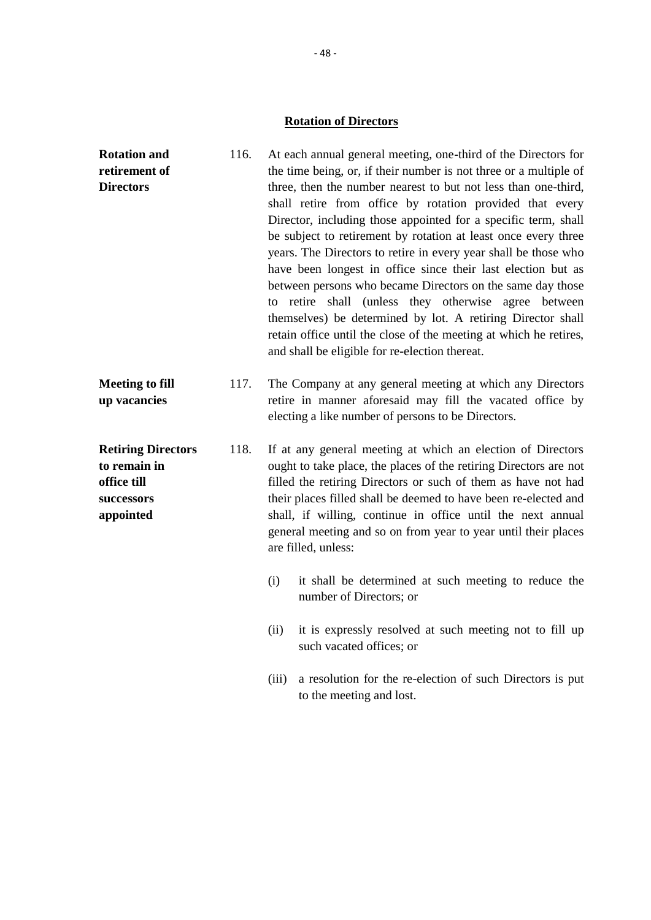# **Rotation of Directors**

| <b>Rotation and</b><br>retirement of<br><b>Directors</b>                            | 116. | At each annual general meeting, one-third of the Directors for<br>the time being, or, if their number is not three or a multiple of<br>three, then the number nearest to but not less than one-third,<br>shall retire from office by rotation provided that every<br>Director, including those appointed for a specific term, shall<br>be subject to retirement by rotation at least once every three<br>years. The Directors to retire in every year shall be those who<br>have been longest in office since their last election but as<br>between persons who became Directors on the same day those<br>to retire shall (unless they otherwise agree between<br>themselves) be determined by lot. A retiring Director shall<br>retain office until the close of the meeting at which he retires,<br>and shall be eligible for re-election thereat. |  |
|-------------------------------------------------------------------------------------|------|------------------------------------------------------------------------------------------------------------------------------------------------------------------------------------------------------------------------------------------------------------------------------------------------------------------------------------------------------------------------------------------------------------------------------------------------------------------------------------------------------------------------------------------------------------------------------------------------------------------------------------------------------------------------------------------------------------------------------------------------------------------------------------------------------------------------------------------------------|--|
| <b>Meeting to fill</b><br>up vacancies                                              | 117. | The Company at any general meeting at which any Directors<br>retire in manner aforesaid may fill the vacated office by<br>electing a like number of persons to be Directors.                                                                                                                                                                                                                                                                                                                                                                                                                                                                                                                                                                                                                                                                         |  |
| <b>Retiring Directors</b><br>to remain in<br>office till<br>successors<br>appointed | 118. | If at any general meeting at which an election of Directors<br>ought to take place, the places of the retiring Directors are not<br>filled the retiring Directors or such of them as have not had<br>their places filled shall be deemed to have been re-elected and<br>shall, if willing, continue in office until the next annual<br>general meeting and so on from year to year until their places<br>are filled, unless:                                                                                                                                                                                                                                                                                                                                                                                                                         |  |
|                                                                                     |      | (i)<br>it shall be determined at such meeting to reduce the<br>number of Directors; or                                                                                                                                                                                                                                                                                                                                                                                                                                                                                                                                                                                                                                                                                                                                                               |  |
|                                                                                     |      | it is expressly resolved at such meeting not to fill up<br>(ii)<br>such vacated offices; or                                                                                                                                                                                                                                                                                                                                                                                                                                                                                                                                                                                                                                                                                                                                                          |  |
|                                                                                     |      | a resolution for the re-election of such Directors is put<br>(iii)<br>to the meeting and lost.                                                                                                                                                                                                                                                                                                                                                                                                                                                                                                                                                                                                                                                                                                                                                       |  |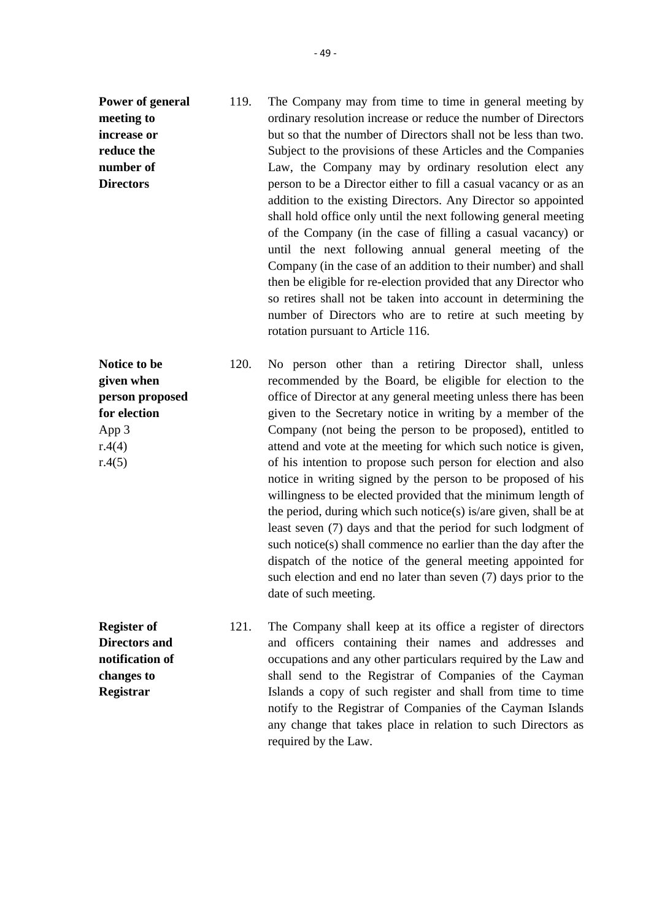**Power of general meeting to increase or reduce the number of Directors** 119. The Company may from time to time in general meeting by ordinary resolution increase or reduce the number of Directors but so that the number of Directors shall not be less than two. Subject to the provisions of these Articles and the Companies Law, the Company may by ordinary resolution elect any person to be a Director either to fill a casual vacancy or as an addition to the existing Directors. Any Director so appointed shall hold office only until the next following general meeting of the Company (in the case of filling a casual vacancy) or until the next following annual general meeting of the Company (in the case of an addition to their number) and shall then be eligible for re-election provided that any Director who so retires shall not be taken into account in determining the number of Directors who are to retire at such meeting by rotation pursuant to Article 116.

**Notice to be given when person proposed for election** App 3 r.4(4)  $r.4(5)$ 120. No person other than a retiring Director shall, unless recommended by the Board, be eligible for election to the office of Director at any general meeting unless there has been given to the Secretary notice in writing by a member of the Company (not being the person to be proposed), entitled to attend and vote at the meeting for which such notice is given, of his intention to propose such person for election and also notice in writing signed by the person to be proposed of his willingness to be elected provided that the minimum length of the period, during which such notice(s) is/are given, shall be at least seven (7) days and that the period for such lodgment of such notice(s) shall commence no earlier than the day after the dispatch of the notice of the general meeting appointed for such election and end no later than seven (7) days prior to the date of such meeting.

**Register of Directors and notification of changes to Registrar**

121. The Company shall keep at its office a register of directors and officers containing their names and addresses and occupations and any other particulars required by the Law and shall send to the Registrar of Companies of the Cayman Islands a copy of such register and shall from time to time notify to the Registrar of Companies of the Cayman Islands any change that takes place in relation to such Directors as required by the Law.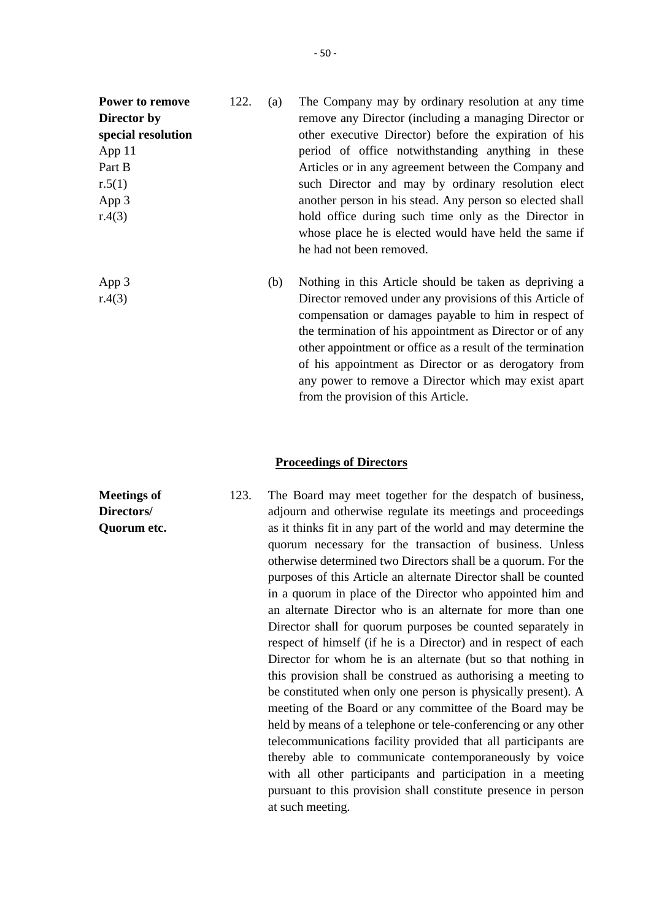| Power to remove    | 122. | (a) | The Company may by ordinary resolution at any time         |
|--------------------|------|-----|------------------------------------------------------------|
| Director by        |      |     | remove any Director (including a managing Director or      |
| special resolution |      |     | other executive Director) before the expiration of his     |
| App 11             |      |     | period of office notwithstanding anything in these         |
| Part B             |      |     | Articles or in any agreement between the Company and       |
| r.5(1)             |      |     | such Director and may by ordinary resolution elect         |
| App 3              |      |     | another person in his stead. Any person so elected shall   |
| r.4(3)             |      |     | hold office during such time only as the Director in       |
|                    |      |     | whose place he is elected would have held the same if      |
|                    |      |     | he had not been removed.                                   |
| App 3              |      | (b) | Nothing in this Article should be taken as depriving a     |
| r.4(3)             |      |     | Director removed under any provisions of this Article of   |
|                    |      |     | compensation or damages payable to him in respect of       |
|                    |      |     | the termination of his appointment as Director or of any   |
|                    |      |     | other appointment or office as a result of the termination |

**Meetings of Directors/ Quorum etc.**

#### **Proceedings of Directors**

from the provision of this Article.

123. The Board may meet together for the despatch of business, adjourn and otherwise regulate its meetings and proceedings as it thinks fit in any part of the world and may determine the quorum necessary for the transaction of business. Unless otherwise determined two Directors shall be a quorum. For the purposes of this Article an alternate Director shall be counted in a quorum in place of the Director who appointed him and an alternate Director who is an alternate for more than one Director shall for quorum purposes be counted separately in respect of himself (if he is a Director) and in respect of each Director for whom he is an alternate (but so that nothing in this provision shall be construed as authorising a meeting to be constituted when only one person is physically present). A meeting of the Board or any committee of the Board may be held by means of a telephone or tele-conferencing or any other telecommunications facility provided that all participants are thereby able to communicate contemporaneously by voice with all other participants and participation in a meeting pursuant to this provision shall constitute presence in person at such meeting.

of his appointment as Director or as derogatory from any power to remove a Director which may exist apart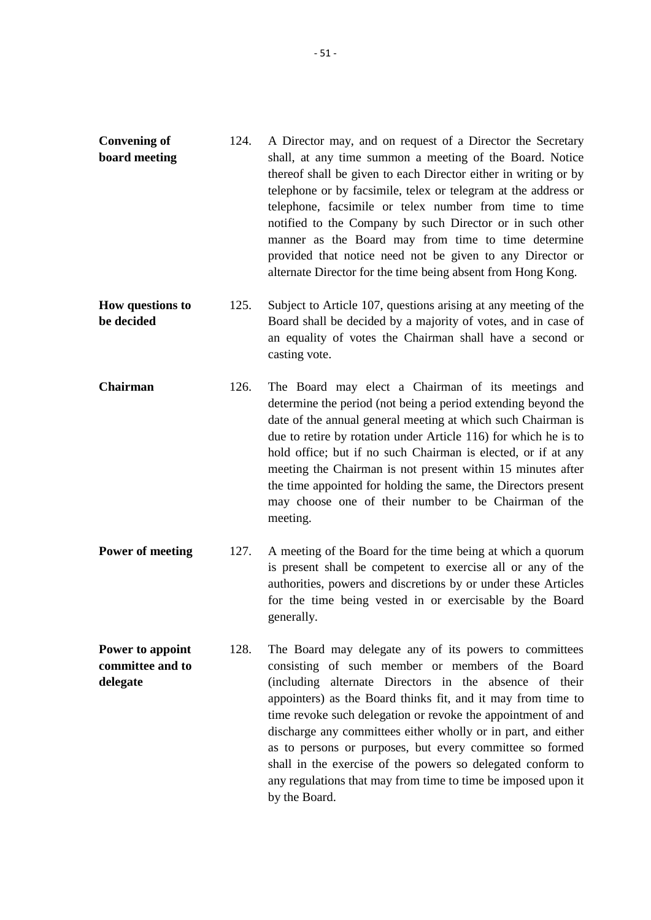- **Convening of board meeting** 124. A Director may, and on request of a Director the Secretary shall, at any time summon a meeting of the Board. Notice thereof shall be given to each Director either in writing or by telephone or by facsimile, telex or telegram at the address or telephone, facsimile or telex number from time to time notified to the Company by such Director or in such other manner as the Board may from time to time determine provided that notice need not be given to any Director or alternate Director for the time being absent from Hong Kong.
- **How questions to be decided** 125. Subject to Article 107, questions arising at any meeting of the Board shall be decided by a majority of votes, and in case of an equality of votes the Chairman shall have a second or casting vote.
- **Chairman** 126. The Board may elect a Chairman of its meetings and determine the period (not being a period extending beyond the date of the annual general meeting at which such Chairman is due to retire by rotation under Article 116) for which he is to hold office; but if no such Chairman is elected, or if at any meeting the Chairman is not present within 15 minutes after the time appointed for holding the same, the Directors present may choose one of their number to be Chairman of the meeting.
- **Power of meeting** 127. A meeting of the Board for the time being at which a quorum is present shall be competent to exercise all or any of the authorities, powers and discretions by or under these Articles for the time being vested in or exercisable by the Board generally.
- **Power to appoint committee and to delegate** 128. The Board may delegate any of its powers to committees consisting of such member or members of the Board (including alternate Directors in the absence of their appointers) as the Board thinks fit, and it may from time to time revoke such delegation or revoke the appointment of and discharge any committees either wholly or in part, and either as to persons or purposes, but every committee so formed shall in the exercise of the powers so delegated conform to any regulations that may from time to time be imposed upon it by the Board.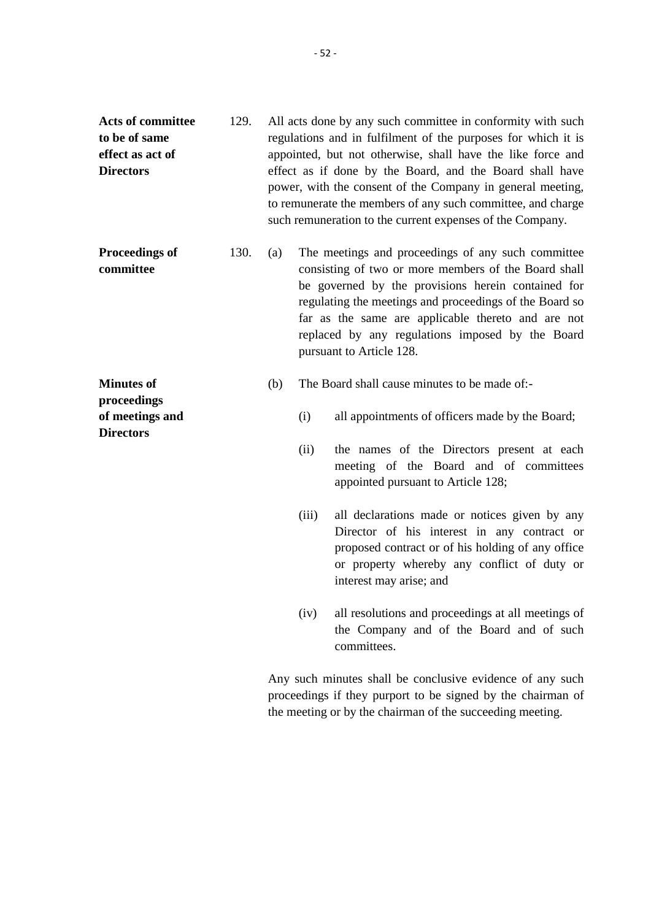- **Acts of committee to be of same effect as act of Directors** 129. All acts done by any such committee in conformity with such regulations and in fulfilment of the purposes for which it is appointed, but not otherwise, shall have the like force and effect as if done by the Board, and the Board shall have power, with the consent of the Company in general meeting, to remunerate the members of any such committee, and charge such remuneration to the current expenses of the Company.
- **Proceedings of committee** 130. (a) The meetings and proceedings of any such committee consisting of two or more members of the Board shall be governed by the provisions herein contained for regulating the meetings and proceedings of the Board so far as the same are applicable thereto and are not replaced by any regulations imposed by the Board pursuant to Article 128.

## (b) The Board shall cause minutes to be made of:-

**Minutes of proceedings of meetings and**

**Directors**

- (i) all appointments of officers made by the Board;
- (ii) the names of the Directors present at each meeting of the Board and of committees appointed pursuant to Article 128;
- (iii) all declarations made or notices given by any Director of his interest in any contract or proposed contract or of his holding of any office or property whereby any conflict of duty or interest may arise; and
- (iv) all resolutions and proceedings at all meetings of the Company and of the Board and of such committees.

Any such minutes shall be conclusive evidence of any such proceedings if they purport to be signed by the chairman of the meeting or by the chairman of the succeeding meeting.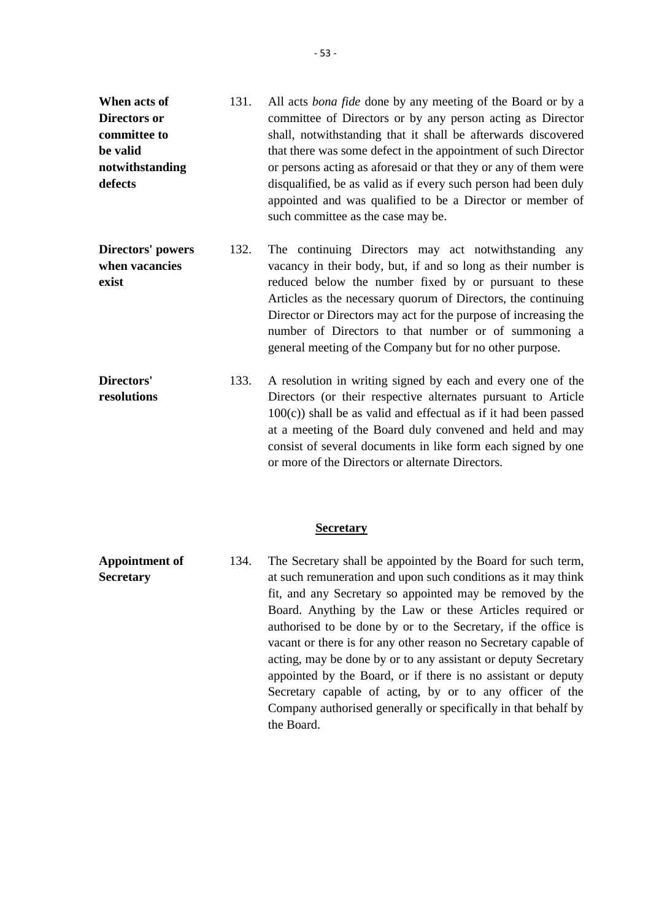- **When acts of Directors or committee to be valid notwithstanding defects** 131. All acts *bona fide* done by any meeting of the Board or by a committee of Directors or by any person acting as Director shall, notwithstanding that it shall be afterwards discovered that there was some defect in the appointment of such Director or persons acting as aforesaid or that they or any of them were disqualified, be as valid as if every such person had been duly appointed and was qualified to be a Director or member of such committee as the case may be.
- **Directors' powers when vacancies exist** 132. The continuing Directors may act notwithstanding any vacancy in their body, but, if and so long as their number is reduced below the number fixed by or pursuant to these Articles as the necessary quorum of Directors, the continuing Director or Directors may act for the purpose of increasing the number of Directors to that number or of summoning a general meeting of the Company but for no other purpose.

**Directors' resolutions** 133. A resolution in writing signed by each and every one of the Directors (or their respective alternates pursuant to Article  $100(c)$ ) shall be as valid and effectual as if it had been passed at a meeting of the Board duly convened and held and may consist of several documents in like form each signed by one or more of the Directors or alternate Directors.

## **Secretary**

**Appointment of Secretary** 134. The Secretary shall be appointed by the Board for such term, at such remuneration and upon such conditions as it may think fit, and any Secretary so appointed may be removed by the Board. Anything by the Law or these Articles required or authorised to be done by or to the Secretary, if the office is vacant or there is for any other reason no Secretary capable of acting, may be done by or to any assistant or deputy Secretary appointed by the Board, or if there is no assistant or deputy Secretary capable of acting, by or to any officer of the Company authorised generally or specifically in that behalf by the Board.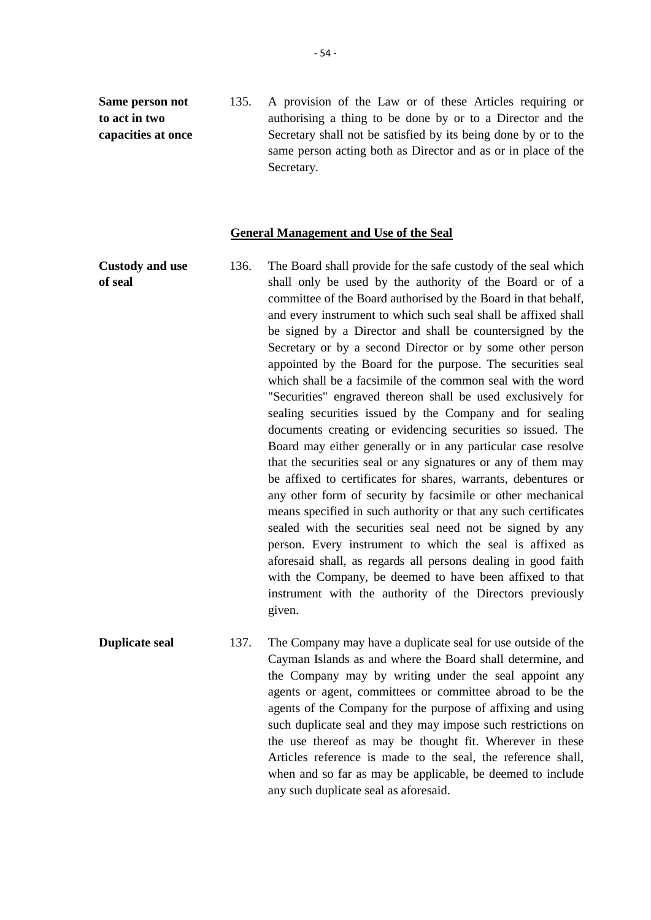**Same person not to act in two capacities at once** 135. A provision of the Law or of these Articles requiring or authorising a thing to be done by or to a Director and the Secretary shall not be satisfied by its being done by or to the same person acting both as Director and as or in place of the Secretary.

## **General Management and Use of the Seal**

**Custody and use of seal** 136. The Board shall provide for the safe custody of the seal which shall only be used by the authority of the Board or of a committee of the Board authorised by the Board in that behalf, and every instrument to which such seal shall be affixed shall be signed by a Director and shall be countersigned by the Secretary or by a second Director or by some other person appointed by the Board for the purpose. The securities seal which shall be a facsimile of the common seal with the word "Securities" engraved thereon shall be used exclusively for sealing securities issued by the Company and for sealing documents creating or evidencing securities so issued. The Board may either generally or in any particular case resolve that the securities seal or any signatures or any of them may be affixed to certificates for shares, warrants, debentures or any other form of security by facsimile or other mechanical means specified in such authority or that any such certificates sealed with the securities seal need not be signed by any person. Every instrument to which the seal is affixed as aforesaid shall, as regards all persons dealing in good faith with the Company, be deemed to have been affixed to that instrument with the authority of the Directors previously given.

**Duplicate seal** 137. The Company may have a duplicate seal for use outside of the Cayman Islands as and where the Board shall determine, and the Company may by writing under the seal appoint any agents or agent, committees or committee abroad to be the agents of the Company for the purpose of affixing and using such duplicate seal and they may impose such restrictions on the use thereof as may be thought fit. Wherever in these Articles reference is made to the seal, the reference shall, when and so far as may be applicable, be deemed to include any such duplicate seal as aforesaid.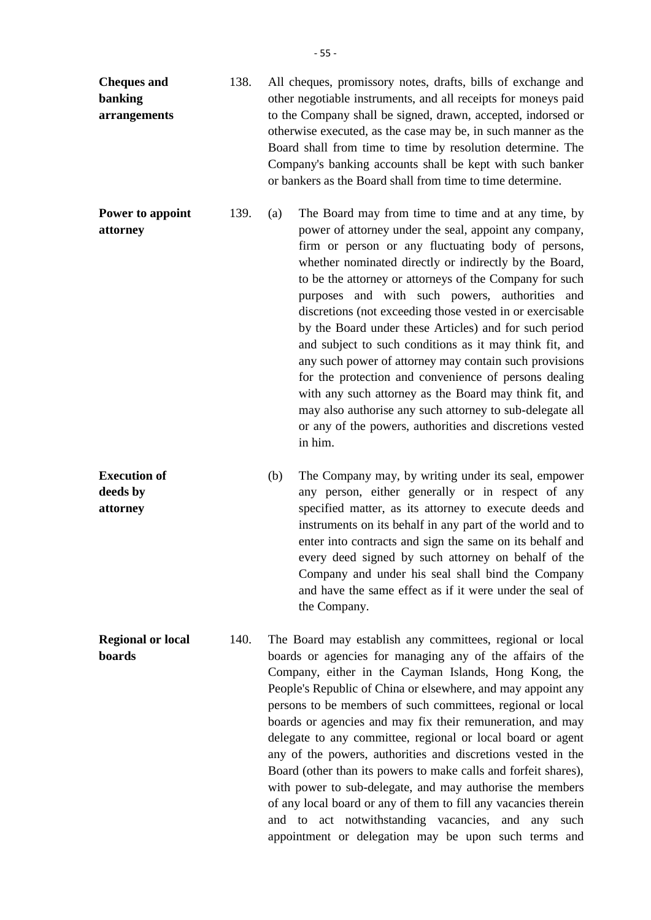| <b>Cheques and</b><br>banking<br>arrangements | 138. | All cheques, promissory notes, drafts, bills of exchange and<br>other negotiable instruments, and all receipts for moneys paid<br>to the Company shall be signed, drawn, accepted, indorsed or<br>otherwise executed, as the case may be, in such manner as the<br>Board shall from time to time by resolution determine. The<br>Company's banking accounts shall be kept with such banker<br>or bankers as the Board shall from time to time determine. |                                                                                                                                                                                                                                                                                                                                                                                                                                                                                                                                                                                                                                                                                                                                                                                                                                              |  |
|-----------------------------------------------|------|----------------------------------------------------------------------------------------------------------------------------------------------------------------------------------------------------------------------------------------------------------------------------------------------------------------------------------------------------------------------------------------------------------------------------------------------------------|----------------------------------------------------------------------------------------------------------------------------------------------------------------------------------------------------------------------------------------------------------------------------------------------------------------------------------------------------------------------------------------------------------------------------------------------------------------------------------------------------------------------------------------------------------------------------------------------------------------------------------------------------------------------------------------------------------------------------------------------------------------------------------------------------------------------------------------------|--|
| Power to appoint<br>attorney                  | 139. | (a)                                                                                                                                                                                                                                                                                                                                                                                                                                                      | The Board may from time to time and at any time, by<br>power of attorney under the seal, appoint any company,<br>firm or person or any fluctuating body of persons,<br>whether nominated directly or indirectly by the Board,<br>to be the attorney or attorneys of the Company for such<br>purposes and with such powers, authorities and<br>discretions (not exceeding those vested in or exercisable<br>by the Board under these Articles) and for such period<br>and subject to such conditions as it may think fit, and<br>any such power of attorney may contain such provisions<br>for the protection and convenience of persons dealing<br>with any such attorney as the Board may think fit, and<br>may also authorise any such attorney to sub-delegate all<br>or any of the powers, authorities and discretions vested<br>in him. |  |
| <b>Execution of</b><br>deeds by               |      | (b)                                                                                                                                                                                                                                                                                                                                                                                                                                                      | The Company may, by writing under its seal, empower<br>any person, either generally or in respect of any<br>sacaified metter es its ettement to execute deeds and                                                                                                                                                                                                                                                                                                                                                                                                                                                                                                                                                                                                                                                                            |  |

**Execu deeds by attorney** any person, either generally or in respect of any specified matter, as its attorney to execute deeds and instruments on its behalf in any part of the world and to enter into contracts and sign the same on its behalf and every deed signed by such attorney on behalf of the Company and under his seal shall bind the Company and have the same effect as if it were under the seal of the Company.

**Regional or local boards** 140. The Board may establish any committees, regional or local boards or agencies for managing any of the affairs of the Company, either in the Cayman Islands, Hong Kong, the People's Republic of China or elsewhere, and may appoint any persons to be members of such committees, regional or local boards or agencies and may fix their remuneration, and may delegate to any committee, regional or local board or agent any of the powers, authorities and discretions vested in the Board (other than its powers to make calls and forfeit shares), with power to sub-delegate, and may authorise the members of any local board or any of them to fill any vacancies therein and to act notwithstanding vacancies, and any such appointment or delegation may be upon such terms and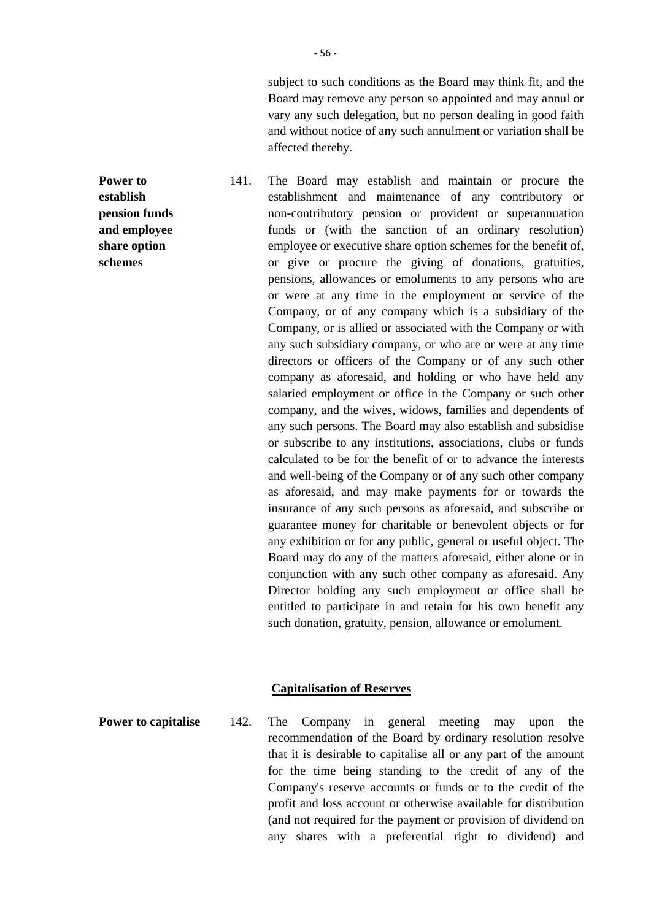subject to such conditions as the Board may think fit, and the Board may remove any person so appointed and may annul or vary any such delegation, but no person dealing in good faith and without notice of any such annulment or variation shall be affected thereby.

141. The Board may establish and maintain or procure the establishment and maintenance of any contributory or non-contributory pension or provident or superannuation funds or (with the sanction of an ordinary resolution) employee or executive share option schemes for the benefit of, or give or procure the giving of donations, gratuities, pensions, allowances or emoluments to any persons who are or were at any time in the employment or service of the Company, or of any company which is a subsidiary of the Company, or is allied or associated with the Company or with any such subsidiary company, or who are or were at any time directors or officers of the Company or of any such other company as aforesaid, and holding or who have held any salaried employment or office in the Company or such other company, and the wives, widows, families and dependents of any such persons. The Board may also establish and subsidise or subscribe to any institutions, associations, clubs or funds calculated to be for the benefit of or to advance the interests and well-being of the Company or of any such other company as aforesaid, and may make payments for or towards the insurance of any such persons as aforesaid, and subscribe or guarantee money for charitable or benevolent objects or for any exhibition or for any public, general or useful object. The Board may do any of the matters aforesaid, either alone or in conjunction with any such other company as aforesaid. Any Director holding any such employment or office shall be entitled to participate in and retain for his own benefit any such donation, gratuity, pension, allowance or emolument.

## **Capitalisation of Reserves**

**Power to establish pension funds and employee share option schemes**

**Power to capitalise** 142. The Company in general meeting may upon the recommendation of the Board by ordinary resolution resolve that it is desirable to capitalise all or any part of the amount for the time being standing to the credit of any of the Company's reserve accounts or funds or to the credit of the profit and loss account or otherwise available for distribution (and not required for the payment or provision of dividend on any shares with a preferential right to dividend) and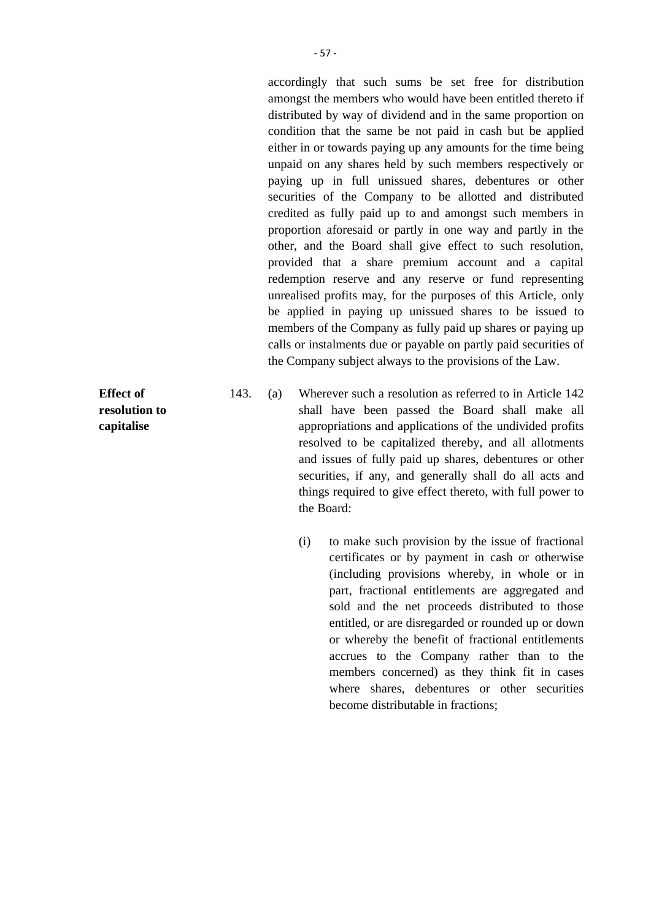accordingly that such sums be set free for distribution amongst the members who would have been entitled thereto if distributed by way of dividend and in the same proportion on condition that the same be not paid in cash but be applied either in or towards paying up any amounts for the time being unpaid on any shares held by such members respectively or paying up in full unissued shares, debentures or other securities of the Company to be allotted and distributed credited as fully paid up to and amongst such members in proportion aforesaid or partly in one way and partly in the other, and the Board shall give effect to such resolution, provided that a share premium account and a capital redemption reserve and any reserve or fund representing unrealised profits may, for the purposes of this Article, only be applied in paying up unissued shares to be issued to members of the Company as fully paid up shares or paying up calls or instalments due or payable on partly paid securities of the Company subject always to the provisions of the Law.

- 143. (a) Wherever such a resolution as referred to in Article 142 shall have been passed the Board shall make all appropriations and applications of the undivided profits resolved to be capitalized thereby, and all allotments and issues of fully paid up shares, debentures or other securities, if any, and generally shall do all acts and things required to give effect thereto, with full power to the Board:
	- (i) to make such provision by the issue of fractional certificates or by payment in cash or otherwise (including provisions whereby, in whole or in part, fractional entitlements are aggregated and sold and the net proceeds distributed to those entitled, or are disregarded or rounded up or down or whereby the benefit of fractional entitlements accrues to the Company rather than to the members concerned) as they think fit in cases where shares, debentures or other securities become distributable in fractions;

**Effect of resolution to capitalise**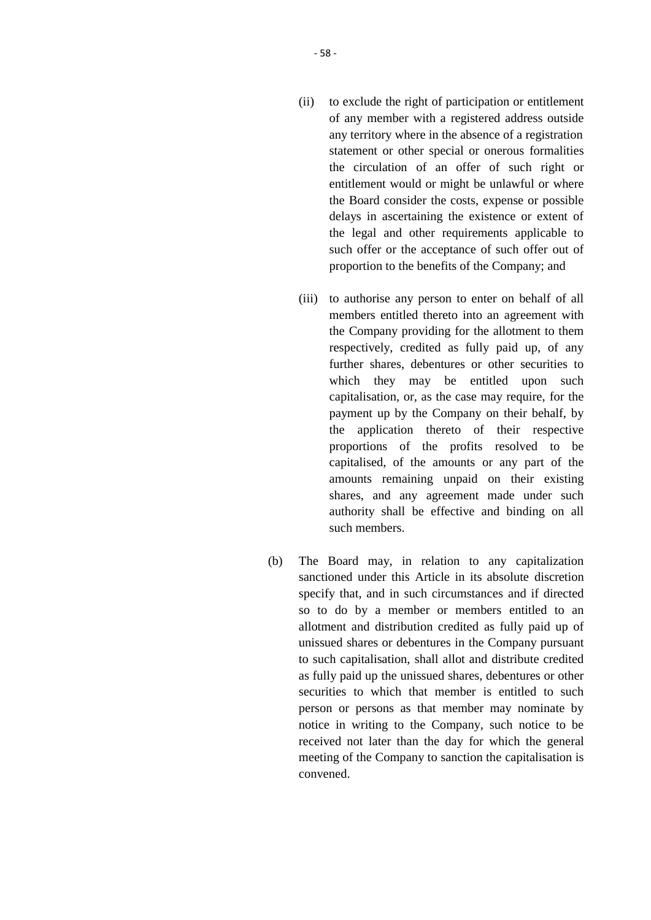- (ii) to exclude the right of participation or entitlement of any member with a registered address outside any territory where in the absence of a registration statement or other special or onerous formalities the circulation of an offer of such right or entitlement would or might be unlawful or where the Board consider the costs, expense or possible delays in ascertaining the existence or extent of the legal and other requirements applicable to such offer or the acceptance of such offer out of proportion to the benefits of the Company; and
- (iii) to authorise any person to enter on behalf of all members entitled thereto into an agreement with the Company providing for the allotment to them respectively, credited as fully paid up, of any further shares, debentures or other securities to which they may be entitled upon such capitalisation, or, as the case may require, for the payment up by the Company on their behalf, by the application thereto of their respective proportions of the profits resolved to be capitalised, of the amounts or any part of the amounts remaining unpaid on their existing shares, and any agreement made under such authority shall be effective and binding on all such members.
- (b) The Board may, in relation to any capitalization sanctioned under this Article in its absolute discretion specify that, and in such circumstances and if directed so to do by a member or members entitled to an allotment and distribution credited as fully paid up of unissued shares or debentures in the Company pursuant to such capitalisation, shall allot and distribute credited as fully paid up the unissued shares, debentures or other securities to which that member is entitled to such person or persons as that member may nominate by notice in writing to the Company, such notice to be received not later than the day for which the general meeting of the Company to sanction the capitalisation is convened.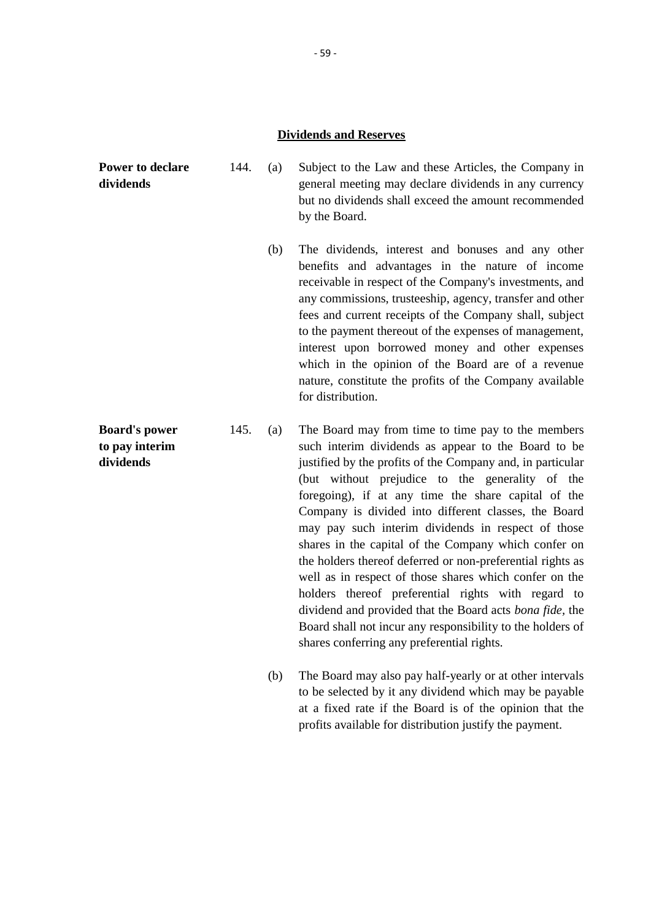## **Dividends and Reserves**

**Power to declare dividends** 144. (a) Subject to the Law and these Articles, the Company in general meeting may declare dividends in any currency but no dividends shall exceed the amount recommended

by the Board.

- (b) The dividends, interest and bonuses and any other benefits and advantages in the nature of income receivable in respect of the Company's investments, and any commissions, trusteeship, agency, transfer and other fees and current receipts of the Company shall, subject to the payment thereout of the expenses of management, interest upon borrowed money and other expenses which in the opinion of the Board are of a revenue nature, constitute the profits of the Company available for distribution.
- **Board's power to pay interim dividends** 145. (a) The Board may from time to time pay to the members such interim dividends as appear to the Board to be justified by the profits of the Company and, in particular (but without prejudice to the generality of the foregoing), if at any time the share capital of the Company is divided into different classes, the Board may pay such interim dividends in respect of those shares in the capital of the Company which confer on the holders thereof deferred or non-preferential rights as well as in respect of those shares which confer on the holders thereof preferential rights with regard to dividend and provided that the Board acts *bona fide,* the Board shall not incur any responsibility to the holders of shares conferring any preferential rights.
	- (b) The Board may also pay half-yearly or at other intervals to be selected by it any dividend which may be payable at a fixed rate if the Board is of the opinion that the profits available for distribution justify the payment.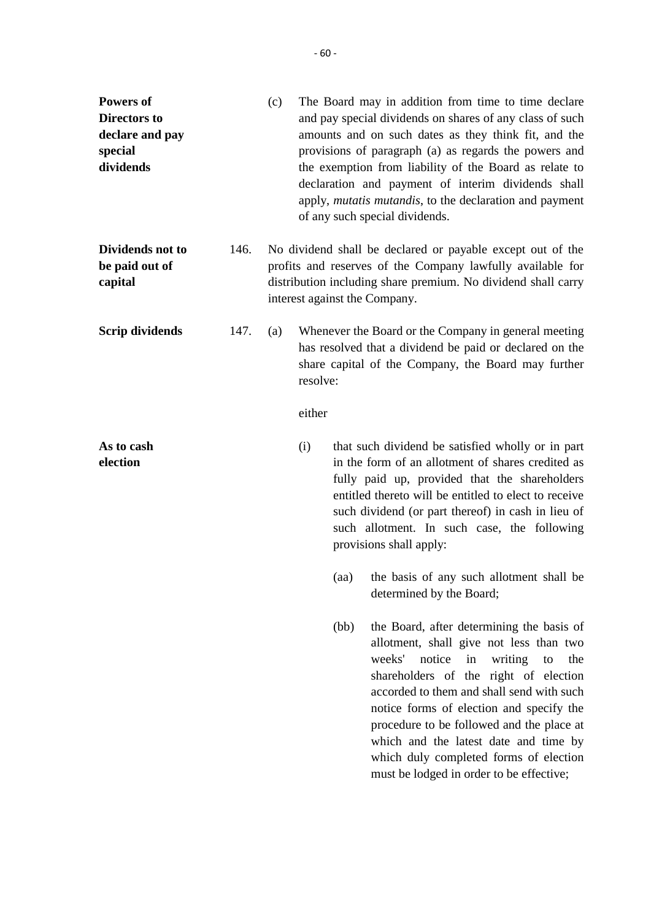| Powers of<br><b>Directors to</b><br>declare and pay<br>special<br>dividends |      | (c) |                    |      | The Board may in addition from time to time declare<br>and pay special dividends on shares of any class of such<br>amounts and on such dates as they think fit, and the<br>provisions of paragraph (a) as regards the powers and<br>the exemption from liability of the Board as relate to<br>declaration and payment of interim dividends shall<br>apply, <i>mutatis mutandis</i> , to the declaration and payment<br>of any such special dividends.                            |
|-----------------------------------------------------------------------------|------|-----|--------------------|------|----------------------------------------------------------------------------------------------------------------------------------------------------------------------------------------------------------------------------------------------------------------------------------------------------------------------------------------------------------------------------------------------------------------------------------------------------------------------------------|
| Dividends not to<br>be paid out of<br>capital                               | 146. |     |                    |      | No dividend shall be declared or payable except out of the<br>profits and reserves of the Company lawfully available for<br>distribution including share premium. No dividend shall carry<br>interest against the Company.                                                                                                                                                                                                                                                       |
| <b>Scrip dividends</b>                                                      | 147. | (a) | resolve:<br>either |      | Whenever the Board or the Company in general meeting<br>has resolved that a dividend be paid or declared on the<br>share capital of the Company, the Board may further                                                                                                                                                                                                                                                                                                           |
| As to cash<br>election                                                      |      |     | (i)                | (aa) | that such dividend be satisfied wholly or in part<br>in the form of an allotment of shares credited as<br>fully paid up, provided that the shareholders<br>entitled thereto will be entitled to elect to receive<br>such dividend (or part thereof) in cash in lieu of<br>such allotment. In such case, the following<br>provisions shall apply:<br>the basis of any such allotment shall be                                                                                     |
|                                                                             |      |     |                    | (bb) | determined by the Board;<br>the Board, after determining the basis of<br>allotment, shall give not less than two<br>weeks'<br>notice<br>in<br>writing<br>to<br>the<br>shareholders of the right of election<br>accorded to them and shall send with such<br>notice forms of election and specify the<br>procedure to be followed and the place at<br>which and the latest date and time by<br>which duly completed forms of election<br>must be lodged in order to be effective; |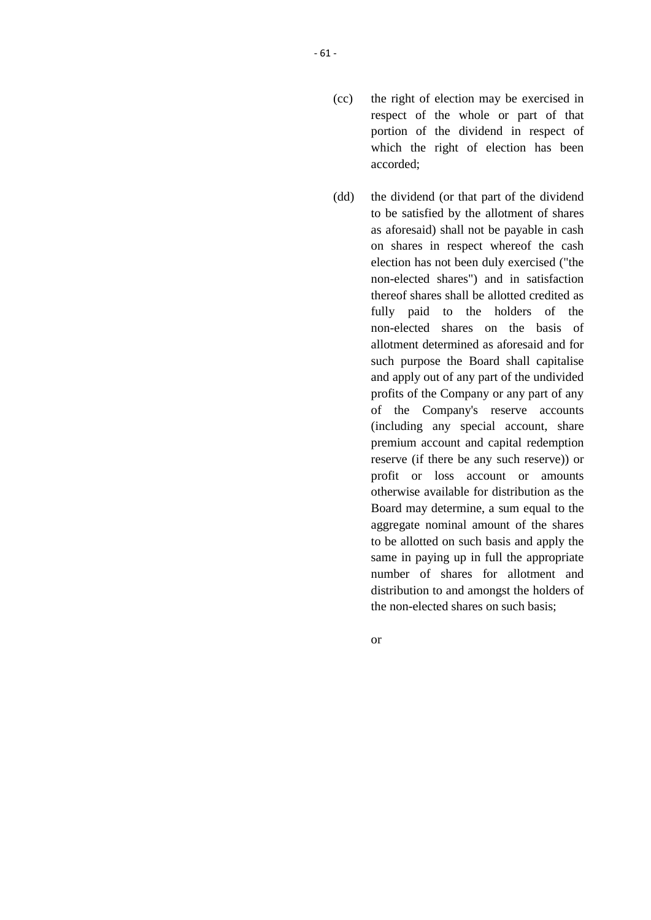- (cc) the right of election may be exercised in respect of the whole or part of that portion of the dividend in respect of which the right of election has been accorded;
- (dd) the dividend (or that part of the dividend to be satisfied by the allotment of shares as aforesaid) shall not be payable in cash on shares in respect whereof the cash election has not been duly exercised ("the non-elected shares") and in satisfaction thereof shares shall be allotted credited as fully paid to the holders of the non-elected shares on the basis of allotment determined as aforesaid and for such purpose the Board shall capitalise and apply out of any part of the undivided profits of the Company or any part of any of the Company's reserve accounts (including any special account, share premium account and capital redemption reserve (if there be any such reserve)) or profit or loss account or amounts otherwise available for distribution as the Board may determine, a sum equal to the aggregate nominal amount of the shares to be allotted on such basis and apply the same in paying up in full the appropriate number of shares for allotment and distribution to and amongst the holders of the non-elected shares on such basis;

or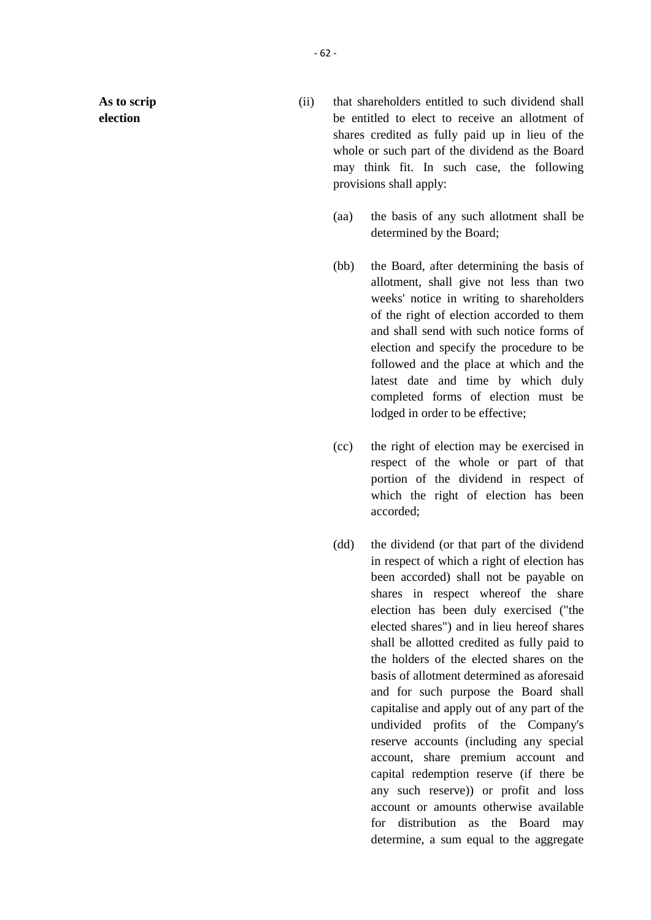**As to scrip election**

- (ii) that shareholders entitled to such dividend shall be entitled to elect to receive an allotment of shares credited as fully paid up in lieu of the whole or such part of the dividend as the Board may think fit. In such case, the following provisions shall apply:
	- (aa) the basis of any such allotment shall be determined by the Board;
	- (bb) the Board, after determining the basis of allotment, shall give not less than two weeks' notice in writing to shareholders of the right of election accorded to them and shall send with such notice forms of election and specify the procedure to be followed and the place at which and the latest date and time by which duly completed forms of election must be lodged in order to be effective;
	- (cc) the right of election may be exercised in respect of the whole or part of that portion of the dividend in respect of which the right of election has been accorded;
	- (dd) the dividend (or that part of the dividend in respect of which a right of election has been accorded) shall not be payable on shares in respect whereof the share election has been duly exercised ("the elected shares") and in lieu hereof shares shall be allotted credited as fully paid to the holders of the elected shares on the basis of allotment determined as aforesaid and for such purpose the Board shall capitalise and apply out of any part of the undivided profits of the Company's reserve accounts (including any special account, share premium account and capital redemption reserve (if there be any such reserve)) or profit and loss account or amounts otherwise available for distribution as the Board may determine, a sum equal to the aggregate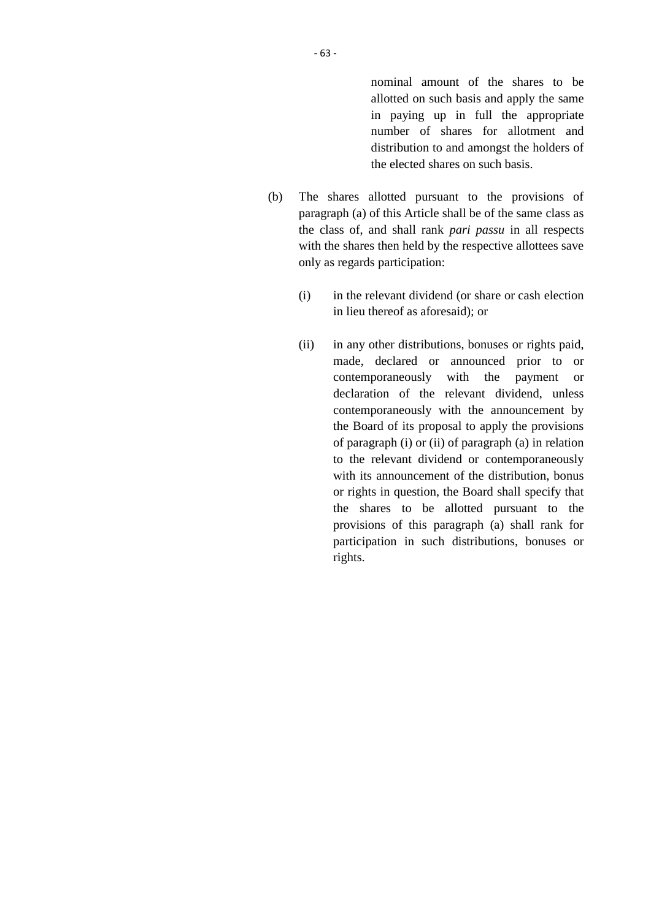nominal amount of the shares to be allotted on such basis and apply the same in paying up in full the appropriate number of shares for allotment and distribution to and amongst the holders of the elected shares on such basis.

- (b) The shares allotted pursuant to the provisions of paragraph (a) of this Article shall be of the same class as the class of, and shall rank *pari passu* in all respects with the shares then held by the respective allottees save only as regards participation:
	- (i) in the relevant dividend (or share or cash election in lieu thereof as aforesaid); or
	- (ii) in any other distributions, bonuses or rights paid, made, declared or announced prior to or contemporaneously with the payment or declaration of the relevant dividend, unless contemporaneously with the announcement by the Board of its proposal to apply the provisions of paragraph (i) or (ii) of paragraph (a) in relation to the relevant dividend or contemporaneously with its announcement of the distribution, bonus or rights in question, the Board shall specify that the shares to be allotted pursuant to the provisions of this paragraph (a) shall rank for participation in such distributions, bonuses or rights.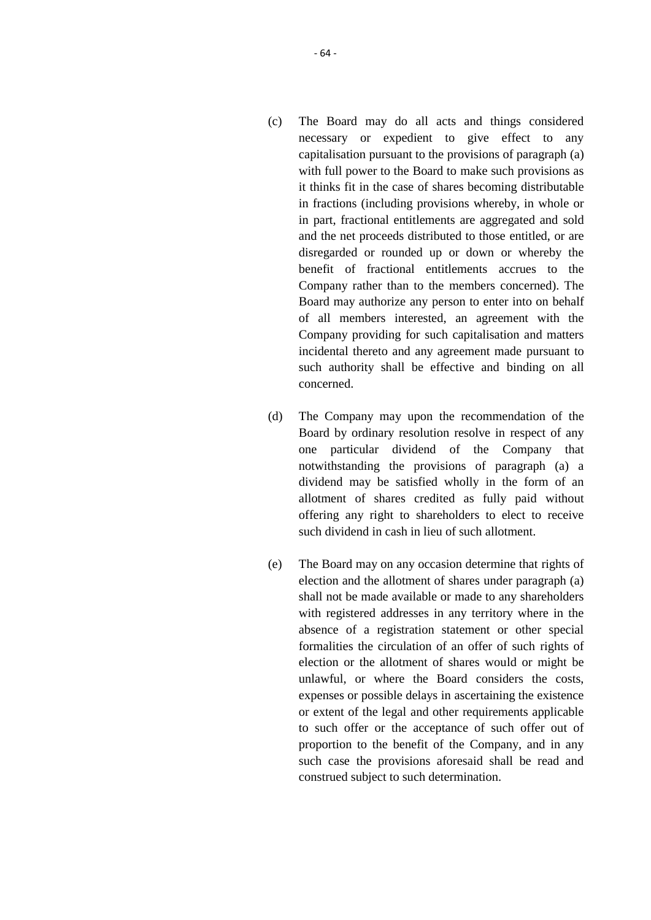- (c) The Board may do all acts and things considered necessary or expedient to give effect to any capitalisation pursuant to the provisions of paragraph (a) with full power to the Board to make such provisions as it thinks fit in the case of shares becoming distributable in fractions (including provisions whereby, in whole or in part, fractional entitlements are aggregated and sold and the net proceeds distributed to those entitled, or are disregarded or rounded up or down or whereby the benefit of fractional entitlements accrues to the Company rather than to the members concerned). The Board may authorize any person to enter into on behalf of all members interested, an agreement with the Company providing for such capitalisation and matters incidental thereto and any agreement made pursuant to such authority shall be effective and binding on all concerned.
- (d) The Company may upon the recommendation of the Board by ordinary resolution resolve in respect of any one particular dividend of the Company that notwithstanding the provisions of paragraph (a) a dividend may be satisfied wholly in the form of an allotment of shares credited as fully paid without offering any right to shareholders to elect to receive such dividend in cash in lieu of such allotment.
- (e) The Board may on any occasion determine that rights of election and the allotment of shares under paragraph (a) shall not be made available or made to any shareholders with registered addresses in any territory where in the absence of a registration statement or other special formalities the circulation of an offer of such rights of election or the allotment of shares would or might be unlawful, or where the Board considers the costs, expenses or possible delays in ascertaining the existence or extent of the legal and other requirements applicable to such offer or the acceptance of such offer out of proportion to the benefit of the Company, and in any such case the provisions aforesaid shall be read and construed subject to such determination.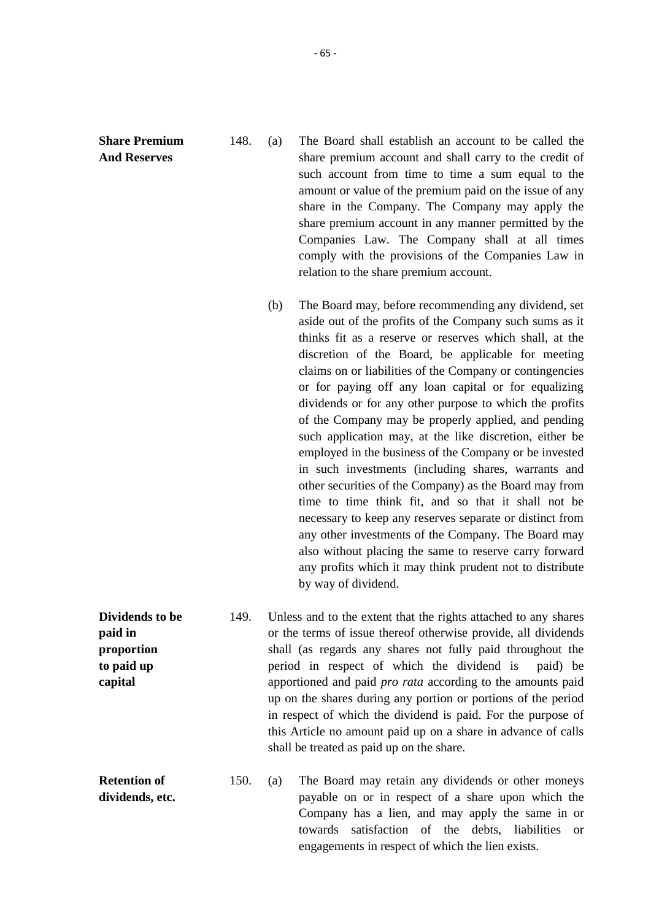**Share Premium And Reserves**

148. (a) The Board shall establish an account to be called the share premium account and shall carry to the credit of such account from time to time a sum equal to the amount or value of the premium paid on the issue of any share in the Company. The Company may apply the share premium account in any manner permitted by the Companies Law. The Company shall at all times comply with the provisions of the Companies Law in relation to the share premium account.

> (b) The Board may, before recommending any dividend, set aside out of the profits of the Company such sums as it thinks fit as a reserve or reserves which shall, at the discretion of the Board, be applicable for meeting claims on or liabilities of the Company or contingencies or for paying off any loan capital or for equalizing dividends or for any other purpose to which the profits of the Company may be properly applied, and pending such application may, at the like discretion, either be employed in the business of the Company or be invested in such investments (including shares, warrants and other securities of the Company) as the Board may from time to time think fit, and so that it shall not be necessary to keep any reserves separate or distinct from any other investments of the Company. The Board may also without placing the same to reserve carry forward any profits which it may think prudent not to distribute by way of dividend.

**Dividends to be paid in proportion to paid up capital** 149. Unless and to the extent that the rights attached to any shares or the terms of issue thereof otherwise provide, all dividends shall (as regards any shares not fully paid throughout the period in respect of which the dividend is paid) be apportioned and paid *pro rata* according to the amounts paid up on the shares during any portion or portions of the period in respect of which the dividend is paid. For the purpose of this Article no amount paid up on a share in advance of calls shall be treated as paid up on the share.

**Retention of dividends, etc.** 150. (a) The Board may retain any dividends or other moneys payable on or in respect of a share upon which the Company has a lien, and may apply the same in or towards satisfaction of the debts, liabilities or engagements in respect of which the lien exists.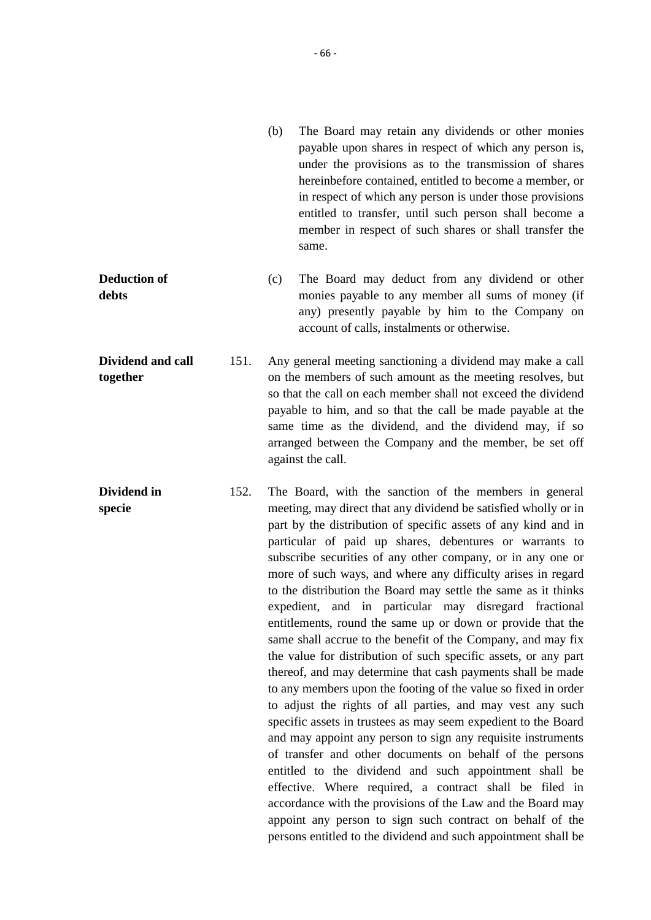- (b) The Board may retain any dividends or other monies payable upon shares in respect of which any person is, under the provisions as to the transmission of shares hereinbefore contained, entitled to become a member, or in respect of which any person is under those provisions entitled to transfer, until such person shall become a member in respect of such shares or shall transfer the same.
- **Deduction of debts** (c) The Board may deduct from any dividend or other monies payable to any member all sums of money (if any) presently payable by him to the Company on account of calls, instalments or otherwise.

**Dividend and call together** 151. Any general meeting sanctioning a dividend may make a call on the members of such amount as the meeting resolves, but so that the call on each member shall not exceed the dividend payable to him, and so that the call be made payable at the same time as the dividend, and the dividend may, if so arranged between the Company and the member, be set off against the call.

**Dividend in specie** 152. The Board, with the sanction of the members in general meeting, may direct that any dividend be satisfied wholly or in part by the distribution of specific assets of any kind and in particular of paid up shares, debentures or warrants to subscribe securities of any other company, or in any one or more of such ways, and where any difficulty arises in regard to the distribution the Board may settle the same as it thinks expedient, and in particular may disregard fractional entitlements, round the same up or down or provide that the same shall accrue to the benefit of the Company, and may fix the value for distribution of such specific assets, or any part thereof, and may determine that cash payments shall be made to any members upon the footing of the value so fixed in order to adjust the rights of all parties, and may vest any such specific assets in trustees as may seem expedient to the Board and may appoint any person to sign any requisite instruments of transfer and other documents on behalf of the persons entitled to the dividend and such appointment shall be effective. Where required, a contract shall be filed in accordance with the provisions of the Law and the Board may appoint any person to sign such contract on behalf of the persons entitled to the dividend and such appointment shall be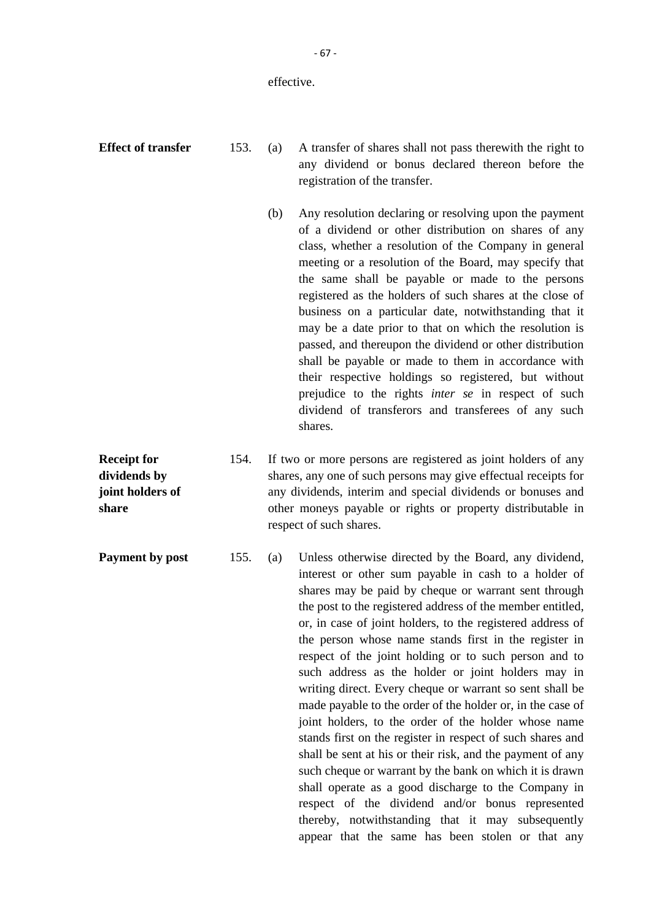#### effective.

**Receipt for dividends by joint holders of**

**share**

**Effect of transfer** 153. (a) A transfer of shares shall not pass therewith the right to any dividend or bonus declared thereon before the registration of the transfer.

- (b) Any resolution declaring or resolving upon the payment of a dividend or other distribution on shares of any class, whether a resolution of the Company in general meeting or a resolution of the Board, may specify that the same shall be payable or made to the persons registered as the holders of such shares at the close of business on a particular date, notwithstanding that it may be a date prior to that on which the resolution is passed, and thereupon the dividend or other distribution shall be payable or made to them in accordance with their respective holdings so registered, but without prejudice to the rights *inter se* in respect of such dividend of transferors and transferees of any such shares.
- 154. If two or more persons are registered as joint holders of any shares, any one of such persons may give effectual receipts for any dividends, interim and special dividends or bonuses and other moneys payable or rights or property distributable in respect of such shares.

**Payment by post** 155. (a) Unless otherwise directed by the Board, any dividend, interest or other sum payable in cash to a holder of shares may be paid by cheque or warrant sent through the post to the registered address of the member entitled, or, in case of joint holders, to the registered address of the person whose name stands first in the register in respect of the joint holding or to such person and to such address as the holder or joint holders may in writing direct. Every cheque or warrant so sent shall be made payable to the order of the holder or, in the case of joint holders, to the order of the holder whose name stands first on the register in respect of such shares and shall be sent at his or their risk, and the payment of any such cheque or warrant by the bank on which it is drawn shall operate as a good discharge to the Company in respect of the dividend and/or bonus represented thereby, notwithstanding that it may subsequently appear that the same has been stolen or that any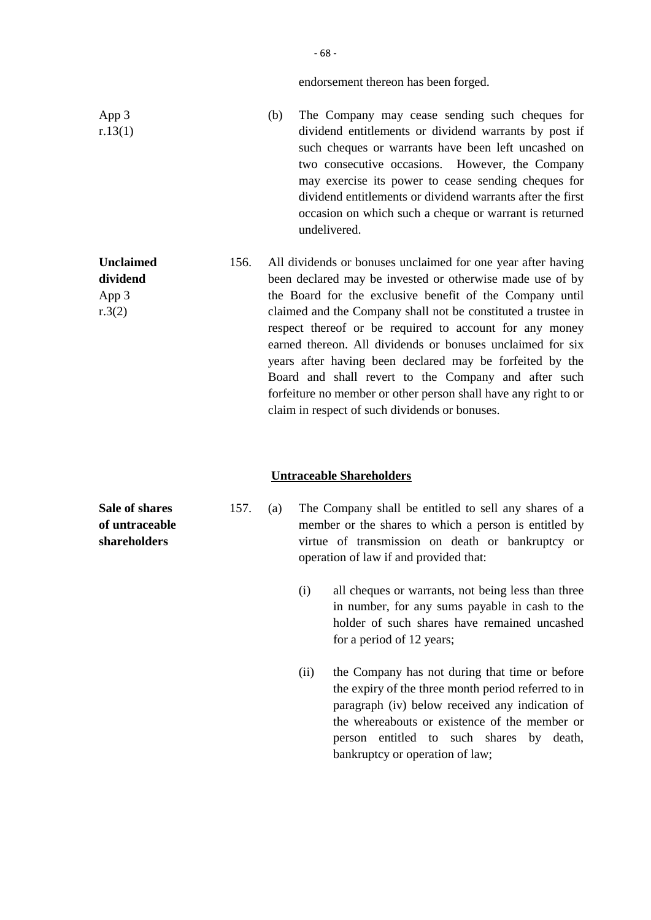endorsement thereon has been forged.

| App 3<br>r.13(1)                                        | The Company may cease sending such cheques for<br>(b)<br>dividend entitlements or dividend warrants by post if<br>such cheques or warrants have been left uncashed on<br>two consecutive occasions. However, the Company<br>may exercise its power to cease sending cheques for<br>dividend entitlements or dividend warrants after the first<br>occasion on which such a cheque or warrant is returned<br>undelivered.                                                                                                                                                                                                  |
|---------------------------------------------------------|--------------------------------------------------------------------------------------------------------------------------------------------------------------------------------------------------------------------------------------------------------------------------------------------------------------------------------------------------------------------------------------------------------------------------------------------------------------------------------------------------------------------------------------------------------------------------------------------------------------------------|
| <b>Unclaimed</b><br>156.<br>dividend<br>App 3<br>r.3(2) | All dividends or bonuses unclaimed for one year after having<br>been declared may be invested or otherwise made use of by<br>the Board for the exclusive benefit of the Company until<br>claimed and the Company shall not be constituted a trustee in<br>respect thereof or be required to account for any money<br>earned thereon. All dividends or bonuses unclaimed for six<br>years after having been declared may be forfeited by the<br>Board and shall revert to the Company and after such<br>forfeiture no member or other person shall have any right to or<br>claim in respect of such dividends or bonuses. |

## **Untraceable Shareholders**

- **Sale of shares of untraceable shareholders**
- 157. (a) The Company shall be entitled to sell any shares of a member or the shares to which a person is entitled by virtue of transmission on death or bankruptcy or operation of law if and provided that:
	- (i) all cheques or warrants, not being less than three in number, for any sums payable in cash to the holder of such shares have remained uncashed for a period of 12 years;
	- (ii) the Company has not during that time or before the expiry of the three month period referred to in paragraph (iv) below received any indication of the whereabouts or existence of the member or person entitled to such shares by death, bankruptcy or operation of law;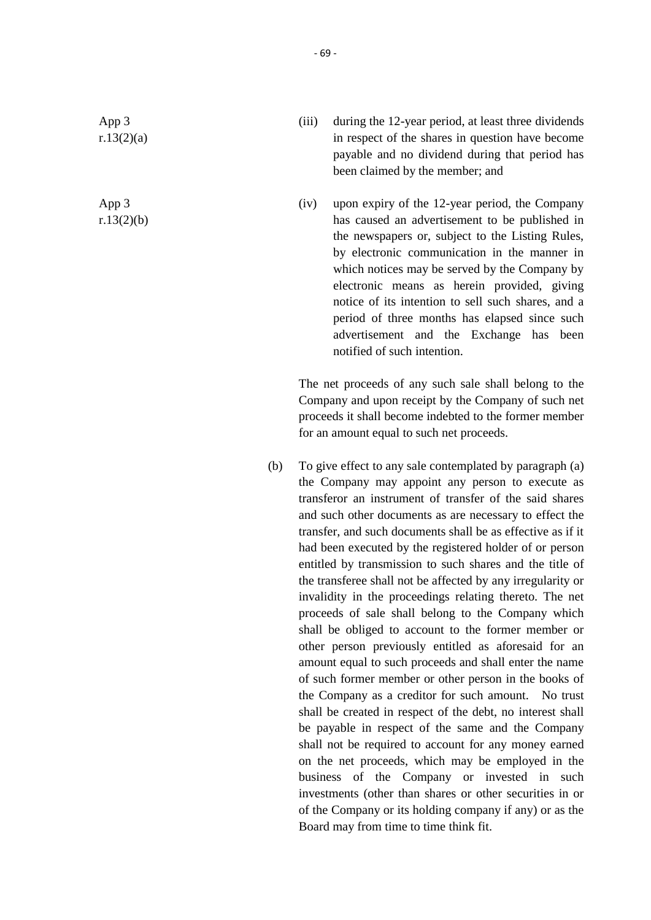App 3 r.13(2)(a)

App 3 r.13(2)(b)

- (iii) during the 12-year period, at least three dividends in respect of the shares in question have become payable and no dividend during that period has been claimed by the member; and
- (iv) upon expiry of the 12-year period, the Company has caused an advertisement to be published in the newspapers or, subject to the Listing Rules, by electronic communication in the manner in which notices may be served by the Company by electronic means as herein provided, giving notice of its intention to sell such shares, and a period of three months has elapsed since such advertisement and the Exchange has been notified of such intention.

The net proceeds of any such sale shall belong to the Company and upon receipt by the Company of such net proceeds it shall become indebted to the former member for an amount equal to such net proceeds.

(b) To give effect to any sale contemplated by paragraph (a) the Company may appoint any person to execute as transferor an instrument of transfer of the said shares and such other documents as are necessary to effect the transfer, and such documents shall be as effective as if it had been executed by the registered holder of or person entitled by transmission to such shares and the title of the transferee shall not be affected by any irregularity or invalidity in the proceedings relating thereto. The net proceeds of sale shall belong to the Company which shall be obliged to account to the former member or other person previously entitled as aforesaid for an amount equal to such proceeds and shall enter the name of such former member or other person in the books of the Company as a creditor for such amount. No trust shall be created in respect of the debt, no interest shall be payable in respect of the same and the Company shall not be required to account for any money earned on the net proceeds, which may be employed in the business of the Company or invested in such investments (other than shares or other securities in or of the Company or its holding company if any) or as the Board may from time to time think fit.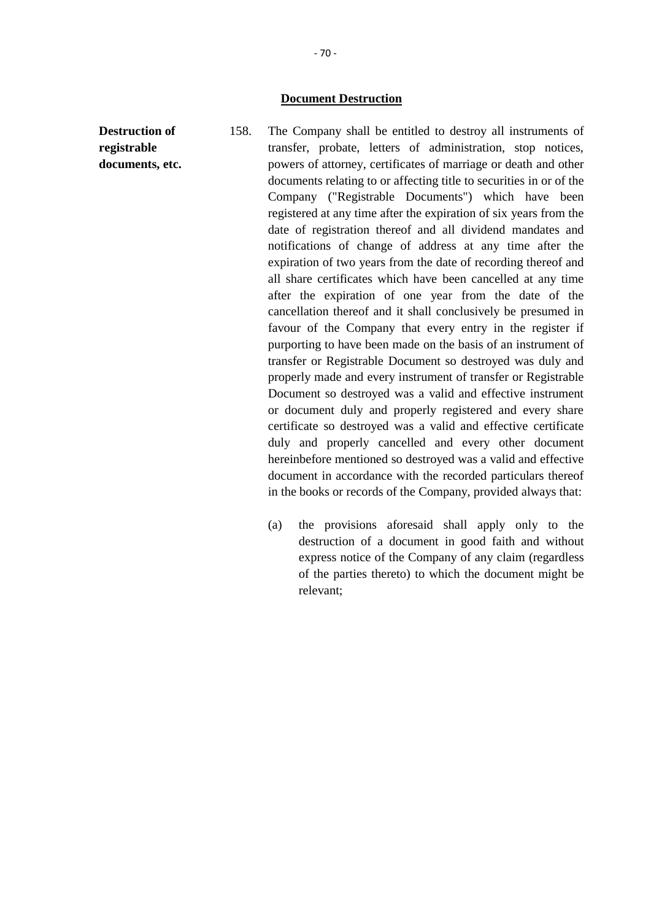#### **Document Destruction**

- **Destruction of registrable documents, etc.** 158. The Company shall be entitled to destroy all instruments of transfer, probate, letters of administration, stop notices, powers of attorney, certificates of marriage or death and other documents relating to or affecting title to securities in or of the Company ("Registrable Documents") which have been registered at any time after the expiration of six years from the date of registration thereof and all dividend mandates and notifications of change of address at any time after the expiration of two years from the date of recording thereof and all share certificates which have been cancelled at any time after the expiration of one year from the date of the cancellation thereof and it shall conclusively be presumed in favour of the Company that every entry in the register if purporting to have been made on the basis of an instrument of transfer or Registrable Document so destroyed was duly and properly made and every instrument of transfer or Registrable Document so destroyed was a valid and effective instrument or document duly and properly registered and every share certificate so destroyed was a valid and effective certificate duly and properly cancelled and every other document hereinbefore mentioned so destroyed was a valid and effective document in accordance with the recorded particulars thereof in the books or records of the Company, provided always that:
	- (a) the provisions aforesaid shall apply only to the destruction of a document in good faith and without express notice of the Company of any claim (regardless of the parties thereto) to which the document might be relevant;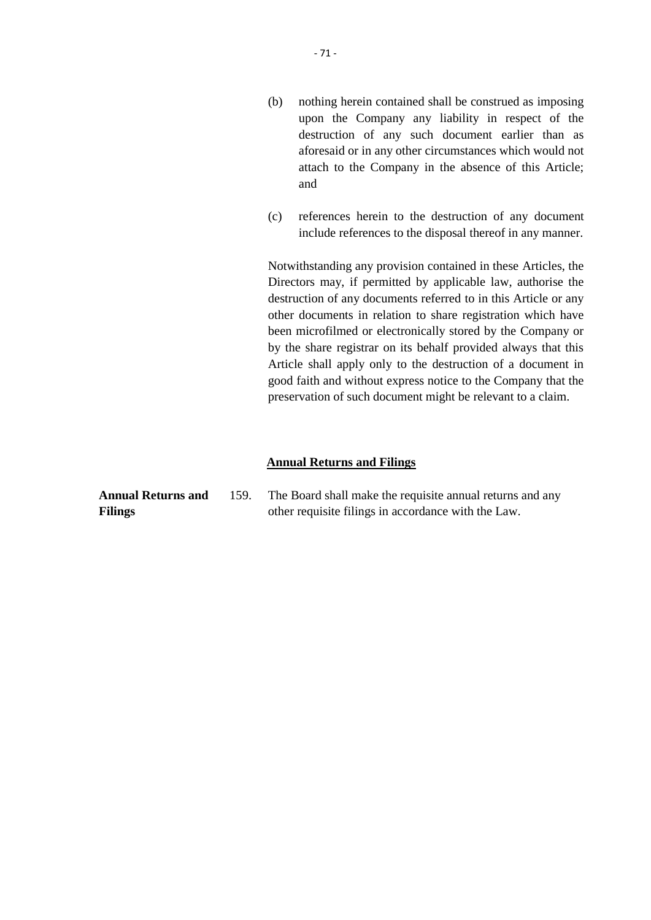- (b) nothing herein contained shall be construed as imposing upon the Company any liability in respect of the destruction of any such document earlier than as aforesaid or in any other circumstances which would not attach to the Company in the absence of this Article; and
- (c) references herein to the destruction of any document include references to the disposal thereof in any manner.

Notwithstanding any provision contained in these Articles, the Directors may, if permitted by applicable law, authorise the destruction of any documents referred to in this Article or any other documents in relation to share registration which have been microfilmed or electronically stored by the Company or by the share registrar on its behalf provided always that this Article shall apply only to the destruction of a document in good faith and without express notice to the Company that the preservation of such document might be relevant to a claim.

### **Annual Returns and Filings**

| Annual Returns and | 159. | The Board shall make the requisite annual returns and any |
|--------------------|------|-----------------------------------------------------------|
| Filings            |      | other requisite filings in accordance with the Law.       |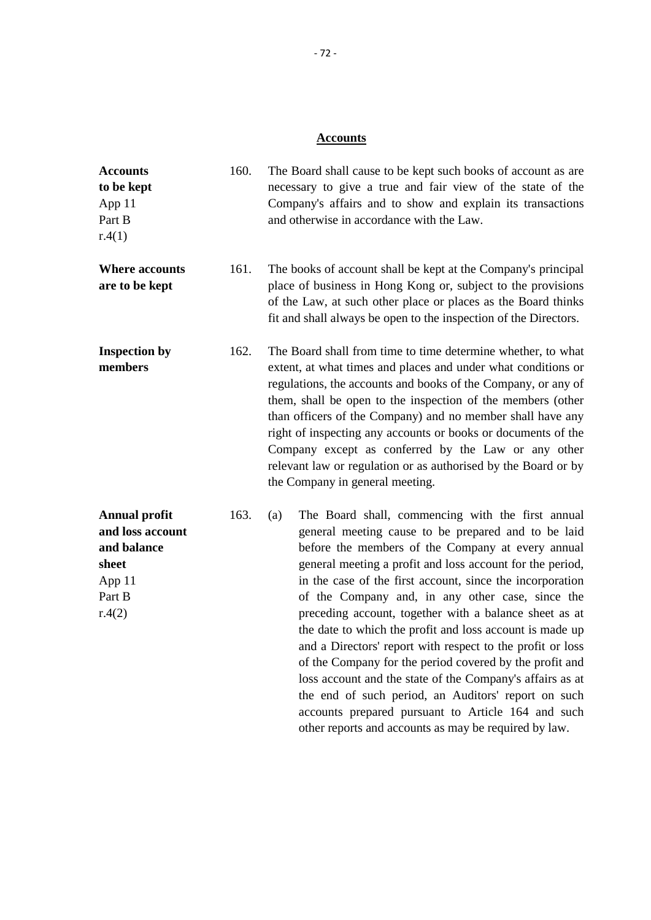## **Accounts**

| <b>Accounts</b><br>to be kept<br>App 11<br>Part B<br>r.4(1)                                    | 160. | The Board shall cause to be kept such books of account as are<br>necessary to give a true and fair view of the state of the<br>Company's affairs and to show and explain its transactions<br>and otherwise in accordance with the Law.                                                                                                                                                                                                                                                                                                                                                                                                                                                                                                                                                                                               |
|------------------------------------------------------------------------------------------------|------|--------------------------------------------------------------------------------------------------------------------------------------------------------------------------------------------------------------------------------------------------------------------------------------------------------------------------------------------------------------------------------------------------------------------------------------------------------------------------------------------------------------------------------------------------------------------------------------------------------------------------------------------------------------------------------------------------------------------------------------------------------------------------------------------------------------------------------------|
| <b>Where accounts</b><br>are to be kept                                                        | 161. | The books of account shall be kept at the Company's principal<br>place of business in Hong Kong or, subject to the provisions<br>of the Law, at such other place or places as the Board thinks<br>fit and shall always be open to the inspection of the Directors.                                                                                                                                                                                                                                                                                                                                                                                                                                                                                                                                                                   |
| <b>Inspection by</b><br>members                                                                | 162. | The Board shall from time to time determine whether, to what<br>extent, at what times and places and under what conditions or<br>regulations, the accounts and books of the Company, or any of<br>them, shall be open to the inspection of the members (other<br>than officers of the Company) and no member shall have any<br>right of inspecting any accounts or books or documents of the<br>Company except as conferred by the Law or any other<br>relevant law or regulation or as authorised by the Board or by<br>the Company in general meeting.                                                                                                                                                                                                                                                                             |
| <b>Annual profit</b><br>and loss account<br>and balance<br>sheet<br>App 11<br>Part B<br>r.4(2) | 163. | The Board shall, commencing with the first annual<br>(a)<br>general meeting cause to be prepared and to be laid<br>before the members of the Company at every annual<br>general meeting a profit and loss account for the period,<br>in the case of the first account, since the incorporation<br>of the Company and, in any other case, since the<br>preceding account, together with a balance sheet as at<br>the date to which the profit and loss account is made up<br>and a Directors' report with respect to the profit or loss<br>of the Company for the period covered by the profit and<br>loss account and the state of the Company's affairs as at<br>the end of such period, an Auditors' report on such<br>accounts prepared pursuant to Article 164 and such<br>other reports and accounts as may be required by law. |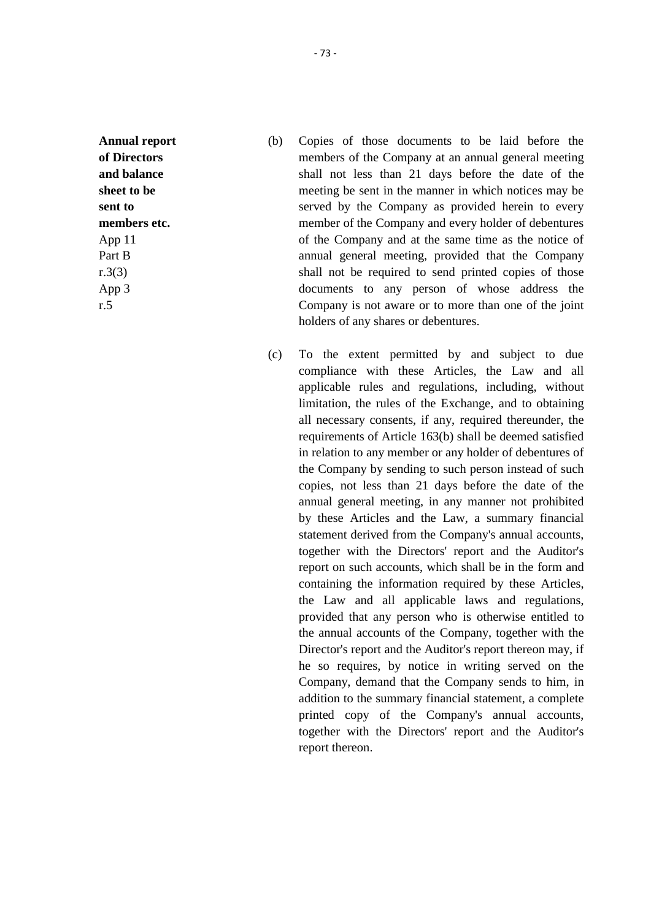**Annual report of Directors and balance sheet to be sent to members etc.** App 11 Part B r.3(3) App 3 r.5

- (b) Copies of those documents to be laid before the members of the Company at an annual general meeting shall not less than 21 days before the date of the meeting be sent in the manner in which notices may be served by the Company as provided herein to every member of the Company and every holder of debentures of the Company and at the same time as the notice of annual general meeting, provided that the Company shall not be required to send printed copies of those documents to any person of whose address the Company is not aware or to more than one of the joint holders of any shares or debentures.
- (c) To the extent permitted by and subject to due compliance with these Articles, the Law and all applicable rules and regulations, including, without limitation, the rules of the Exchange, and to obtaining all necessary consents, if any, required thereunder, the requirements of Article 163(b) shall be deemed satisfied in relation to any member or any holder of debentures of the Company by sending to such person instead of such copies, not less than 21 days before the date of the annual general meeting, in any manner not prohibited by these Articles and the Law, a summary financial statement derived from the Company's annual accounts, together with the Directors' report and the Auditor's report on such accounts, which shall be in the form and containing the information required by these Articles, the Law and all applicable laws and regulations, provided that any person who is otherwise entitled to the annual accounts of the Company, together with the Director's report and the Auditor's report thereon may, if he so requires, by notice in writing served on the Company, demand that the Company sends to him, in addition to the summary financial statement, a complete printed copy of the Company's annual accounts, together with the Directors' report and the Auditor's report thereon.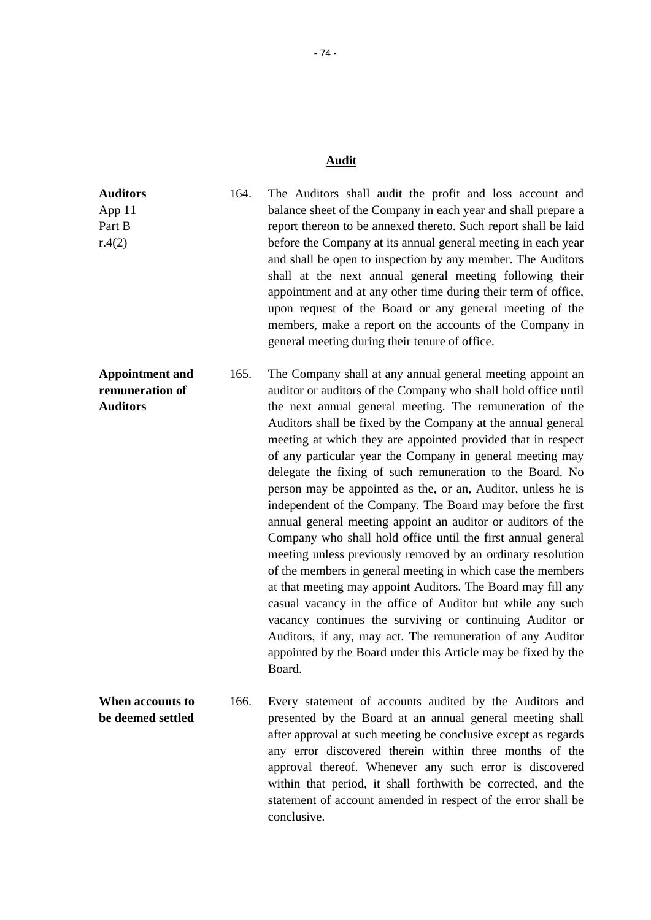# **Audit**

| <b>Auditors</b><br>App 11<br>Part B<br>r.4(2)                | 164. | The Auditors shall audit the profit and loss account and<br>balance sheet of the Company in each year and shall prepare a<br>report thereon to be annexed thereto. Such report shall be laid<br>before the Company at its annual general meeting in each year<br>and shall be open to inspection by any member. The Auditors<br>shall at the next annual general meeting following their<br>appointment and at any other time during their term of office,<br>upon request of the Board or any general meeting of the<br>members, make a report on the accounts of the Company in<br>general meeting during their tenure of office.                                                                                                                                                                                                                                                                                                                                                                                                                                                                                                                                               |
|--------------------------------------------------------------|------|-----------------------------------------------------------------------------------------------------------------------------------------------------------------------------------------------------------------------------------------------------------------------------------------------------------------------------------------------------------------------------------------------------------------------------------------------------------------------------------------------------------------------------------------------------------------------------------------------------------------------------------------------------------------------------------------------------------------------------------------------------------------------------------------------------------------------------------------------------------------------------------------------------------------------------------------------------------------------------------------------------------------------------------------------------------------------------------------------------------------------------------------------------------------------------------|
| <b>Appointment and</b><br>remuneration of<br><b>Auditors</b> | 165. | The Company shall at any annual general meeting appoint an<br>auditor or auditors of the Company who shall hold office until<br>the next annual general meeting. The remuneration of the<br>Auditors shall be fixed by the Company at the annual general<br>meeting at which they are appointed provided that in respect<br>of any particular year the Company in general meeting may<br>delegate the fixing of such remuneration to the Board. No<br>person may be appointed as the, or an, Auditor, unless he is<br>independent of the Company. The Board may before the first<br>annual general meeting appoint an auditor or auditors of the<br>Company who shall hold office until the first annual general<br>meeting unless previously removed by an ordinary resolution<br>of the members in general meeting in which case the members<br>at that meeting may appoint Auditors. The Board may fill any<br>casual vacancy in the office of Auditor but while any such<br>vacancy continues the surviving or continuing Auditor or<br>Auditors, if any, may act. The remuneration of any Auditor<br>appointed by the Board under this Article may be fixed by the<br>Board. |
| When accounts to<br>be deemed settled                        | 166. | Every statement of accounts audited by the Auditors and<br>presented by the Board at an annual general meeting shall<br>after approval at such meeting be conclusive except as regards<br>any error discovered therein within three months of the<br>approval thereof. Whenever any such error is discovered<br>within that period, it shall forthwith be corrected, and the<br>statement of account amended in respect of the error shall be<br>conclusive.                                                                                                                                                                                                                                                                                                                                                                                                                                                                                                                                                                                                                                                                                                                      |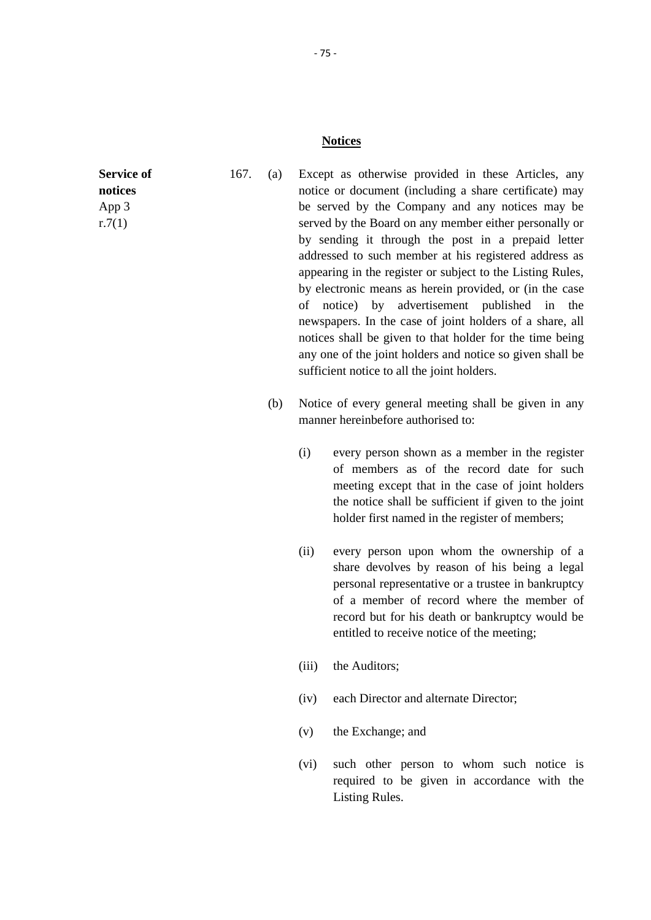#### **Notices**

**Service of notices** App 3 r.7(1)

- 167. (a) Except as otherwise provided in these Articles, any notice or document (including a share certificate) may be served by the Company and any notices may be served by the Board on any member either personally or by sending it through the post in a prepaid letter addressed to such member at his registered address as appearing in the register or subject to the Listing Rules, by electronic means as herein provided, or (in the case of notice) by advertisement published in the newspapers. In the case of joint holders of a share, all notices shall be given to that holder for the time being any one of the joint holders and notice so given shall be sufficient notice to all the joint holders.
	- (b) Notice of every general meeting shall be given in any manner hereinbefore authorised to:
		- (i) every person shown as a member in the register of members as of the record date for such meeting except that in the case of joint holders the notice shall be sufficient if given to the joint holder first named in the register of members;
		- (ii) every person upon whom the ownership of a share devolves by reason of his being a legal personal representative or a trustee in bankruptcy of a member of record where the member of record but for his death or bankruptcy would be entitled to receive notice of the meeting;
		- (iii) the Auditors;
		- (iv) each Director and alternate Director;
		- (v) the Exchange; and
		- (vi) such other person to whom such notice is required to be given in accordance with the Listing Rules.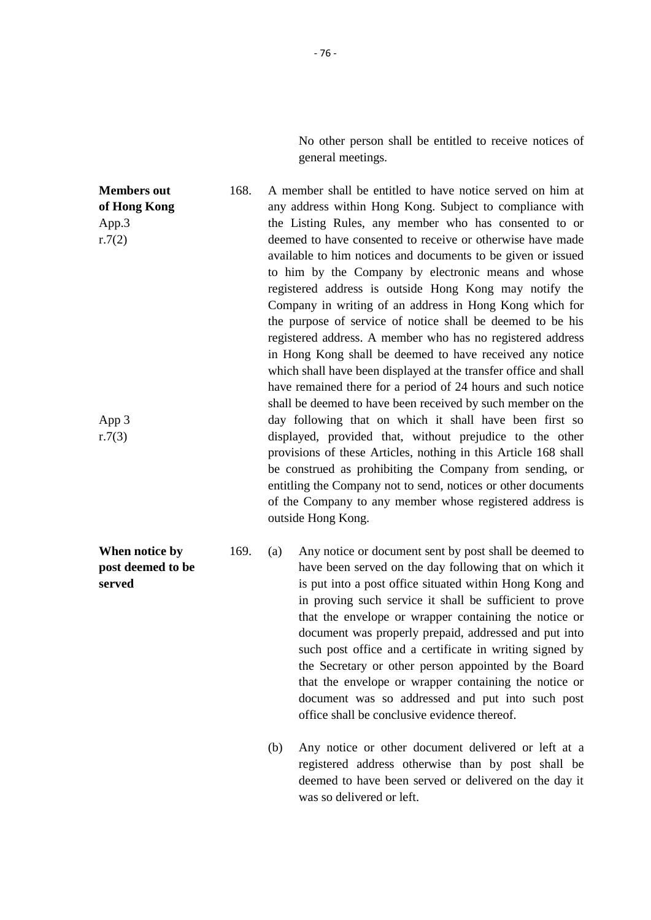No other person shall be entitled to receive notices of general meetings.

**Members out of Hong Kong** App.3 r.7(2) App 3 r.7(3) 168. A member shall be entitled to have notice served on him at any address within Hong Kong. Subject to compliance with the Listing Rules, any member who has consented to or deemed to have consented to receive or otherwise have made available to him notices and documents to be given or issued to him by the Company by electronic means and whose registered address is outside Hong Kong may notify the Company in writing of an address in Hong Kong which for the purpose of service of notice shall be deemed to be his registered address. A member who has no registered address in Hong Kong shall be deemed to have received any notice which shall have been displayed at the transfer office and shall have remained there for a period of 24 hours and such notice shall be deemed to have been received by such member on the day following that on which it shall have been first so displayed, provided that, without prejudice to the other provisions of these Articles, nothing in this Article 168 shall be construed as prohibiting the Company from sending, or entitling the Company not to send, notices or other documents of the Company to any member whose registered address is outside Hong Kong.

- 169. (a) Any notice or document sent by post shall be deemed to have been served on the day following that on which it is put into a post office situated within Hong Kong and in proving such service it shall be sufficient to prove that the envelope or wrapper containing the notice or document was properly prepaid, addressed and put into such post office and a certificate in writing signed by the Secretary or other person appointed by the Board that the envelope or wrapper containing the notice or document was so addressed and put into such post office shall be conclusive evidence thereof.
	- (b) Any notice or other document delivered or left at a registered address otherwise than by post shall be deemed to have been served or delivered on the day it was so delivered or left.

**When notice by post deemed to be served**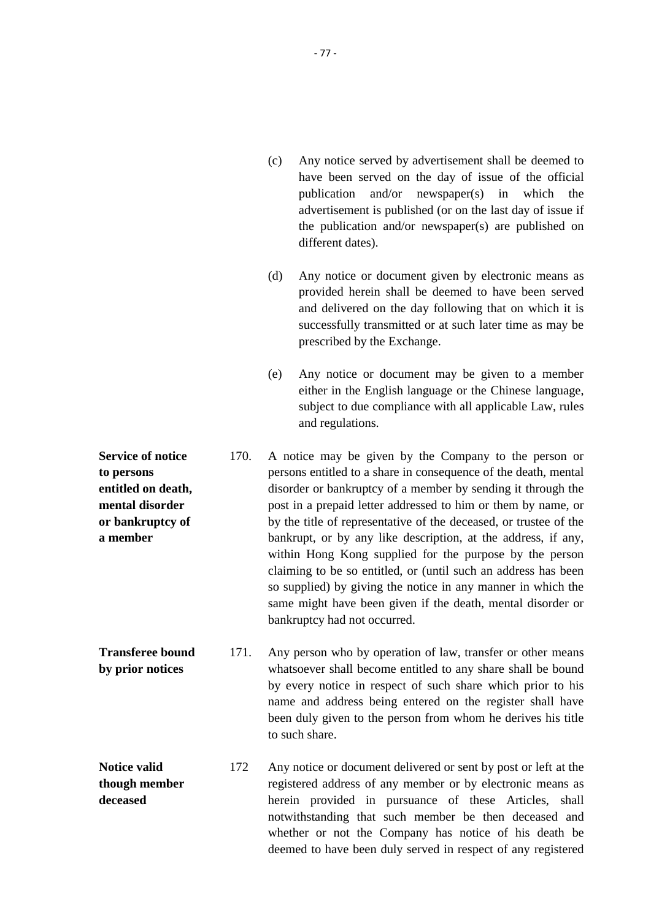| (c) | Any notice served by advertisement shall be deemed to      |
|-----|------------------------------------------------------------|
|     | have been served on the day of issue of the official       |
|     | publication and/or newspaper(s) in which the               |
|     | advertisement is published (or on the last day of issue if |
|     | the publication and/or newspaper(s) are published on       |
|     | different dates).                                          |

- (d) Any notice or document given by electronic means as provided herein shall be deemed to have been served and delivered on the day following that on which it is successfully transmitted or at such later time as may be prescribed by the Exchange.
- (e) Any notice or document may be given to a member either in the English language or the Chinese language, subject to due compliance with all applicable Law, rules and regulations.
- **Service of notice to persons entitled on death, mental disorder or bankruptcy of a member** 170. A notice may be given by the Company to the person or persons entitled to a share in consequence of the death, mental disorder or bankruptcy of a member by sending it through the post in a prepaid letter addressed to him or them by name, or by the title of representative of the deceased, or trustee of the bankrupt, or by any like description, at the address, if any, within Hong Kong supplied for the purpose by the person claiming to be so entitled, or (until such an address has been so supplied) by giving the notice in any manner in which the same might have been given if the death, mental disorder or bankruptcy had not occurred.
- **Transferee bound by prior notices** 171. Any person who by operation of law, transfer or other means whatsoever shall become entitled to any share shall be bound by every notice in respect of such share which prior to his name and address being entered on the register shall have been duly given to the person from whom he derives his title to such share.
- **Notice valid though member deceased** 172 Any notice or document delivered or sent by post or left at the registered address of any member or by electronic means as herein provided in pursuance of these Articles, shall notwithstanding that such member be then deceased and whether or not the Company has notice of his death be deemed to have been duly served in respect of any registered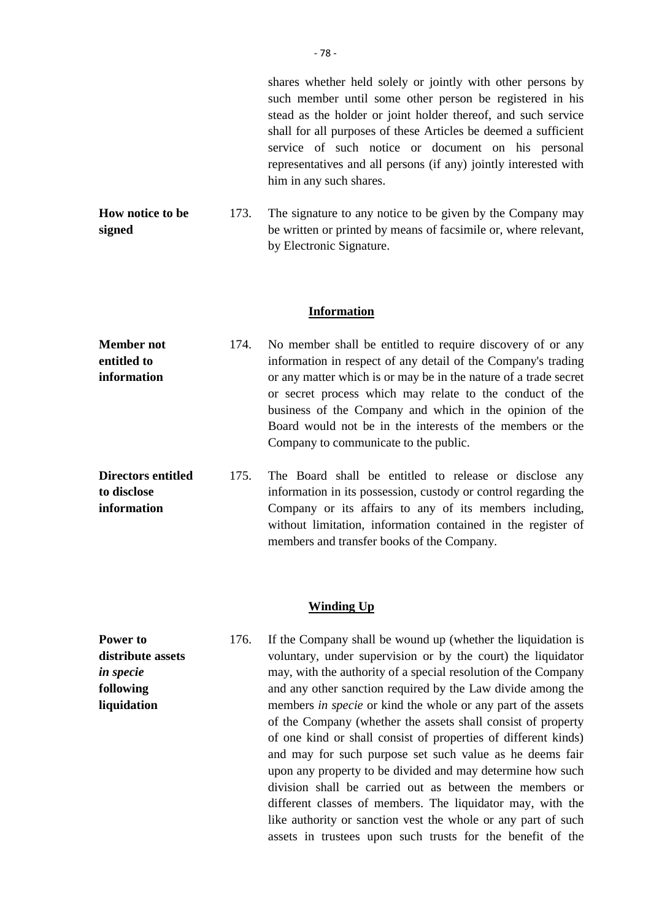shares whether held solely or jointly with other persons by such member until some other person be registered in his stead as the holder or joint holder thereof, and such service shall for all purposes of these Articles be deemed a sufficient service of such notice or document on his personal representatives and all persons (if any) jointly interested with him in any such shares.

**How notice to be signed** 173. The signature to any notice to be given by the Company may be written or printed by means of facsimile or, where relevant, by Electronic Signature.

#### **Information**

| No member shall be entitled to require discovery of or any       |
|------------------------------------------------------------------|
| information in respect of any detail of the Company's trading    |
| or any matter which is or may be in the nature of a trade secret |
| or secret process which may relate to the conduct of the         |
| business of the Company and which in the opinion of the          |
| Board would not be in the interests of the members or the        |
| Company to communicate to the public.                            |
| 174.                                                             |

**Directors entitled to disclose information** 175. The Board shall be entitled to release or disclose any information in its possession, custody or control regarding the Company or its affairs to any of its members including, without limitation, information contained in the register of members and transfer books of the Company.

#### **Winding Up**

**Power to distribute assets** *in specie* **following liquidation** 176. If the Company shall be wound up (whether the liquidation is voluntary, under supervision or by the court) the liquidator may, with the authority of a special resolution of the Company and any other sanction required by the Law divide among the members *in specie* or kind the whole or any part of the assets of the Company (whether the assets shall consist of property of one kind or shall consist of properties of different kinds) and may for such purpose set such value as he deems fair upon any property to be divided and may determine how such division shall be carried out as between the members or different classes of members. The liquidator may, with the like authority or sanction vest the whole or any part of such assets in trustees upon such trusts for the benefit of the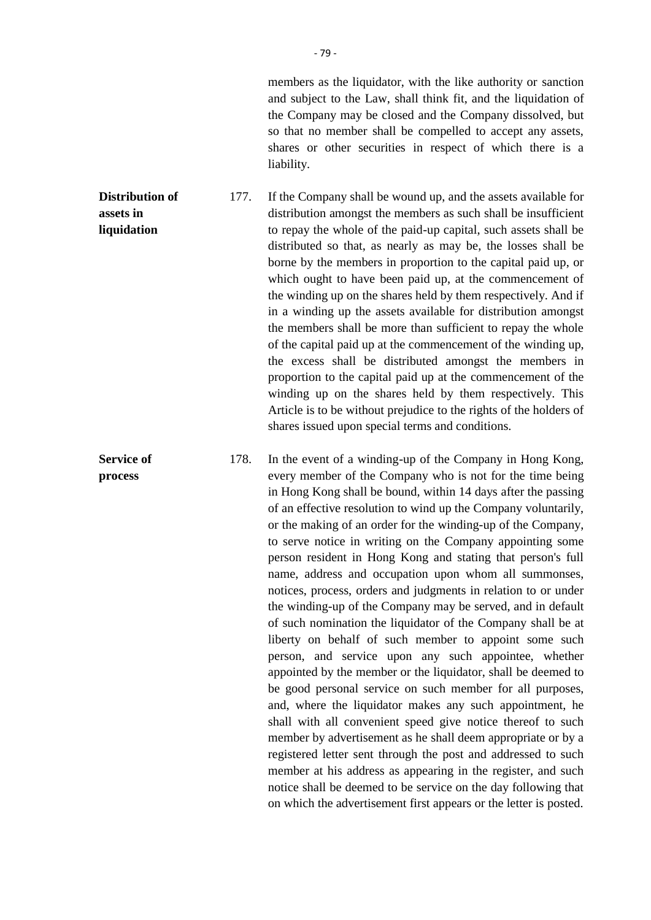members as the liquidator, with the like authority or sanction and subject to the Law, shall think fit, and the liquidation of the Company may be closed and the Company dissolved, but so that no member shall be compelled to accept any assets, shares or other securities in respect of which there is a liability.

**Distribution of assets in liquidation** 177. If the Company shall be wound up, and the assets available for distribution amongst the members as such shall be insufficient to repay the whole of the paid-up capital, such assets shall be distributed so that, as nearly as may be, the losses shall be borne by the members in proportion to the capital paid up, or which ought to have been paid up, at the commencement of the winding up on the shares held by them respectively. And if in a winding up the assets available for distribution amongst the members shall be more than sufficient to repay the whole of the capital paid up at the commencement of the winding up, the excess shall be distributed amongst the members in proportion to the capital paid up at the commencement of the winding up on the shares held by them respectively. This Article is to be without prejudice to the rights of the holders of shares issued upon special terms and conditions.

**Service of process**

178. In the event of a winding-up of the Company in Hong Kong, every member of the Company who is not for the time being in Hong Kong shall be bound, within 14 days after the passing of an effective resolution to wind up the Company voluntarily, or the making of an order for the winding-up of the Company, to serve notice in writing on the Company appointing some person resident in Hong Kong and stating that person's full name, address and occupation upon whom all summonses, notices, process, orders and judgments in relation to or under the winding-up of the Company may be served, and in default of such nomination the liquidator of the Company shall be at liberty on behalf of such member to appoint some such person, and service upon any such appointee, whether appointed by the member or the liquidator, shall be deemed to be good personal service on such member for all purposes, and, where the liquidator makes any such appointment, he shall with all convenient speed give notice thereof to such member by advertisement as he shall deem appropriate or by a registered letter sent through the post and addressed to such member at his address as appearing in the register, and such notice shall be deemed to be service on the day following that on which the advertisement first appears or the letter is posted.